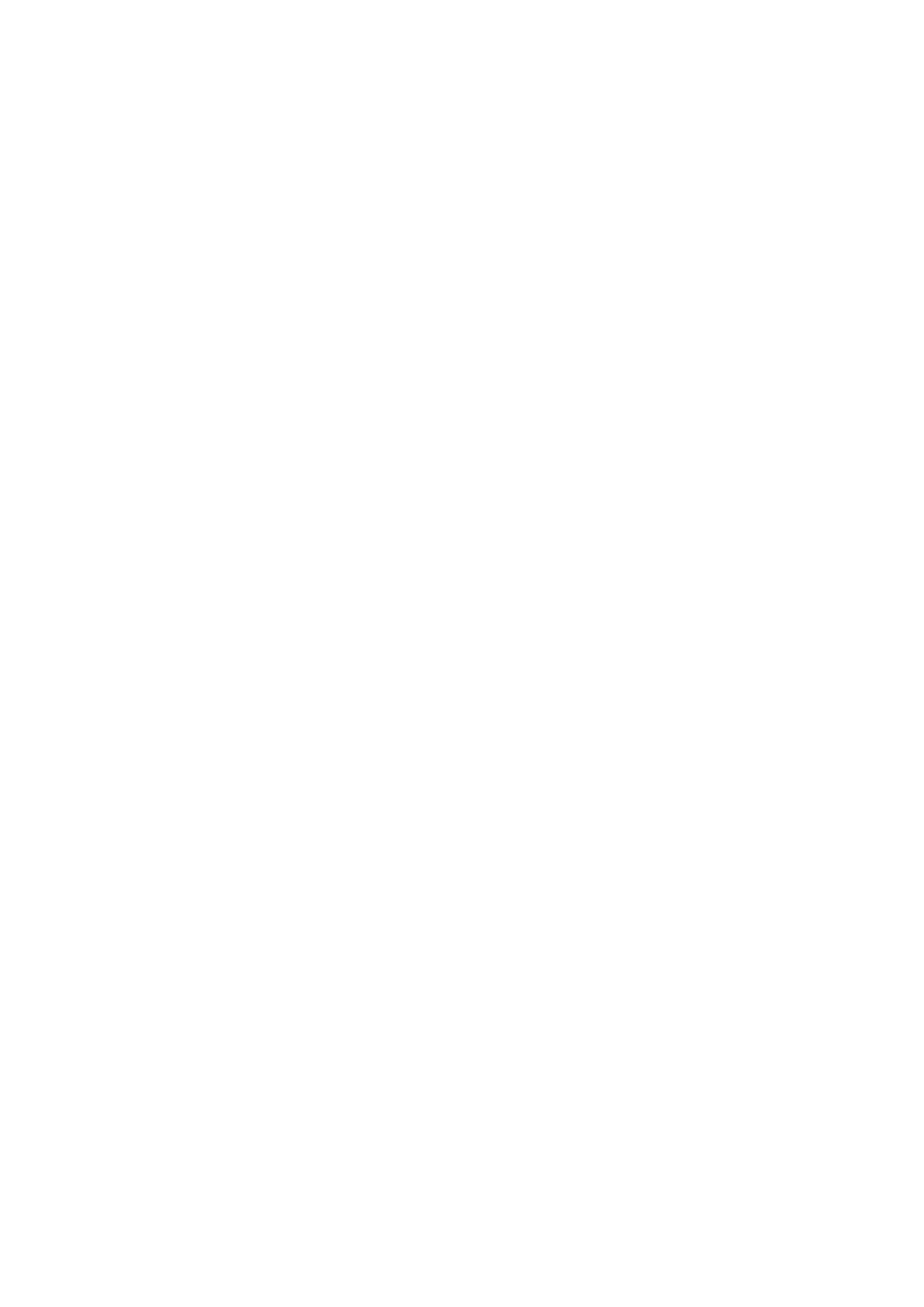# **UNIT 4 : THE MAURYAN EMPIRE : CONQUEST AND ADMINISTRATION**

#### **Structure**

- 4.1 Learning Objectives
- 4.2 Introduction
- 4.3 The Rise of the Maurya
- 4.4 Ashoka and his Dhamma
- 4.5 Mauryan Administration
	- 4.5.1 Central Administration
	- 4.5.2 Provincial Administration
	- 4.5.3 The Army
- 4.6 Disintegration of the Mauryan Empire
- 4.7 Let Us Sum Up
- 4.8 Further Reading
- 4.9 Answers to Check Your Progress
- 4.10 Model Questions

# **4.1 LEARNING OBJECTIVES**

After going through this unit, you will be able to

- trace the foundation of the Mauryan empire,
- discuss Ashoka and his Dhamma,
- discuss the Mauryan Administrative system,
- know about the disintegration of the Maurya Empire.

## **4.2 INTRODUCTION**

In unit 5 we have already discussed the sixteen *mahajanapadas*. In the 6th century B.C the entire northern territory was divided into 16 *mahajanapadas*. Among the sixteen *mahajanapadas*, there was Magadha, which became the most powerful *mahajanapada* between the 6th and the 4th century B.C. The growth of Magadha culminated in the emergence of the Mauryan Empire. In this unit we will discuss the rise and fall of the Mauryan Empire.

## **4.3 RISE OF THE MAURYA**

The rise of the Maurya and the foundation of the Mauryan Empire are considered a landmark event in Indian history. This Empire was founded by Chandragupta Maurya by defeating the Nandas in 321 B.C. It is said that he was guided by a Brahmana named Kautilya or Chanakya, who was traditionally believed to be the Prime Minister of Chandragupta.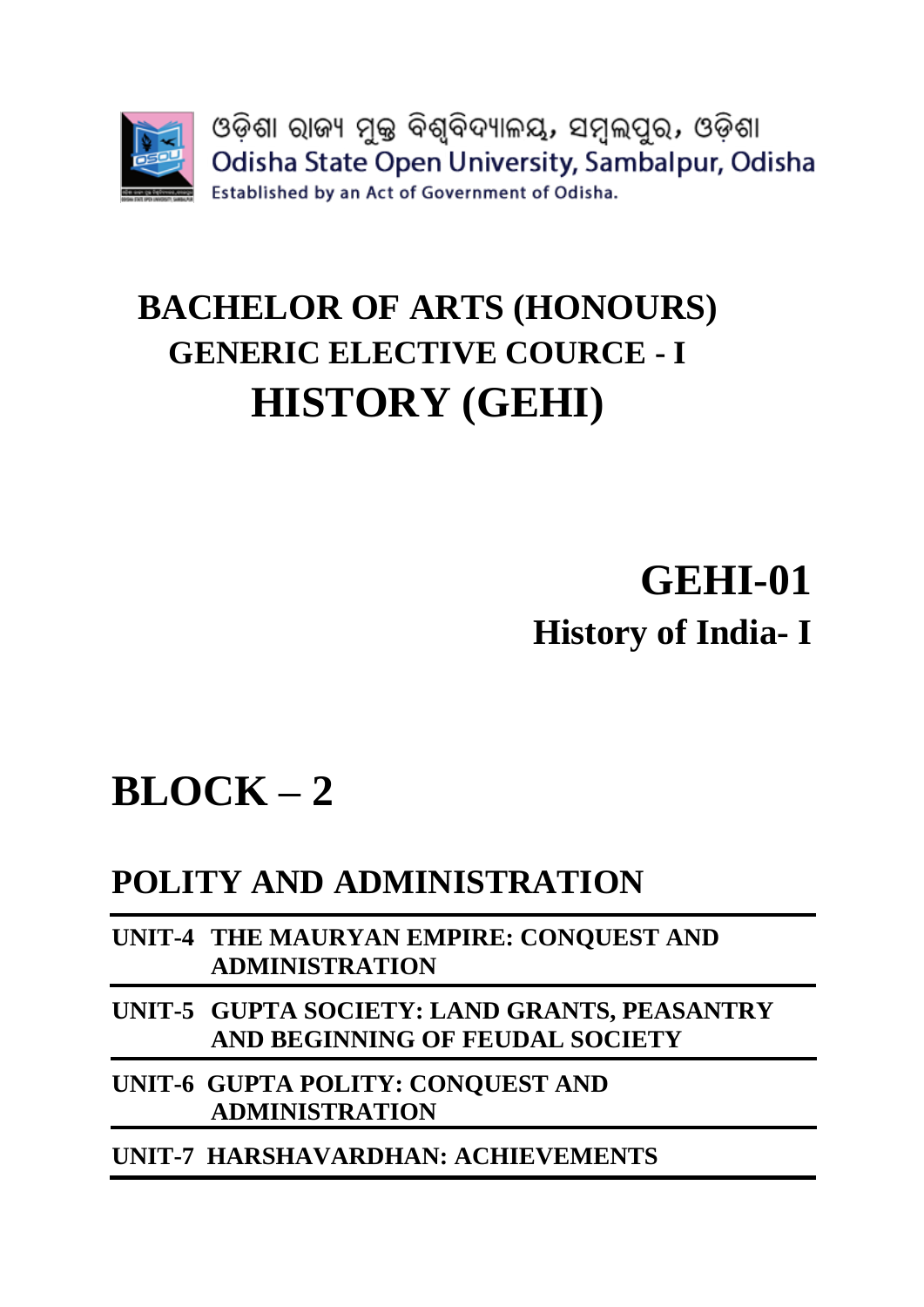

Source: Google Images

Historians have used a variety of sources to learn about the rise of Chandragupta Maurya and his Empire. We have different opinions about the origin of the Mauryas. According to Buddhist traditions, they were a branch of the Kshatriya *Moria* class associated with the *Sakyas*. But according to the Puranic tradition, Chandragupta Maurya was the son of the last Nanda king from his Sudra concubine, Mura. The name Maurya is believed to be derived from his mother's name Mura.

Chandragupta Maurya took advantage of the growing weakness and unpopularity of the Nandas in the last days of their rule. Though Chandragupta's military strength was inferior to that of the Nandas, his superior strategy helped him. Once he established his control over the Ganga plain, he moved to the North-West. He liberated North-Western India from the Greek General Seleukos Nikatar, the successor of Alexander the Great. A treaty was signed in 303 B.C. and some Seleucid territories were ceded to the Mauryan kingdom. There was also a possible marriage alliance between the two royal families. Thus, the territorial foundation of the Mauryan Empire was laid and Chandragupta established his control over the Gangetic plains and the Indus Valley.

The Mauryan contact with the Greeks was important for territorial expansion, as well as for the development of friendly relations between the two. It led to the creation of a new cultural development. Besides, exchange of envoys between the Mauryan and the Seleucids, there was also the exchange of envoys with the Greek states of the West. Seleukos sent an envoy, Megasthenes to the Mauryan court. The latter spent considerable time at the capital Pataliputra and in his treatise *Indika* he had left a valuable account of the city and also of Indian society.

According to Jaina tradition, Chandragupta became an ardent Jaina towards the end of his life. He made his son Bindusara, the king of Magadha, become an ascetic. He went to South India and there he ended his life by regulated slow starvation in the orthodox Jaina manner.

Bindusara ascended the throne in about 297 B.C. According to Buddhist tradition he was associated with the *Ajivika* sect. A Tibetan history of the Buddha suggests that Bindusara campaigned in the Deccan. However it is not sure whether this land was occupied by Bindusara or his son Asoka. He too continued to exchange embassies with Greece and showed interest in Greek philosophy. Bindusara died in 272 B.C. By then a large part of India had come under Mauryan sovereignty.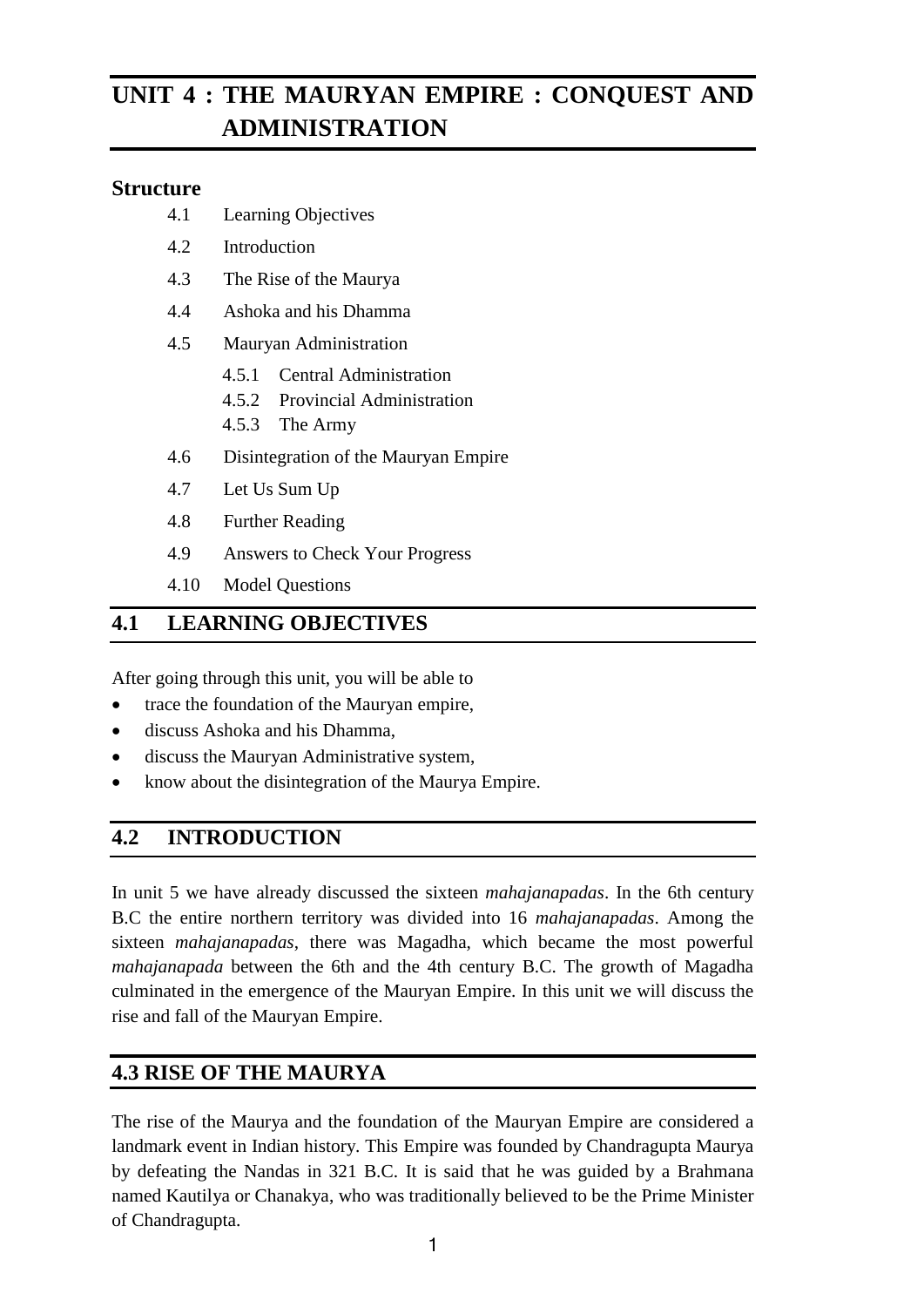#### **LET US KNOW**

The account of Megasthenes does not exist in full. But quotations occur in the works of several subsequent Greek writers. These fragments have been collected and published in the form of a book called Indika or An Account of India.

| <b>CHECK YOUR PROGRESS</b>                                                   |
|------------------------------------------------------------------------------|
| Answer the following questions:                                              |
| Q 1: Who founded the Mauryan Empire?                                         |
| Q 2: Who was Kautilya?                                                       |
| Q 3: Who was the Greek envoy to the Mauryan court?                           |
| Q 4: When was Mauryan Empire established?                                    |
| Q 5: Who ascended the throne after Chandragupta Maurya?                      |
| Q 6: Write a note on the foundation of the Mauryan Empire (within 60 words). |
|                                                                              |
|                                                                              |
|                                                                              |

# **4.4 ASOKA AND HIS DHAMMA**

Asoka who ascended the Mauryan throne after his father's death was well known for his *Dhamma*. He was a great ruler. But it was his *Dhamma* which made him a popular ruler and which won the hearts of his subjects. In this section we are going to discuss about the religious policy of Asoka which centred round the *Dhamma*. Before going into it we will discuss in brief the early life of Asoka.

#### **Early Life of Asoka**

Bindusara was succeeded by his son Asoka, who is considered the greatest of the Mauryan rulers. We can know about Asoka through his edicts distributed over a large part of India. They give us a detailed account about his life and various activities. The edicts of the earlier half of Asoka's reign were inscribed on rock surfaces and are therefore called the Minor and Major Rock edicts. In the later part of his reign, his edicts were inscribed on well polished sandstone monolithic pillars which are called Pillar Edicts.



Source: Google Images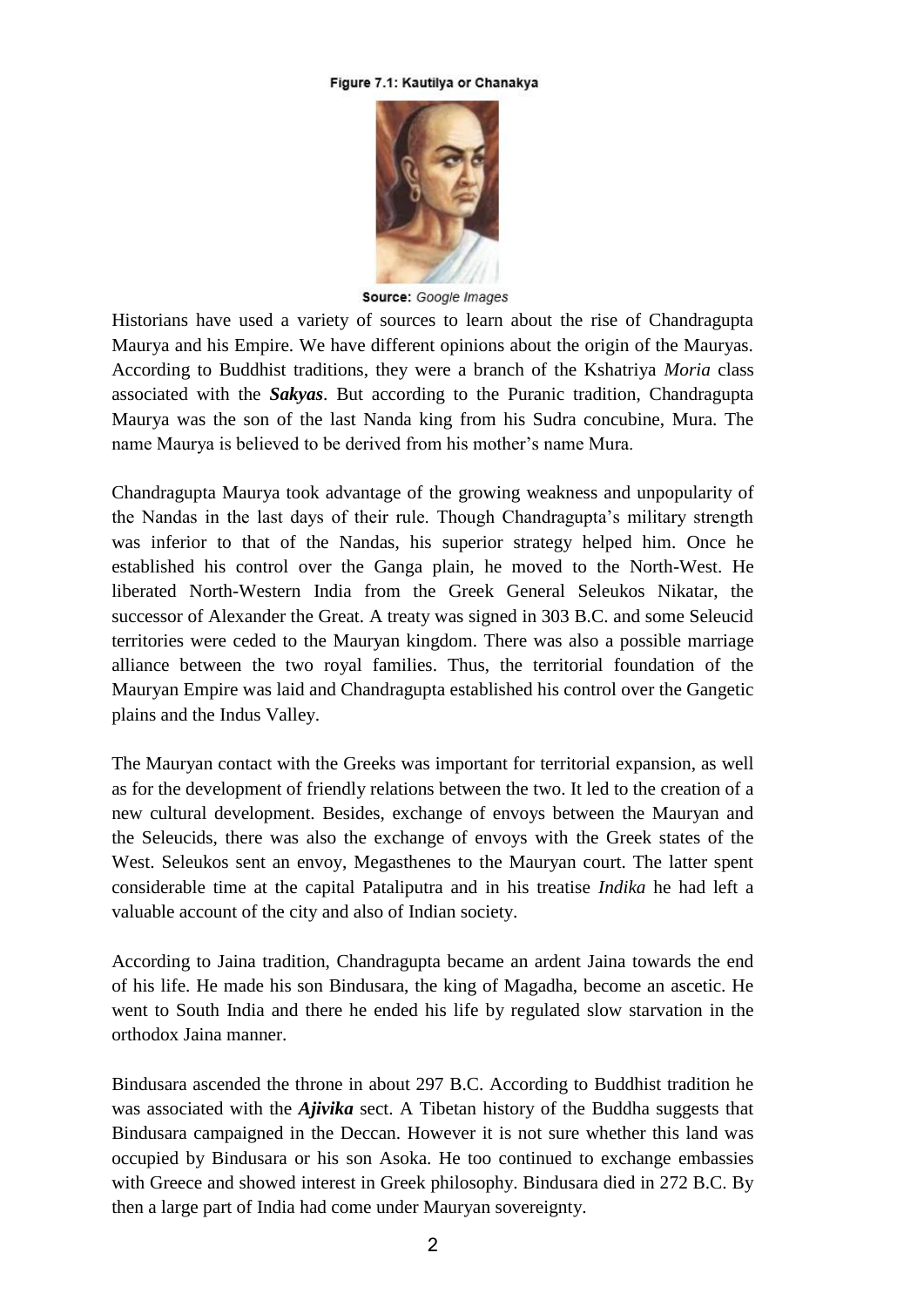#### **LET US KNOW**

In 1834 James Prinscep deciphered the Brahmi script in which the edicts of Asoka were inscribed. Though most of the Asokan edicts were written in Prakrit, some edicts found in North-West of India were in Aramaic and Greek languages. Most Prakrit edicts were written in Brahmi script. However some edicts of North-West were written in Kharosti. Greek and Aramaic scripts were used for edicts in Afghanistan.

However, for the early life of Asoka we have to depend upon the Buddhist account. According to Buddhist tradition he was appointed governor of Taxila and Ujjain during the reign of Bindusara. There is a controversy regarding his accession to the throne. Whether he ascended the throne immediately after his father's death or whether there was a four year *interregnum* involving a struggle for the throne with his brothers is not very clear.



Figure 7.3: Asoka's Empire

Source: Google map

The most important event in the early life of Asoka was the famous campaign in Kalinga in about 261 B.C. It was possible that the main motive behind this campaign was to obtain resources from Kalinga, to safeguard the trade routes with the peninsula or to give Kalingans a lesson for overthrowing Magadhan control. But the large scale deaths in the war moved the king. After this incident he became attracted to Buddhism. But the conversion did not take place immediately. It took almost two and a half years for him to embrace Buddhism.

During Asoka's reign the Third Buddhist Council met at Pataliputra in 250 B.C. This council decided to send missionaries to various regions. Accordingly Asoka sent his people outside India to spread Buddhism.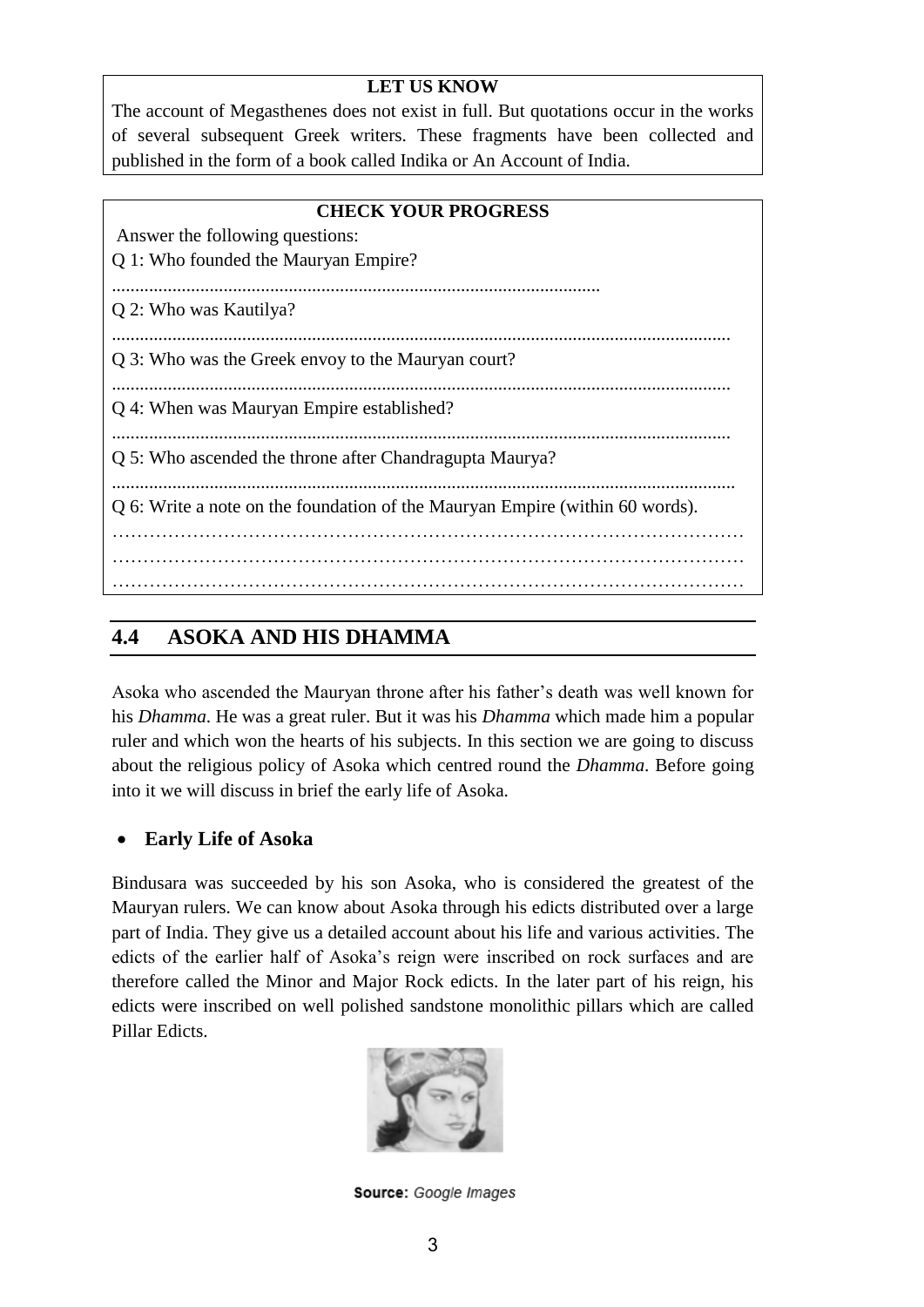#### **Asoka's Religious Policy**

The Kalinga war opened a new chapter in the life of Asoka. He developed a philosophy based on his interpretation of *Dhamma*. *Dhamma* is the *Prakrit* form of the Sanskrit word Dharma, which means the universal law or righteousness. However, Asoka gave it a wider meaning.

The *Dhamma* which Asoka preached was not simple piety but the specific code of moral duties laid down for the common people. Asoka wanted to transform Buddhism into a popular religion. His edicts are, therefore, of two kinds: (a) The smaller group of edicts was addressed to the Buddhist *Sangha*. These edicts describe his adherence to Buddhism and his relationship with the Buddhist *Sangha* or community of monks. (b)The larger group of edicts on the rock surfaces is more important. The Minor Rock Edicts and Major Rock Edicts and the Pillar Edicts define Asoka's concept of *Dhamma*.

Some historians thought that there was no difference between Asoka's *Dhamma* and Buddhism. But from his edicts it appears that Asoka wanted to use his *Dhamma* to reduce social conflict and intolerance. He especially emphasized tolerance towards all people and towards their beliefs and ideas. Therefore, the principle of *Dhamma* was defined in such a way that it should be acceptable to people belonging to any religious sect. However, his *Dhamma* was influenced to a great extent by the teachings of Buddha, especially the emphasis on non-violence and proper behavior towards all.

One important principle of Asoka's *Dhamma* was harmonious living. Therefore, he discouraged assemblies and gatherings which created differences of opinions. Another principle of *Dhamma* was non-violence. He discouraged war conquest by violence and prohibited killing of animals on certain specified occasions. However, Asoka recognized the occasions where violence was unavoidable.

Asoka opposed the practice of many orthodox ceremonies and maintained that the practice of morality was more important than the observance of rituals. Rock Edict XI is concerned with the practice of morality, such as giving respect to the elders, being charitable towards friends, slaves and servants, etc.

Asoka appointed *Dhammamahamatras* for propagating *Dhamma*. The activities of the *Dhammamahamatras* were not restricted to any particular community. They were expected to work impartially among all sects.

Thus, for Asoka *Dhamma* was a way of life based on harmonious blending of social ethics, moral virtues and civic responsibility. However, his policy of *Dhamma* did not succeed. It may be because he was too much occupied with his efforts to spread Buddhism and he did succeed in transforming this local creed in the Gangetic Valley into a world religion.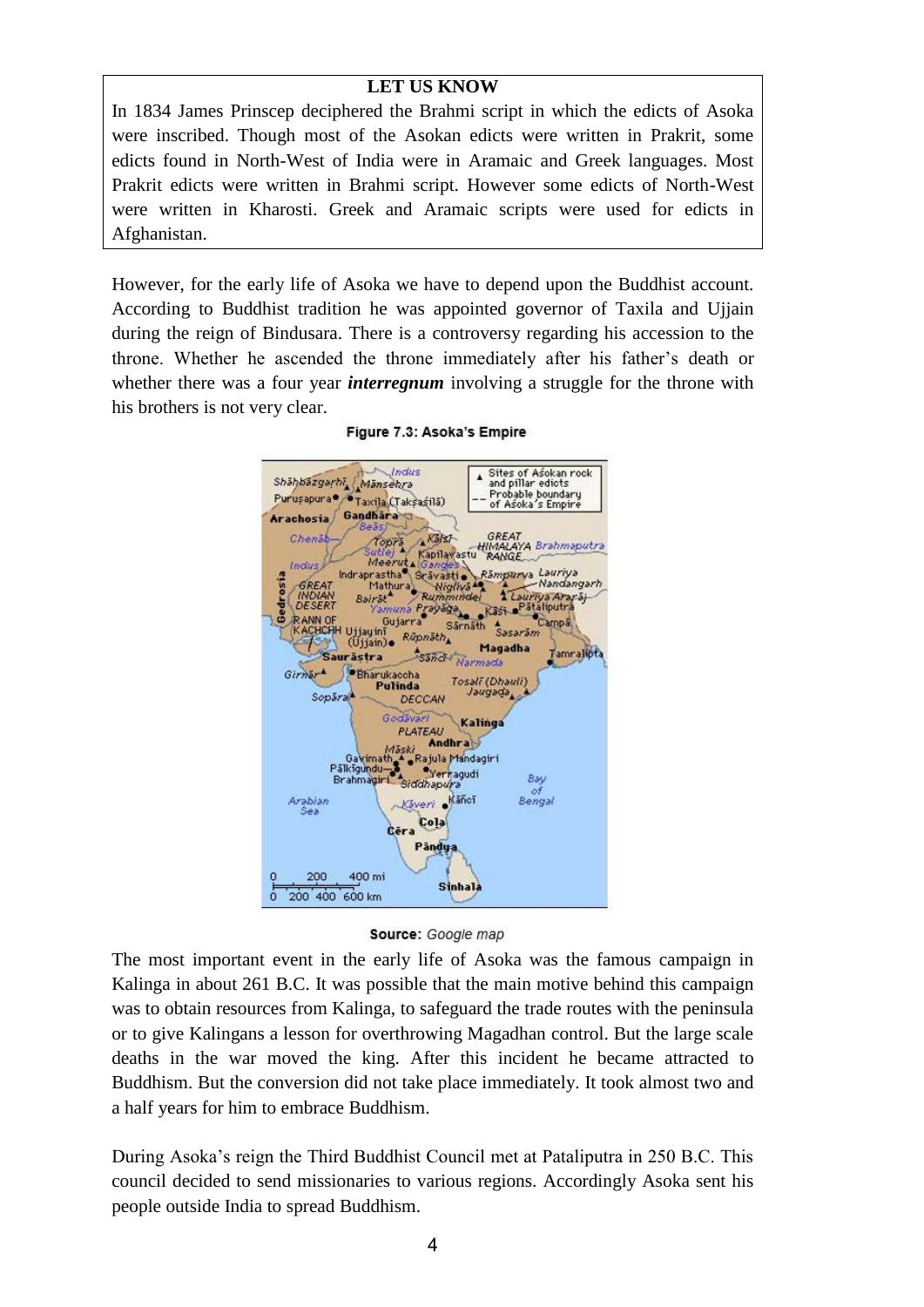| <b>CHECK YOUR PROGRESS</b>                               |
|----------------------------------------------------------|
| Answer the following questions:                          |
| Q 7: Who succeeded Bindusara?                            |
|                                                          |
| Q 8: Where did the Third Buddhist Council meet?          |
|                                                          |
|                                                          |
| during the reign of Bindusara.                           |
| Q 10: Into how many types Asoka's edicts can be divided? |
|                                                          |
| Q 11: Whom did Asoka appoint for propagating Dhamma?     |
|                                                          |

# **4.5 MAURYAN ADMINISTRATION**

The Mauryan dynasty organized a very elaborate system of administration. We can collect information about the Mauryan administration from the accounts left by Megasthenes, Kautilya's *Arthasastra* and the inscriptions or edicts of Asoka.

### **4.5.1 Central Administration**

The king was the pivot of the administrative structure in the Mauryan Empire. He had absolute power in the administration. However, the king was expected to consult with his ministers, but the final decision lay with him.

The king was assisted by a Council of Ministers, the *Mantri Parishad*. According to *Arthasastra*, two important officers in the central administration were *Sannidhata* (the treasurer) and *Samaharta* (the chief collector). The treasurer was the custodian of the realized revenue. The chief collector supervised the collection of revenue from the whole kingdom.

Another important officer of the Mauryan administration was the *Adhyakshas* or superintendents. We find mention of about 32 superintendents in charge of different departments. They were linked to local administration and the central government. The different departments were treasury, mines, metals, mint, salts, gold, trade, forest produce, weights and measures, tolls, agriculture, infantry, horses, chariots, elephants, shipping, cattle, gambling, jail, ports, etc.

One-quarter of the total revenue was reserved for salaries of the officials and for public works. The salaries of the higher officials were very high. Public works covered a wide range of activity - building and maintaining roads; wells and rest houses; planting trees; irrigation projects; maintaining the army; running the mines; the grants of the royal family to the religious institutions and individuals and the maintenance of the royal family.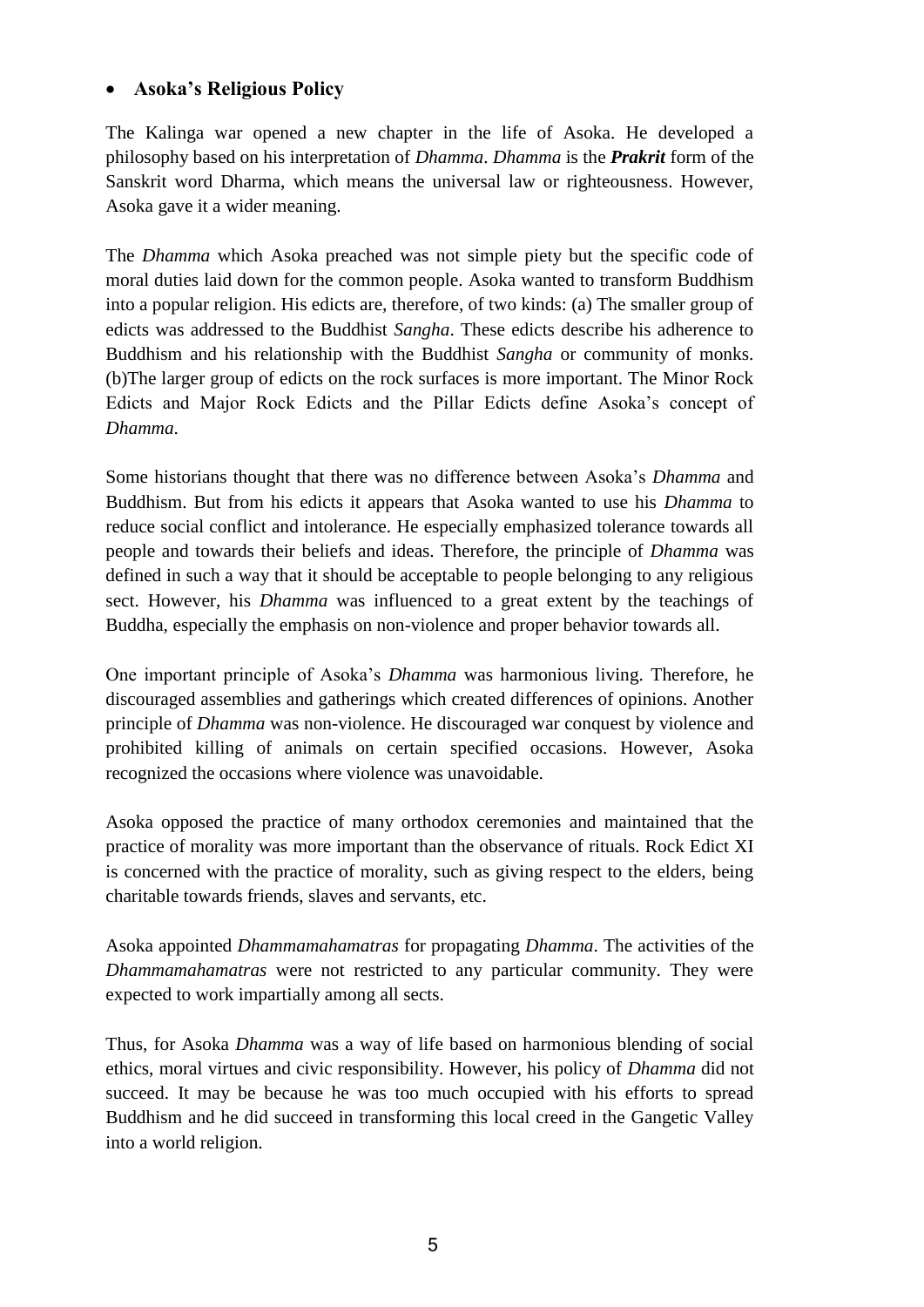#### **LET US KNOW**

Some changes in the Mauryan administration were brought about by Asoka. Traditional Mauryan concept of kingship was softened by Asoka's paternalistic concept. In a separate Kalinga edict, Asoka declared- 'All men are my children'. Asoka appointed a new class of officials known as *Dhammamahamatras* to promote the material and spiritual wellbeing of the people.

The administration of the capital Pataliputra was well planned. It was looked after by a Municipal Commission consisting of thirty members. The commission was divided into six boards or committees of five members each. These committees looked after industrial arts, foreigners, registration of births and deaths, trade and commerce, manufactured articles and collection of tax and sold goods.

Espionage was recognized as an official activity in the Mauryan Empire. A large number of spies were appointed who transmitted secret and confidential reports to the king. Spies helped to maintain contact with even the remote parts of the Empire.

### **4.5.2 Provincial Administration**

There were five major political centres in the Mauryan Empire, as mentioned in the Asokan inscription. We have already discussed about that the capital Pataliputra had well planned administered. The other four centres were: Taxila, Ujjain, Tosali and Suvarnagiri. They were each placed under a governor who usually belonged to the imperial family. Governors of smaller units were selected from local people. Senior officers called *Pradeshikas* visited the provinces every five years to check the administration. Another group of officers called *Rajukas* were appointed both in cities and villages to look after the judicial matter. *Yukta* was appointed for recording information coming from various sources.

According to Arthasastra, provinces were further sub-divided into *Vishayas* or districts and district into villages. In each village, there was an accountant and a tax collector. The *gramas* or village headman was responsible to them.

## **4.5.3 The Army**

The Mauryan Empire maintained a huge army. According to the account of a Roman writer called Pliny, Chandragupta maintained 600,000 infantry, 30,000 cavalry and 9000 elephants. Another source tells us that Mauryas also had 8000 chariots. Megasthenes mentions that a committee with six sub-committees was responsible for coordinating military activity. Of these, one looked after the navy, the second managed transport and provisions, the third was responsible for infantry, the fourth for horses, the fifth for chariots and the sixth for elephants. According to Megasthenes, the soldiers received regular pay from the state. Kautilya mentions a *Navadhyaks* or superintendent of ships. Therefore it is possible that the Mauryans possessed a navy.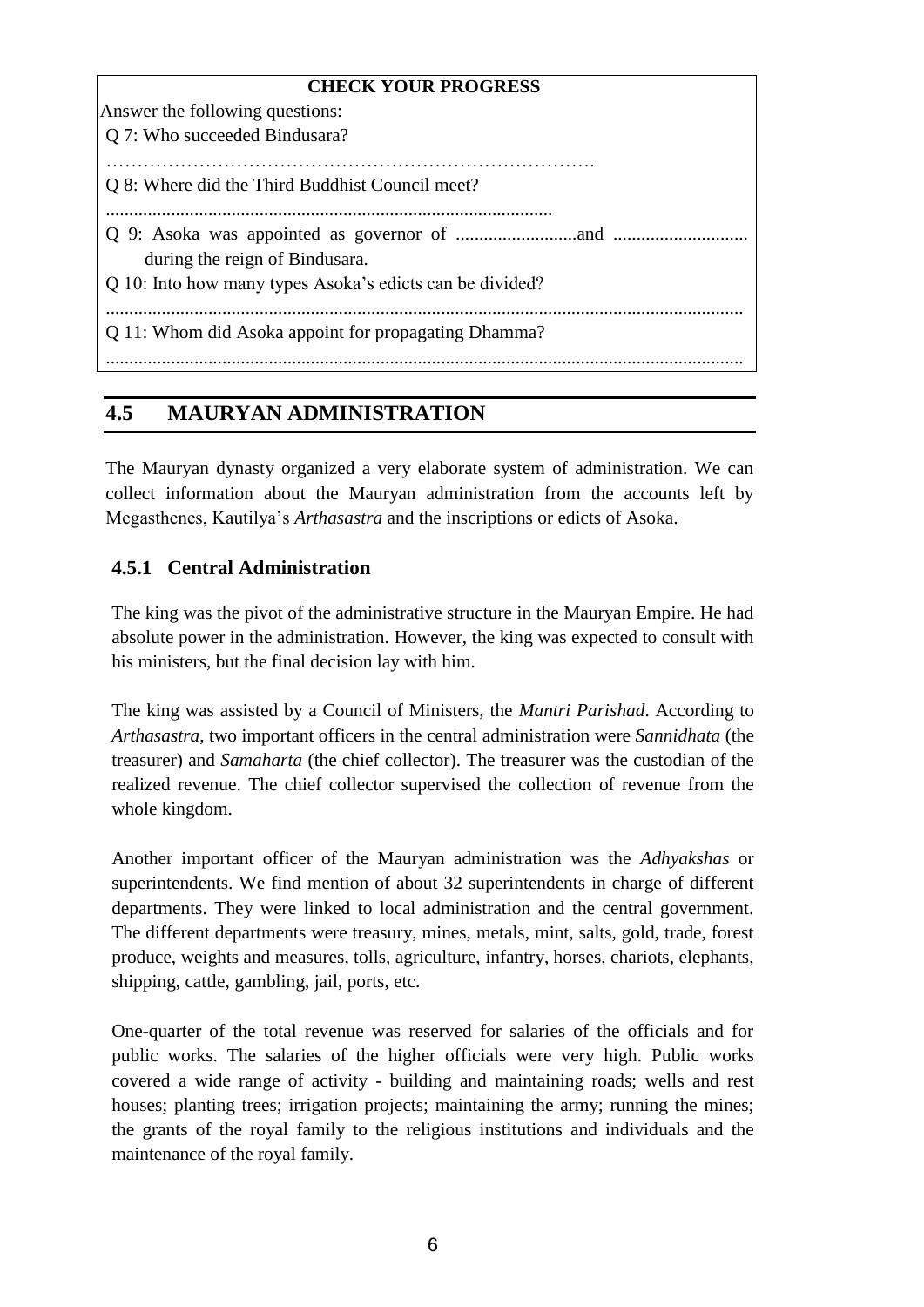### **LET US KNOW**

The Mauryans had chosen their provincial centres very carefully. Both Taxila and Ujjain were situated on important long-distance trade routes. Suvarnagiri was possibly located in one such way that facilitated the collection of gold from the mines of Karnataka.

# **CHECK YOUR PROGRESS** Answer the following questions: Q 12: Who was the head of the administration in the Mauryan Empire? ………………………………………………………………………. Q 13: Who looked after the collection of revenue in the Mauryan Empire? ...................................................................................................................................... Q 14: How many political centres were there in the Mauryan Empire? ...................................................................................................................................... Q 15: Who was Samaharta ? ...................................................................................................................................... Q 16: Who was Adhyaksha? ...................................................................................................................................... Q 17: Who was Pradeshika? ...................................................................................................................................... Q 18: Who was Navadhyak? ...................................................................................................................................... Q 19: Prepare a note on the central administration of the Mauryas? (Answer in about 60 words) .......................................................................................................................................... .......................................................................................................................................... .......................................................................................................................................... ..........................................................................................................................

# **4.6 DISINTEGRATION OF THE MAURYAN EMPIRE**

Asoka died in about 232 B.C. With his death, the Mauryan Empire began to disintegrate. The last Mauryan ruler, Brihadratha, was assassinated by his Brahmana commander Pushyamitra Sunga. Following this Pushyamitra established the rule of the Sunga dynasty.

Earlier, it was accepted that Asoka's policy was mainly responsible for the decline of the Mauryas. It was believed that his inclination towards Buddhism offended the Brahmanas, who revolted against him. But if we consider his policy we see that Asoka repeatedly emphasized on showing respect to Brahmanas and Shramanas.

It is also said that Asoka's policy of non-violence weakened the Mauryan army. As a result, the foreign invaders got an opportunity to attack the Empire. But this cannot be accepted as we have already discussed in the previous section that though Asoka accepted the policy of non-violence, yet he mentioned the use of violence where necessary.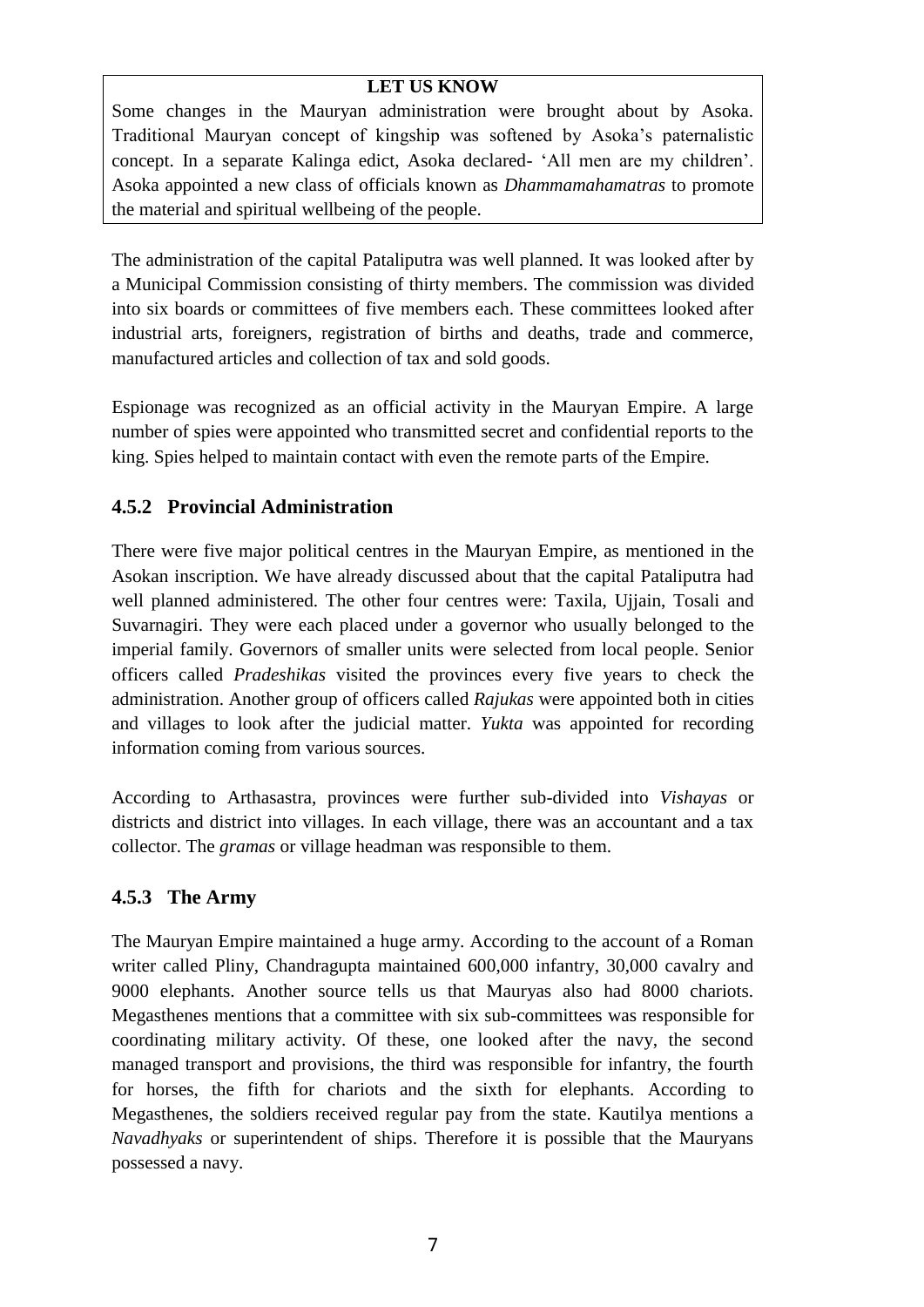Therefore, the causes for the decline of the Mauryas must lie elsewhere. The pressure on the Mauryan economy can be considered as a cause for the downfall. The vast expenses of the Empire to maintain an army, to pay the ministers and to meet the cost of establishing settlements in newly cleared land could have drained the treasury.

Although Mauryan economy was based on agriculture, yet it might be possible that the revenue collected from agriculture was not sufficient to maintain the whole Empire. Probably the Mauryas did not restructure the economy sufficiently to provide long-term support to the Empire.

Mauryan administration was also in a way responsible for the decline of the Empire. In the Mauryan Empire the Emperor was the central figure around whom the administration revolved. When a ruler changed, the new ruler was required to possess the capability to attract the loyalty of the people by being an efficient administrator. But the successor of Asoka lacked this essential quality.

In the Mauryan administration the process of recruitment was arbitrary. Local governors had the power to change their officers. So many a time they chose a person of their choice ignoring the capability.

Another problem was the absence of representative institutions in the Empire. For a vast Empire like that of the Mauryas, representative institutions were required to stabilize public opinion.

It is very essential for the survival of the state to get loyalty of the people. But in the Mauryan system, loyalty was directed to the social order. Because of the interdependence of caste and politics, gradually caste was given higher status than politics. According to Arthasastra, a state should have seven limbs - the king, the territory, the administration, the treasury, the capital, coercive powers, and allies. Gradually, Brahmanical text emphasized on two factors for the existence of a stateone was *Danda* and the other was *Varnasramadharma*. Gradually the *varnaashramadharma* became more important than the state.

The successors of Asoka could not maintain the mighty fabric of the Empire. Immediately after his death, one of his sons Jalauka set up an independent principality in Kashmir. Another prince, Virasena made himself independent in Gandhara. Vidarbha or Berar also separated from the Mauryan Empire. The Greek evidence further confirms the loss of the Northern provinces to the Bactrian Greeks.

#### **LET US KNOW**

Kautilya occupies a unique place in the history of India. He aroused a national spirit among the Indians to throw out the Greeks from the soil of India. For this purpose he advised Chandragupta to unite the warring tribes and republics. As the Chief Advisor and Prime Minister of Chandragupta Maurya, he rendered a valuable service in running the state. He wrote Arthasastra, a book on the art of government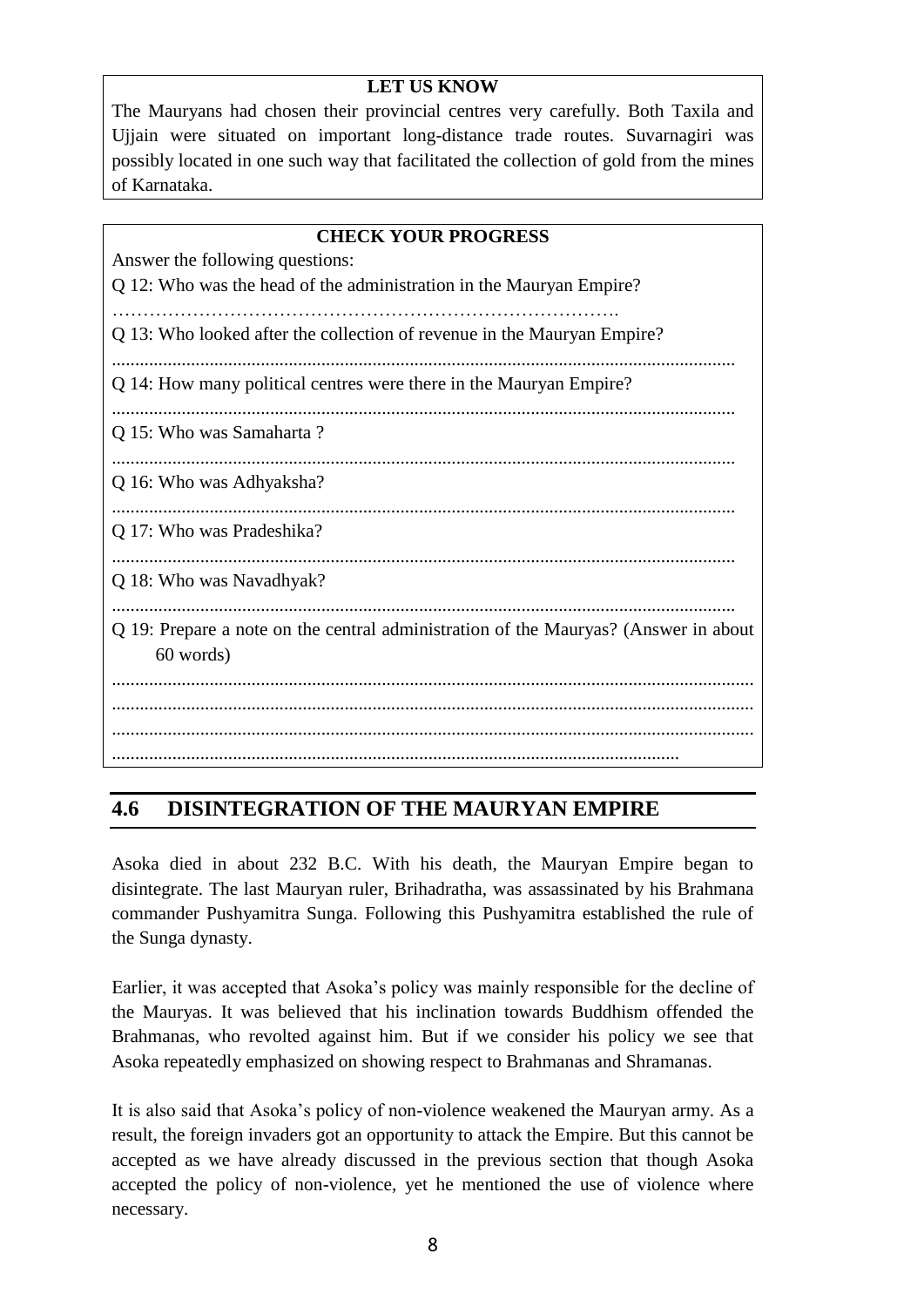and state craft. He described in detail the various duties of the ruler, the role of the king's advisors, welfare duties of the government, spy system and administration of justice. It also contains rules to regulate different social relations.

### **ACTIVITY 4.2**

Make a list of the successors of Asoka.

# **4.7 LET US SUM UP**

After going through this unit, you have learnt that,

- Chandragupta Maurya had established the first Indian Empire with the help of his Prime Minister Kautilya or Chanakya. After establishing himself in the Gangetic plains, he moved towards North-West India and liberated that part from the Greek General Seleucus Nikatar. By a treaty in 303 B.C. Chandragupta secured some Seleucid territories. He established political as well as cultural contact with the Greeks. His son Bindusara succeeded him in 297 B.C, who too exchanged embassies with the Greeks. He ruled till 272 B.C. and brought a large part of India under Mauryan sovereignty.
- Asoka, the son of Bindusara ascended the Mauryan throne after his father's death. He was the greatest of the all Mauryan rulers. The Kalinga campaign greatly changed his life and he became a Buddhist. He initiated a unique religious policy termed as Dhamma. Through his Dhamma, Asoka tried to reduce social conflict and intolerance. Though his Dhamma was not successful, but he successfully spread Buddhism and made it a world religion.
- The Mauryans had a centralized administration where king the was all powerful. The king was assisted by a Council of Ministers or Mantri Parishad. Every department had a superintendent to look after it. The provinces were placed under governors and senior officials called Pradeshikas visited the provinces every five years to check the administration. The Mauryans had a huge army with a committee having sub-committees under it to coordinate military activity.
- With the death of Asoka, there started the decline of the Mauryan Empire. His sons established themselves independently. The Mauryan economy was weak and could not hold the pressure of the Empire for long. The Mauryan administration centered round the Emperor and the successors of Asoka were weak and inefficient. They failed to attract the loyalty of the people which affected the Mauryan administration. The recruitment policy of the Mauryans was too arbitrary. There was also no representative institution in the Mauryan Empire. All these collectively led to the downfall of the Mauryan Empire. The Sunga dynasty succeeded the Mauryan dynasty.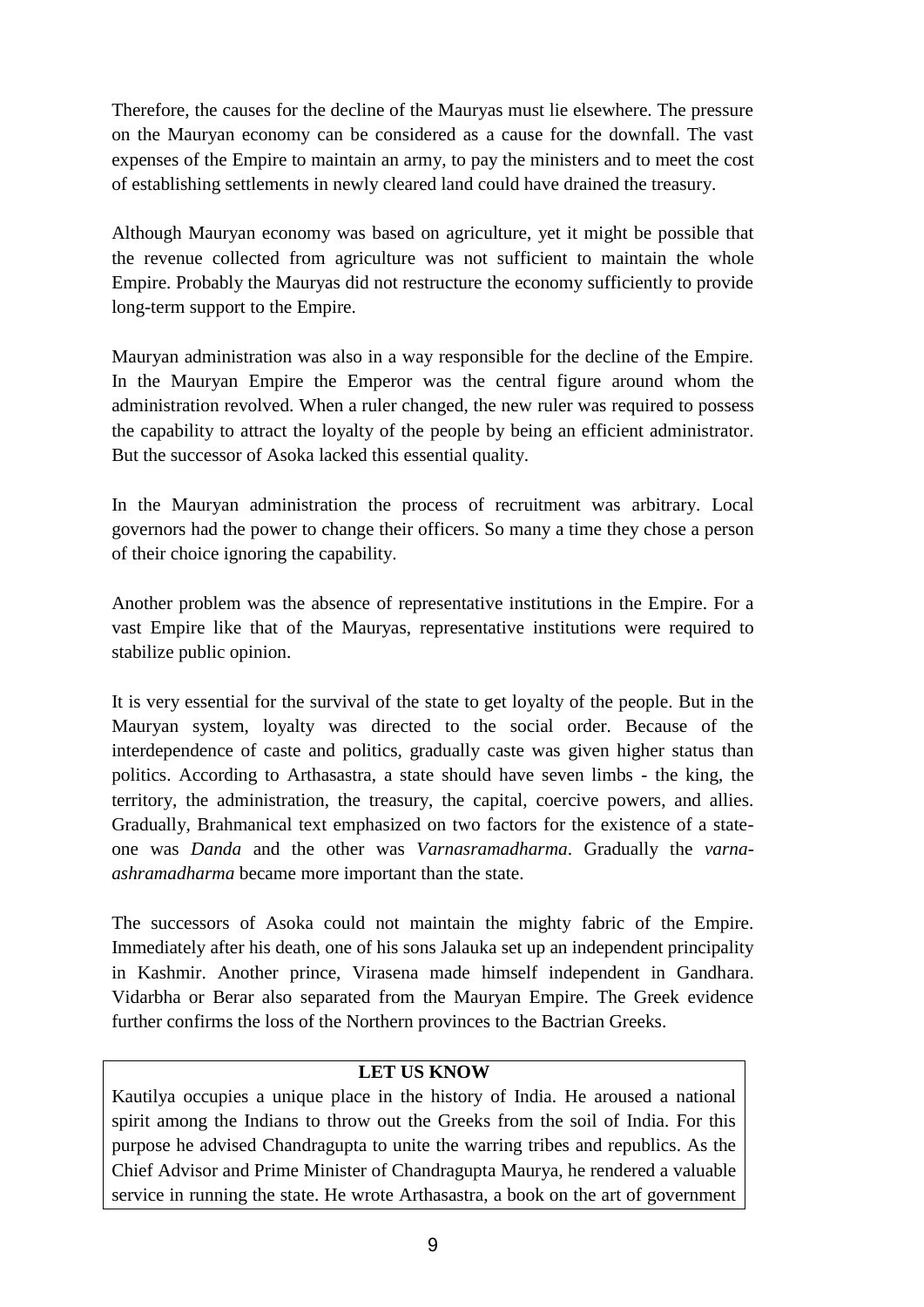#### **4.8 FURTHER READING**

- 1) Majumdar, R.C., Raychaudhuri, H.C., Datta, K. (1986). *An Advanced History of India.* New Delhi, Macmillan India Ltd.
- 2) Sharma, L.P. (1981). *Ancient History of India (pre-historic Age to 1200 A.D.).* New Delhi, Vikas Publication House Pvt. Ltd.
- 3) Thapar, Romila. (2002). *The Penguin History of Early India from The Origins to A D 1300*. New Delhi, The Penguin Group.
- 4) Tripathi, Ramashankar. (1999). *History of Ancient India.* Delhi, Motilal Banarsidass Publishers Pvt. Ltd.

#### **4.9 ANSWERS TO CHECK YOUR PROGRESS**

- **Ans to Q No 1:** Chandragupta Maurya
- **Ans to Q No 2:** Prime Minister of Chandragupta Maurya
- **Ans to Q No 3:** Megasthenes
- **Ans to Q No 4:** 321 B.C.
- **Ans to Q No 5:** Bindusara
- **Ans to Q No 6:** Chandragupta Maurya by overthrowing the Nandas in 321 B.C. founded the Mauryan Empire. He was guided in his efforts by Chanakya who was traditionally believed as his Prime Minister. After establishing his control over the Gangetic Plain, he liberated North Western India from the Greek General Seleukos Nikatar and secured some Seleucid territories by a treaty in 303 B.C.
- **Ans to Q No 7:** Asoka
- **Ans to Q No 8:** Pataliputra
- **Ans to Q No 9:** Taxila, Ujjain
- **Ans to Q No 10:** Two
- **Ans to Q No 11:** Dhammamahamatras
- **Ans to Q No 12:** The King
- **Ans to Q No 13:** Samaharta
- **Ans to Q No 14:** Five
- **Ans to Q No 15:** Chief Collector
- **Ans to Q No 16:** Superintendent
- **Ans to Q No 17:** Senior Officer
- **Ans to Q No 18:** Superintendent of Ships
- **Ans to Q No 19:** The central administration of the Mauryas centred round the king who enjoyed absolute power in the administration. He was assisted by a Council of Ministers or Mantri Parishad. There were also superintendents in charge of different departments which were linked up to both the local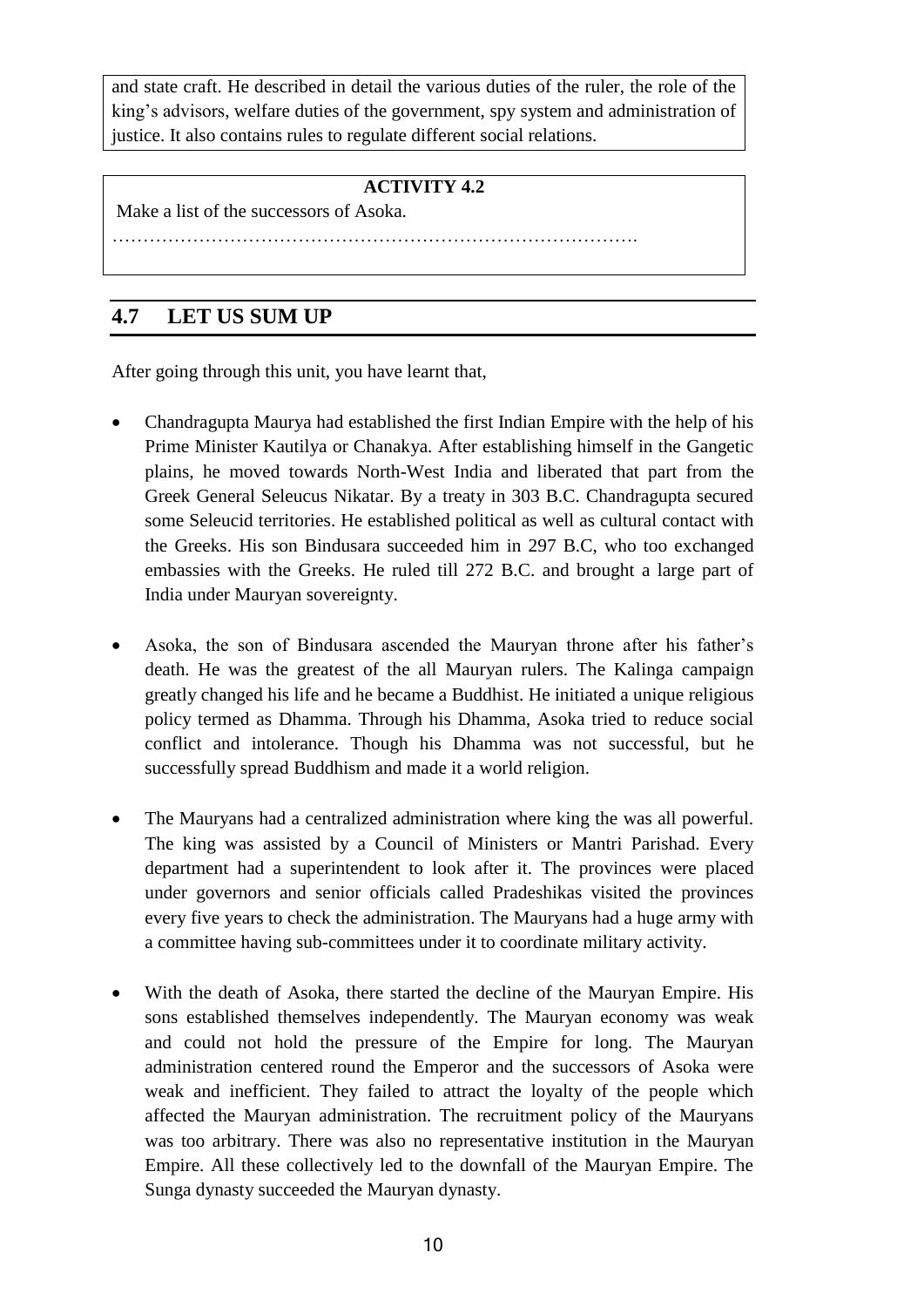administration and central government. The king had a good espionage system.

### **4.10 MODEL QUESTIONS**

- **A) Very Short Questions** (Answer each question in about 50 words)
- **Q 1:** When did Bindusara ascend the throne?
- **Q 2:** Asoka was well known for his…………………. (Fill up the blank)
- **Q 3:** What was the function of a Yukta?
- **Q 4:** Who authored Arthasastra?
- **B) Short Questions** (Answer each question in about 150 words)
- **Q 1:** Narrate the contact of the Mauryans with the Greeks. What was the impact of the Indo-Greek contact?
- **Q 2:** Write a note on the early life of Asoka?
- **Q 3:** How did Kalinga campaign influence the life of Asoka?
- **Q 4:** How does Arthasastra help us to know about the Mauryas?
- **C) Long Questions** (Answer each question in about 300-500 words)
- **Q 1:** Discuss the foundation of the Mauryan Empire.
- **Q 2:** How did Asoka promote Buddhism? Discuss his concept of Dhamma.
- **Q 3:** Describe the administrative system of the Mauryan Empire.
- **Q.4:** Assess the causes behind the downfall of the Mauryan Empire.

#### **REFERENCE BOOKS**

#### **English Books:**

- 1. Chandra, Satish. (1990). *Medieval India,* NCERT, New Delhi.
- 2. Chandra, Sathish(2007 ) *A History of Medieval India,* Orient Black Swan, New Delhi
- 3. Chattopadhyaya, Brajadulal (2012). *The Making of Early Medieval India,* Second edition, Oxford Press, New Delhi.
- 4. Jha, D.N. (1977), *Ancient India-An Introductory Outline,* Peoples' Publishing House, New Delhi-110055
- 5. Kosambi, D.D. (2001): *The cultural and Civilization of Ancient India in Historical Outline*, Vikas Publishing House.
- 6. Majumdar, R.C., Raychaudhuri, H.C., Datta, K. (1986). *An Advanced History of India.* New Delhi, Macmillan India Ltd.
- 7. Maiti, P.(2001): *Studies in Ancient India*, Kolkata, Shreedhar Prakashani
- 8. Raychaudhuri, H.C. (1972). *Political History of Ancient India*. Calcutta, University of Calcutta.
- 9. Sharma, L.P. (1981). *Ancient History of India (pre-historic Age to 1200 A.D.).*  New Delhi, Vikas Publication House Pvt. Ltd.
- 10. Singh, Upinder (2009): *A History of Ancient and Early Medieval India, from the Stone Age to the 12th Century,* Pearson.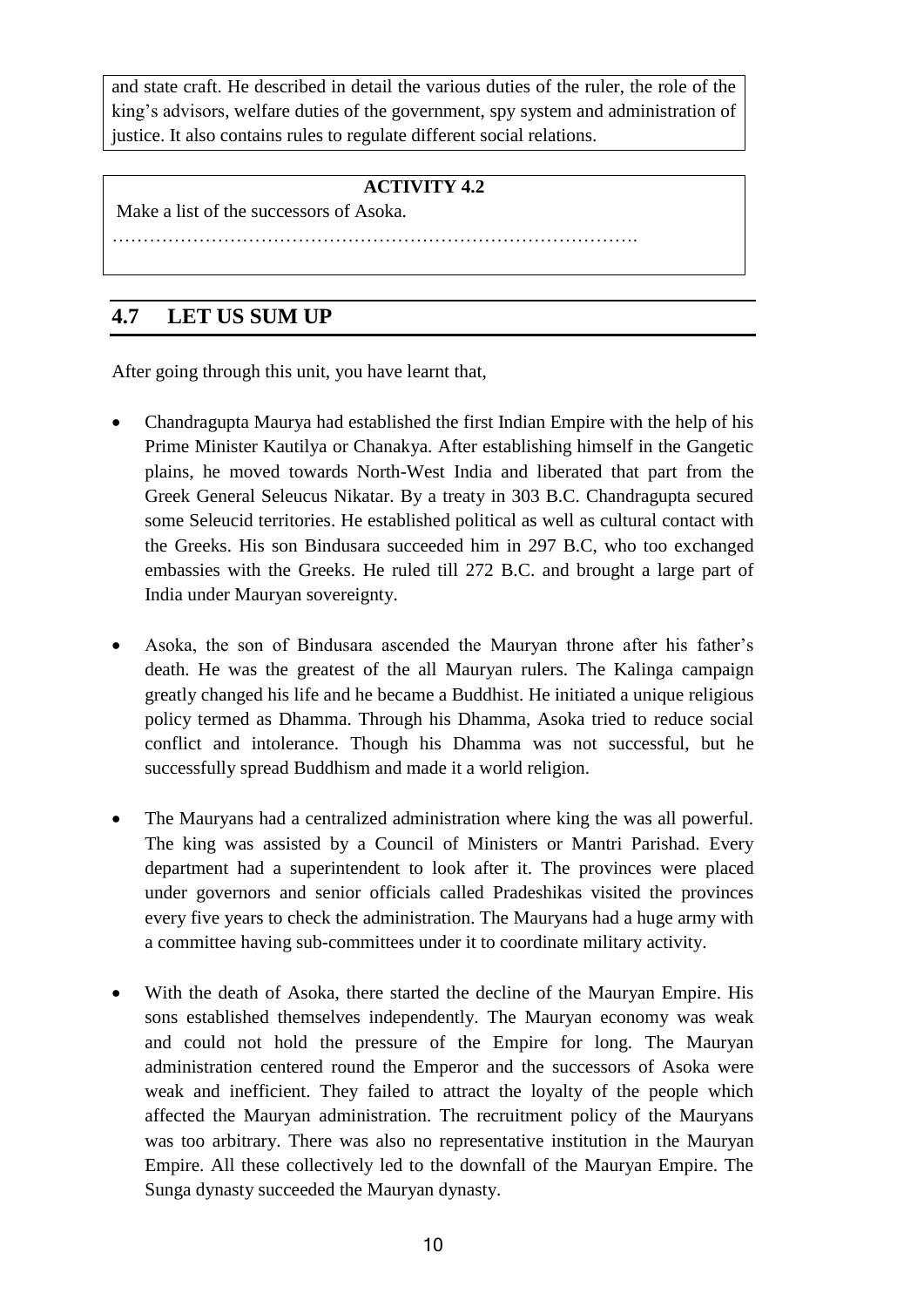- 11. Singh, Vipul (2009). *Interpreting Medieval India: Early medieval, Delhi Sultanate, and regions (circa 750-1550),* Macmillan
- 12. Thapar, Romila(2003): *The Penguin History of Early India, from the origins to AD 1300 ,* Penguin Books India.
- 13. Tripathi, Ramashankar (1999). *History of Ancient India.* Delhi, Motilal Banarsidass Publishers Pvt. Ltd.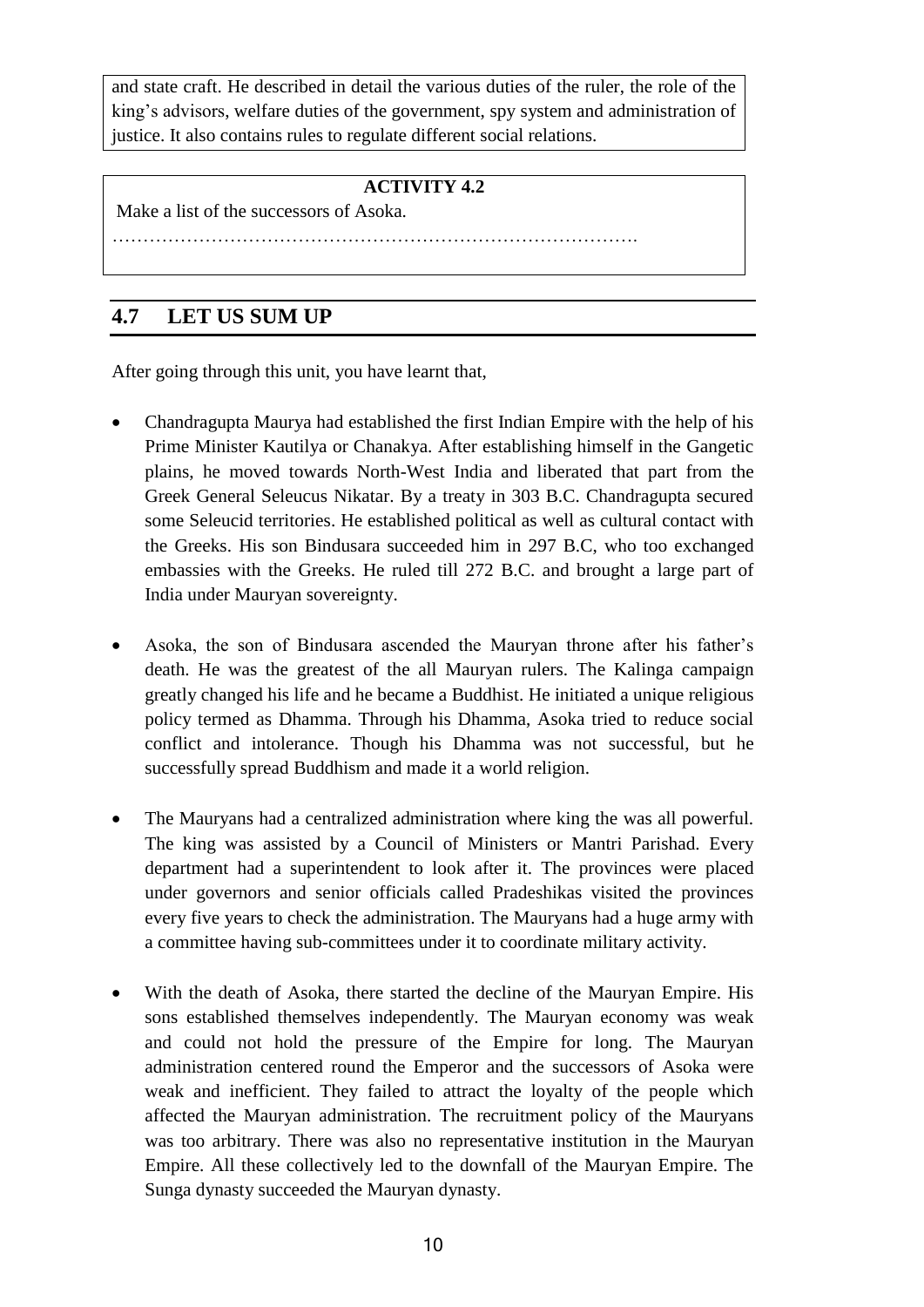# **UNIT 5 : GUPTA SOCIETY : LAND GRANTS, PEASANTRY AND BEGINNING OF FEUDAL SOCIETY**

### **Structure**

- 5.1 Learning Objectives
- 5.2 Introduction
- 5.3 Emergence of the Guptas
- 5.4 Extension of the Gupta Empire
	- 5.4.1 Samudragupta's Policy of Expansion
	- 5.4.2 Chandragupta II's Policy of Expansion
- 5.5 Consolidation of the Gupta Empire
- 5.6 Polity and Administration
	- 5.6.1 Administrative Divisions
	- 5.6.2 Judicial Administration
	- 5.6.3 Revenue Administration
- 5.7 Downfall of the Guptas
- 5.8 Let Us Sum Up
- 5.9 Further Reading
- 5.10 Answers to Check Your Progress
- 5.11 Model Questions

# **5.1 LEARNING OBJECTIVES**

After going through the unit, you will be able to:

- discuss the emergence of the Guptas in ancient India
- explain the extension and consolidation of the Gupta Empire
- describe the polity and administration of the Guptas
- analyse the causes for the downfall of the Guptas.

# **5.2 INTRODUCTION**

India had witnessed a number of Empire building efforts throughout the ancient period of its history. We have already discussed one such successful effort at the initiative of the Mauryas. Even after the fall of the Mauryas this imperial ambition continued for centuries when different royal dynasties like Sunga, Kushana, Satavahana, etc tried to emulate the Mauryas, in building an empire but nothing special happened on the lines of an Empire, until the appearance of the Guptas in Indian politics during the 4th century A.D. However, some scholars like Romila Thapar refused to recognize the initiatives of the Guptas as being the perfect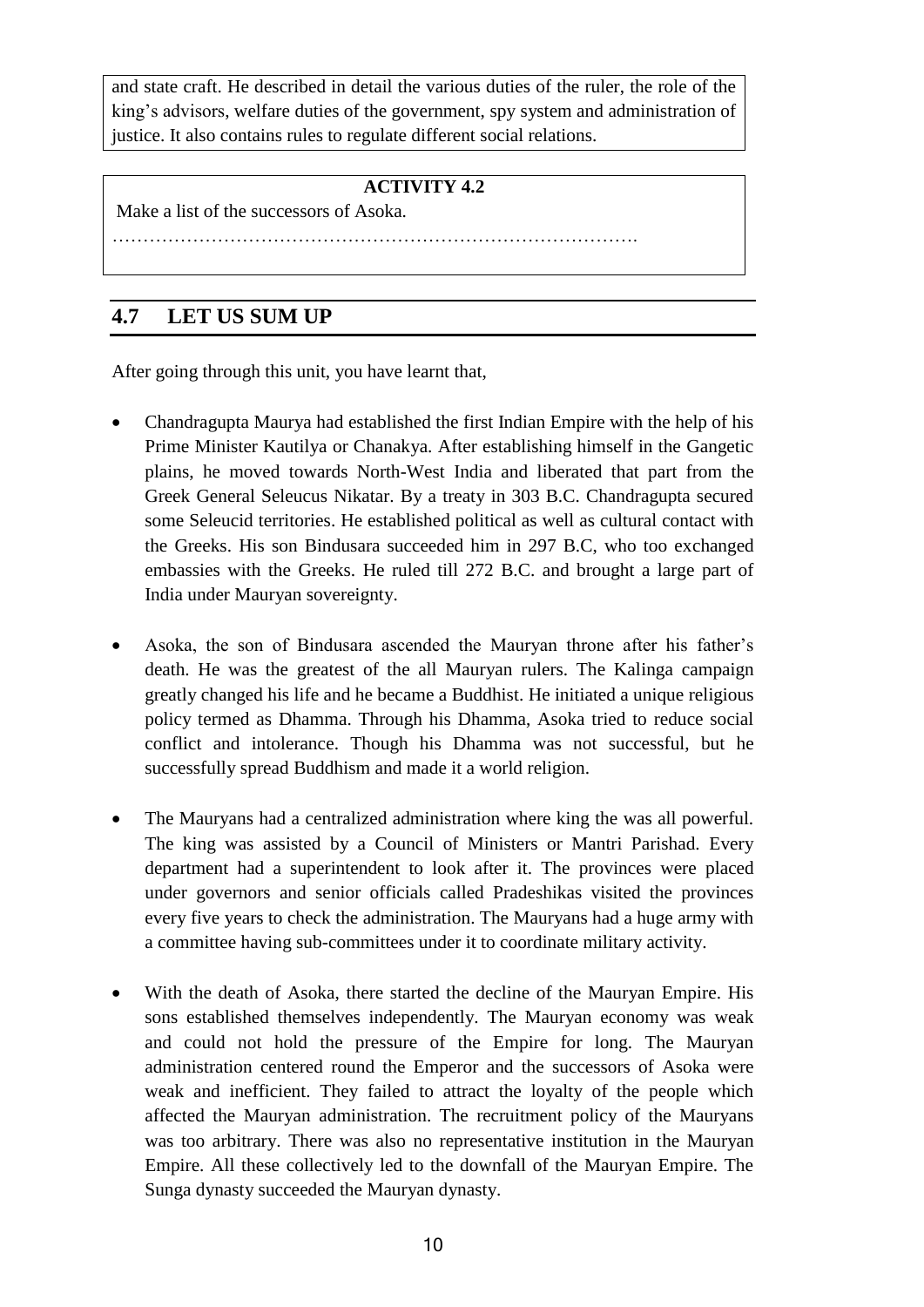realization of the concept of an Empire, primarily because of its decentralized form of administration. Whatever might be the fact, the Gupta period (starting from 4th century A.D. to of 6th century A.D.) is an important phase in Indian history with manifestation of excellence and glory in every walk of life. The Gupta period epitomised the enduring achievements of ancient Indian Civilization.

In this unit we will now discuss the Gupta Empire in detail. The emergence of the Guptas, the territorial expansion and consolidation by the Gupta rulers, the Gupta system of administration, and the factors that brought about the downfall of the Gupta dynasty will be the major part of discussion in this unit.

#### **5.3 EMERGENCE OF THE GUPTAS**

The origin of the Guptas, like most of the ruling dynasties of ancient India, is somewhat obscure in nature. Different theories have been put forward by historians from time to time about the origin of Gupta dynasty. Some historian believed that they were the rulers of a small principality in Magadha, while others held that their original homeland was the Western Gangetic plain. On the other hand, depending on their name, some historians tried to identify them as belonging to the *Vaishya* community, but some others tried to accord them with the status of a *Brahmana*.

Now regarding the question of their actual emergence, the Gupta records mentioned the name of the first three rulers of the family as Maharaja Srigupta, his son Maharaja Ghatotkachagupta and the latter's son Maharajadhiraja Chandragupta I . Depending on different records the majority of historians now confirm that during the 4th century A.D. there was a general tradition among the sub-ordinate chiefs to be normally styled as *Maharaja*, while the independent kings liked to call themselves *Maharajadhiraja*. As to the line of that description- the first two rulers of the Gupta dynasty appeared to be the feudatory chief, but it is difficult to know the name of their suzerain.



Fig. 10.1: Gupta Empire Source: Google Image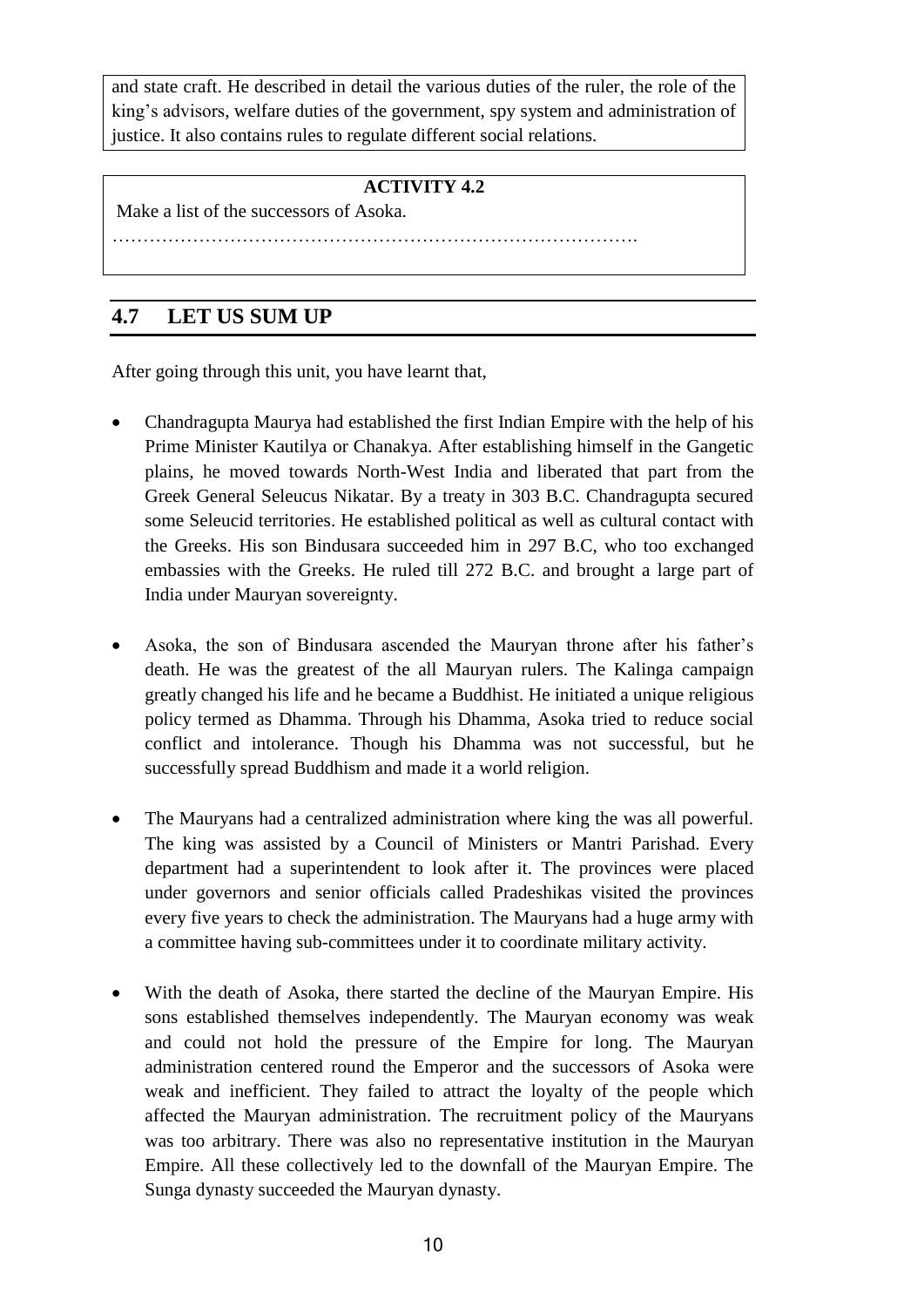#### **LET US KNOW**

I-tsing, a Chinese traveler, who visited India in the 7th century A.D. made some comments about the first Gupta ruler Srigupta, (275-300 A.D.) which was supposed to be a authentic one. According to him Srigupta's kingdom comprised of a portion of North Bengal and Bihar. Srigupta became a Buddhist and said to have constructed a temple for the Chinese pilgrims near Mrigashikhavana. The Vakataka records refer to Srigupta as the *adiraja* or the first ruler of the Gupta line. Srigupta was succeeded by Ghatotkachagupta.

Chandragupta I, the third ruler of the Gupta line succeeded Ghatotkacha and brought the house successfully under the full light of history by removing the veil of obscurity. It was he who determined the tract of an imperial identity for the Guptas in future. Chandragupta I married into the Lichchavi family, once an old established *Gana-Sangha* of North Bihar, now associated with the kingdom of Nepal. This Lichchavi-Gupta matrimonial alliance had a special significance for the emergence of Gupta power in future. Eminent historian Romila Thapar has put forwarded the view that perhaps the Guptas had no royal origin, and under such circumstances, the marriage alliance with an old prestigious family, had normally set a stamp of acceptability. On the other hand V.A Smith expressed the view that the Lichchavi Princess Kumaradevi brought to her husband as her dowry valuable influence which in due course of time offered him a paramount position in Magadha and in the neighbouring countries. In other words, it can be said that the marriage alliance of Chandragupta I was important less from the social point of view but more from political point of view.

After stabilizing his position in Indian politics, Chandragupta I successfully extended his rule over the main heartland of Gangetic plain which had included some of the important territories like Magadha, Saketa, Prayaga. This inclusion sufficiently proved his independent status to adopt the title like *Maharajadhiraja* or king of kings. Based upon the campaigns of Chandragupta I some historians consider his kingdom as consisting of whole of Bihar, a portion of Bengal except the part of Samatata or Eastern Bengal, Eastern U.P. i.e. a territory extending upto Benaras. However, there are lot of confusions over the question of the extension of his Empire. The establishment of the Gupta era from the date of his accession i.e. in and about 319- 320 A.D. has further highlighted the political importance of the reigning period of Chandragupta I, thus the first three rulers of the Gupta line had successfully established themselves as emerging power of Indian politics.

#### **ACTIVITY 5.1**

Prepare a list of the rulers of the Gupta dynasty.

………………………………………………………………………………………… ………………………………………………………………………………………… ………………………………………………………………………………....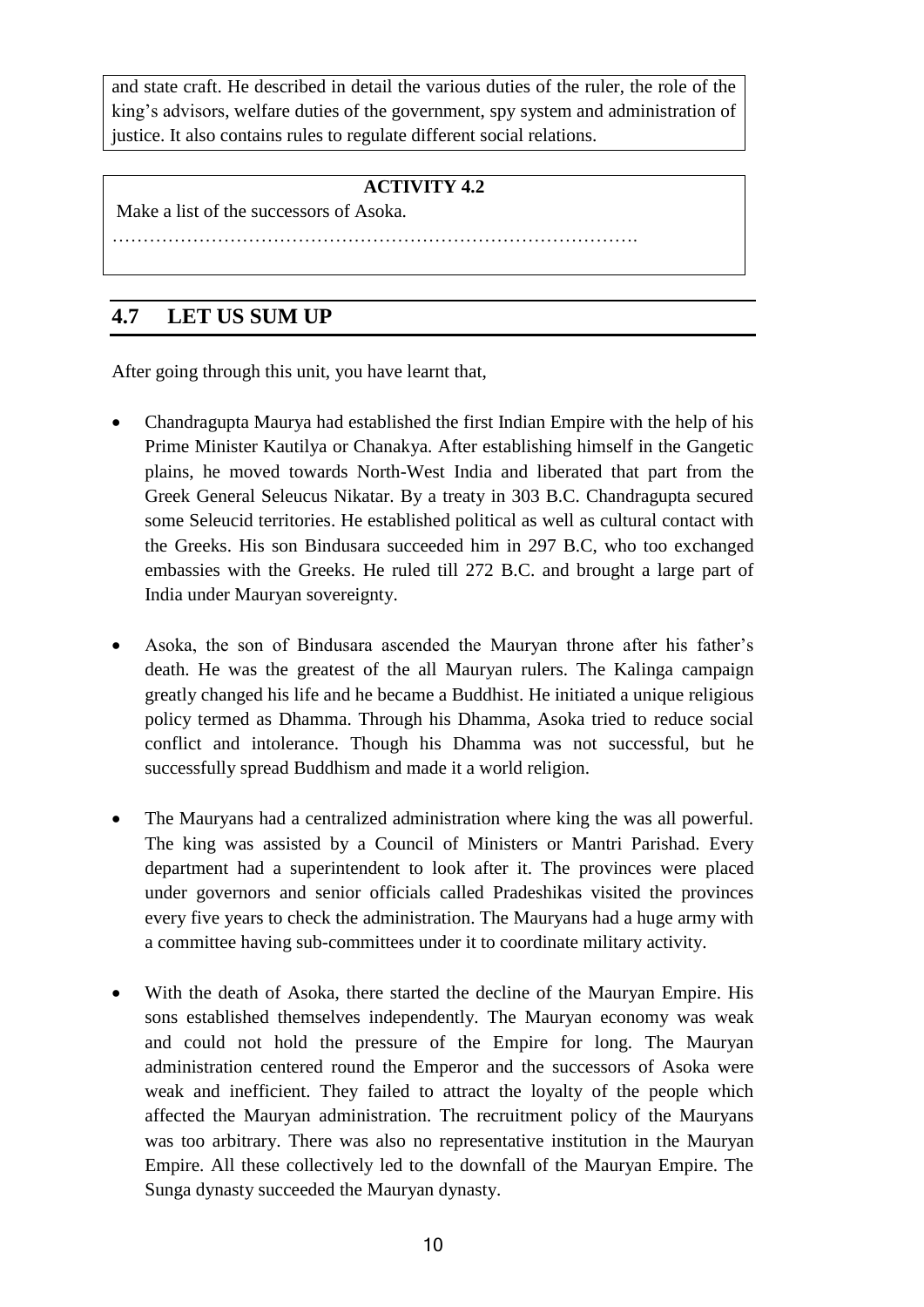### **5.4 EXTENSION OF THE GUPTA EMPIRE**

The Gupta rulers established a far flung Empire in India. They were very good conquerors and by the might of their sword, they occupied different areas, thereby extending the dominion of the Gupta Empire. In this section we will discuss the extension of the Gupta Empire.

#### **5.4.1 Samudragupta's Policy of Expansion**

The extension of Gupta Empire was mainly the handi-work of great Gupta Emperor Samudragupta, who ascended the throne in about 335 A.D. The main source of information of his campaign is a lengthy eulogy, inscribed on an Asokan Pillar at Allahbad known as the *Allahbad Pillar Prasasti*. The writer of this eulogy was his court poet Harisena. Apart from this inscription, the Bhitari Seal and Pillar, different numismatic evidences, along with *Vayu Purana* and *Bhagavata Purana* throw a good deal of light on the political condition of India at that time.

There is a controversy regarding a civil war for the throne, on the basis of a Sanskrit term *Tulya Kulaja* i.e. 'Princes of Equal Birth'. Allahabad *Prasasti* clearly states that Samudragupta was nominated to the throne by his father Chandragupta I on the occasion of a full session of royal court. His nomination probably offended the Princess of his equal birth as some historians think and provided an opportunity of a revolt under the leadership of an obscure Prince Kacha. This Kacha was supposed to be the eldest brother of Samudragupta. But subsequent numismatic evidence proves that Kacha was an alias of Samudragupta himself. This view is yet to gain the general acceptability of the scholars and it still remains as a matter of further research. Whatever might be the trouble that led to his coronation, Samudragupta had successfully overcome it.

*Allahbad Pillar* Inscription gives an impressive list of kings and the region that were conquered and brought under various degrees of his subjugation. Depending on that list the victorious campaign of Samudragupta can be discussed in the following.

The great king started his career of expansion by subjugating the neighbouring kings in the Ganga-Yamuna Valley and thus tried to consolidate his position at home before he started his campaign in the remote South. It was at that initial strokes that he defeated four important kings of modern UP and Central India. They were Achyuta of Ahichhatra (Modern Ramnagar and Rai Bareilly district of U.P) Nagasena of Mathura, Ganapati Naga of Padmavati (Gwalior) and the Prince of the Kota family (yet to be ascertained).

Samudragupta was a great conqueror. After consolidating his position in and around his home tract of Magadha, he might have started his campaign towards *Dakshinapatha* (South India). It is interesting that his South Indian campaign was formulated with a theory of *Dharmavijaya* which was marked by three principles namely Grahana (capture of the enemy), *Moksha* (liberation) and *Anugraha* (principle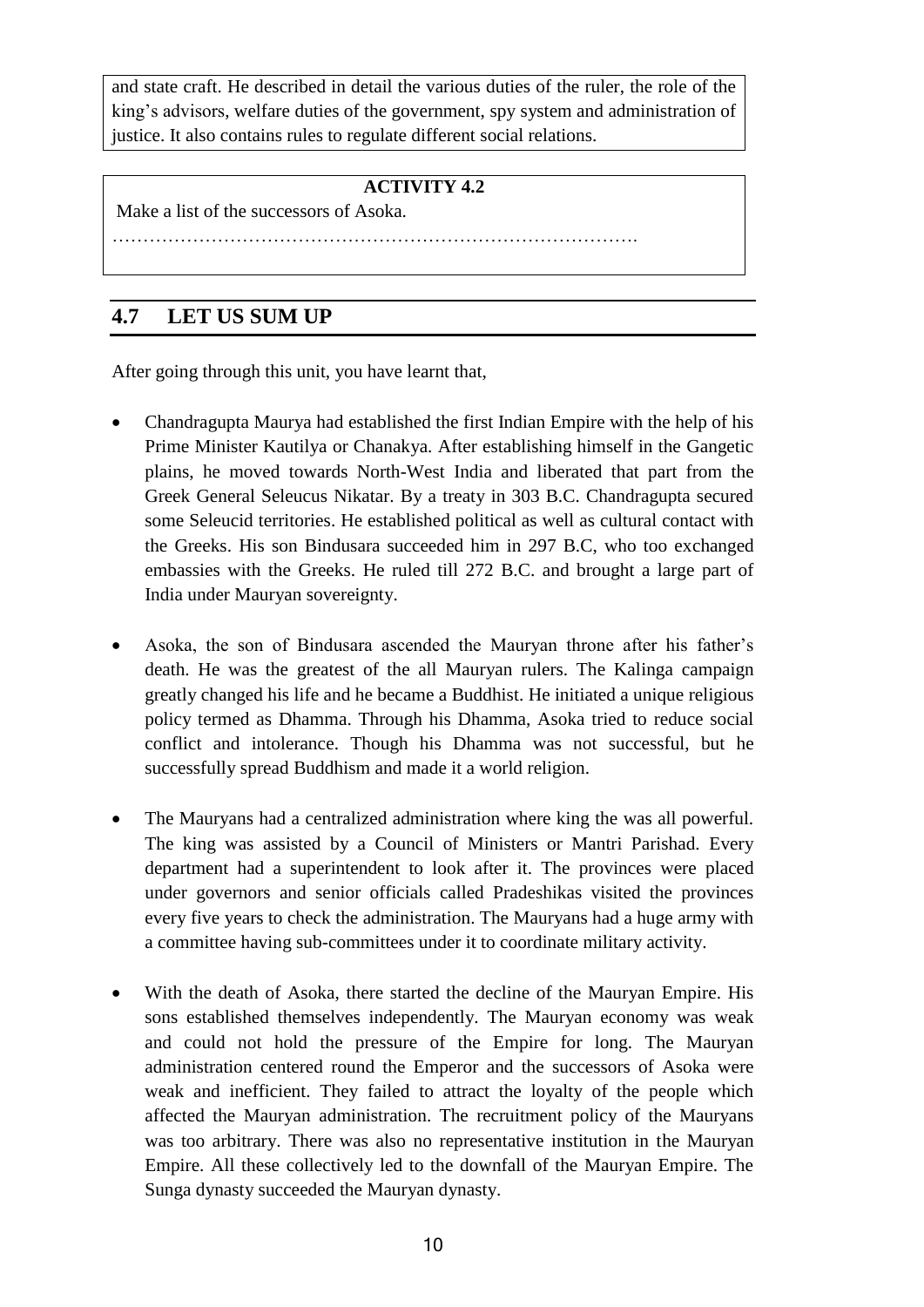of favoring by reinstating the enemy). During the course of his campaign, Samudragupta defeated as many as twelve kings of South India, whom he first captured and then liberated and ultimately reinstated in their respective kingdom. The list of the twelve South Indian kings as put forward by the Allahbad Prasasti are as follows Mahendra of Kosala (Bilaspur, Raipur, Sambalpur district), Vyaghraja of Mahakantara (forest tract of Jaipur region of Orissa), Mantaraja of Kurala (yet to be ascertained), Mahendragiri of Pishtapuram (Pithapuram in Godavari district), Svamidatta of Kottura (Ganjam district), Damana of Erandapalla (Vizagopatam district), Vishnugopa of Kanchi, Hastivarman of Vengi (Ellore in Krishna- Godavari district), Nilaraja of Avamukta (yet to be ascertained), Ugrasena of Palakka (Vellore district), Kuvera of Devarashtra (Gapatam district) and Dhananjaya of Kushalapura (in North Arcot district).

Probably when Samudragupta was engaged in his Southern Campaign, some of the North Indian rulers, by taking the opportunity of his absence, might have started a revolt against him. To deal with the matter Samudragupta hurried back home and found that nine of his hostile North Indian kings formed a confederacy to resist his victorious campaign. Among these nine rulers- three of them were the Naga rulers of Central India, namely Achyuta, Nagasena and Ganapati Naga whom he had defeated in his earlier campaign. The other six rulers of North India to form the confederacy were: Rudradeva (identified as Rudrasena I of Vakataka), Matila (Western UP), Nagadatta, Nandin, Balavarman and three other Naga rulers of Central India. Inspite of their combined efforts, the descriptions of Poet Harisena has made it clear that Samudragupta not only defeated them but also uprooted them violently.

Apart from these three major campaign Samudragupta also defeated some of the forest kings or the tribal chiefs of Central India and the Deccan. Along with that, nine republics, including the age old *Malavas, Yaudheyas, Madrakas* were also forced to accept the Gupta suzerainty. His victory over the tribal and the republican states proved to be disastrous one for the later Guptas. Accordingly, when the Hunas invaded North-Western India, including Punjab and Rajasthan, no power was there to act as a buffer for the Gangetic plain.

The impression of his power compelled some of the frontier states *Pratyanta Nripatis* like Samatata (South-Eastern Bengal) Davaka (Dabaka in Nagaon district of Assam) Kamarupa, Nepal, Kartripura, to become voluntarily his vassals by paying tribute, obeying his order and offering him personal homage. Apart from that even some of the independent or semi-independent foreign powers beyond the frontier of Samudragupta's Empire like *Daivaputra Shahi Shahanu Shahi Saka Murundas*, etc also entered into sub-ordinate alliance with him. Moreover, Meghavahana, the king of Ceylon (Sri Lanka) maintained diplomatic relation with him.

Thus, the Gupta Empire during the time of Samudragupta included whole of North India except the tract of the Saka rule in Western India, Kashmir, Western Punjab,Western Rajputana. In the South, the Gupta hegemony was extended even upto the tract of Tamil Nadu. Despite his all round conquest of the Indian subcontinent, the main area of his rule, however was much more limited as his direct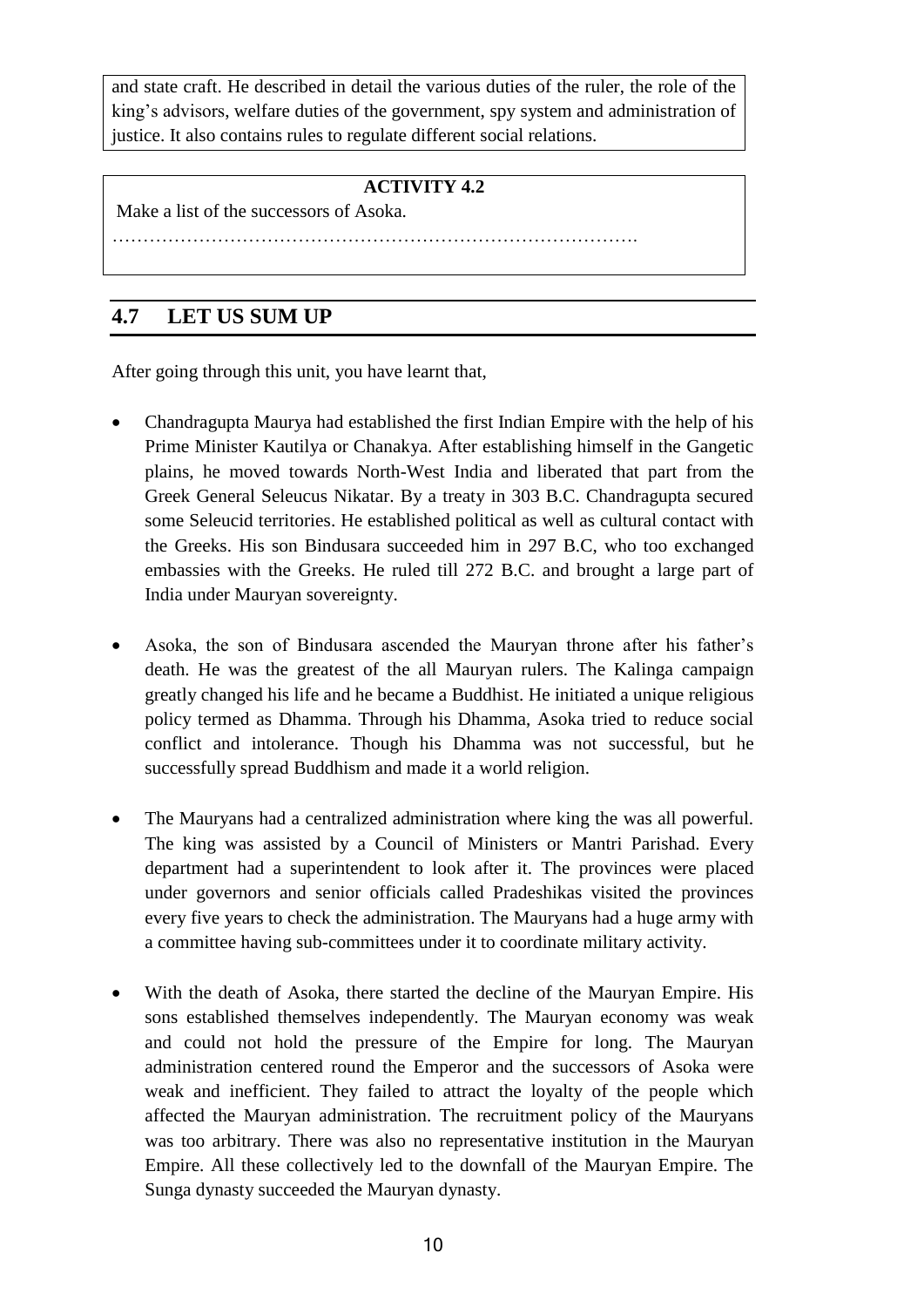rule comprised only of U.P, Bihar, West Bengal a portion of Central Province and Vindhya region. To commemorate his victory Samudragupta performed the *Asvamedha* Sacrifice (Horse Sacrifice), the performance of which is often regarded in history as a symbol of imperialism.

#### **5.4.2 Chandragupta II's Policy of Expansion**

There was another important phase of expansion of Gupta history, which started with the reigning period of Chandragupta II, son and successor of Samudragupta. This was a campaign against the Sakas of Western India. This campaign took place in between 388-409 A.D. The main source of information of this campaign are the two inscriptions in Udaygiri and Vishakhadatta's Sanskrit drama *Devi Chandraguptam*. According to the story of the drama, after the death of Samudragupta, his eldest son Ramagupta became the king of the Gupta Empire. The name of the wife of the king Ramagupta was Dhruvadevi. The Sakas invaded the Gupta territory and Ramagupta failed to resist the Saka invasion. Ultimately he had to make an agreement with the Saka ruler to surrender his wife Dhruvadevi in return for his kingdom. Chandragupta II who was the younger brother of Ramagupta was disgusted with the action of his elder brother and he in a heroic attempt not only rescued Dhruvadevi from the Sakas but also killed the Saka king. Then Chandragupta II killed his elder brother and occupied the Gupta throne and married queen Dhruvadevi. Whatever might be the truth, the story in its turn confirmed the natural tendency of Westward expansion of Gupta Empire which Samudragupta left to his successor.

As we have already discussed, Samudragupta had extended the frontier of the Gupta Empire on all sides. He left his vast Empire to his successor Chandragupta II. We have to depend upon various literary and geographical evidences for forming our idea about Chandragupta II's conquests. Samudragupta had extended his frontier East and Southward. His Westward expansion halted at Eastern Malwa. Further expansion Eastward and Southward was not possible. Hence the natural tendency of expansion in the reign of Chandragupta II lay Westward against the kingdom of the Saka Satrapas of Western Malwa and Gujarat. He feared an alliance between the Sakas and the Vakatakas of Maharastra and the Nagas.

Therefore, he followed a policy of isolating the Sakas by forging a matrimonial alliance with the Vakatakas and the Nagas.

As a result of that Chandragupta II married Kuvera Naga, a Princess of the Naga family and won the friendship of the Naga power. The Nagas formed a powerful political force in Central India and their alliance consolidated Gupta authority in the region. Prabhavati Gupta, the daughter of Chandragupta II and his queen Kuvera Naga, was married to Rudrasena II, the Vakataka ruler of Maharashtra. The geographical position of the Vakataka kingdom was such that it could be of immense help to Chandragupta II for his projected campaigns against the Sakas of Kathiwar and their hostility could seriously embarrass him. Moreover, the Vakataka alliance was a useful deterrent against any future revolt of the Sakas in Saurashtra. Rudrasena II had died at an early age and after his death Prabhavati.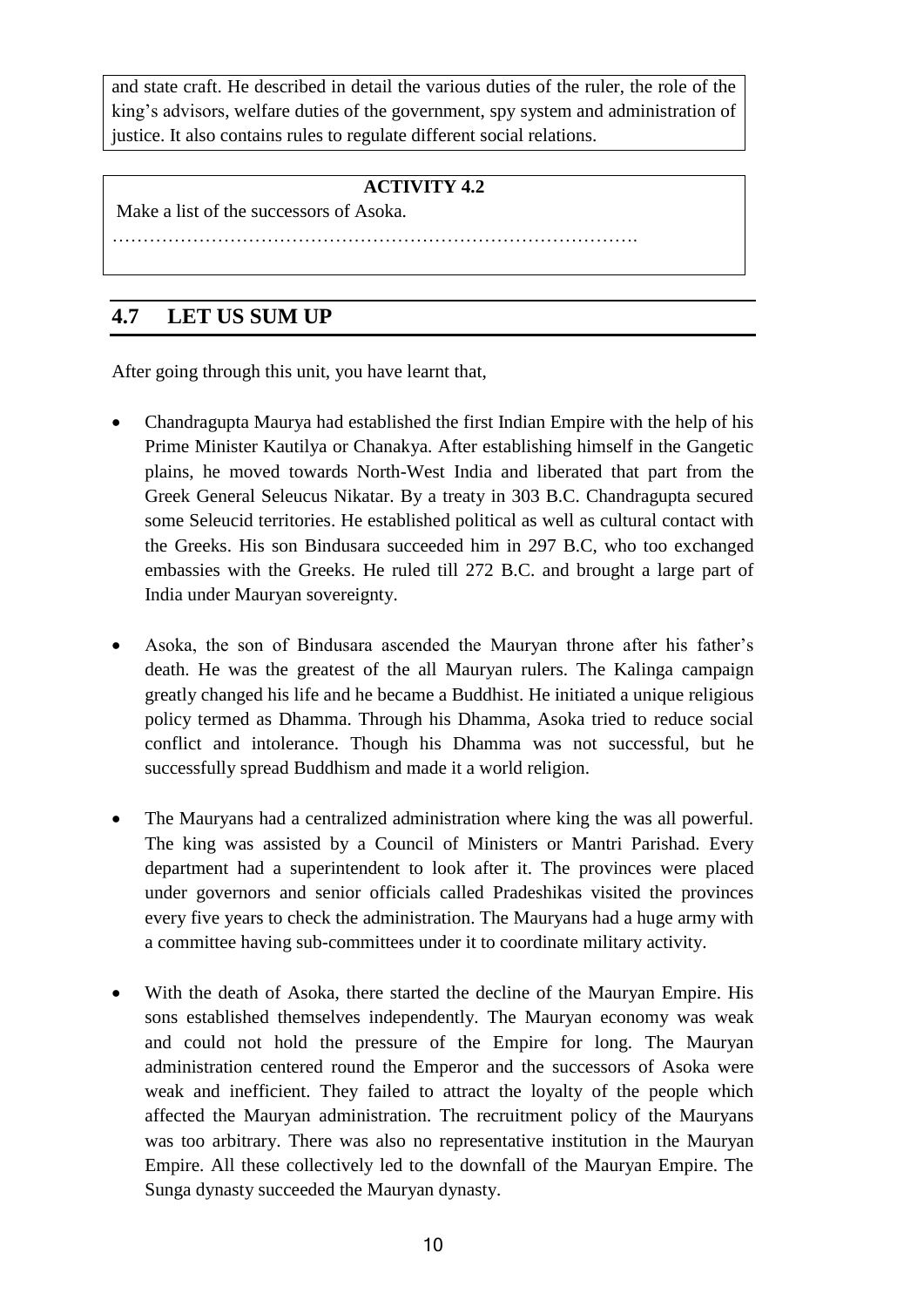Gupta became the regent of her minor sons, which indirectly increased Gupta influence in the Vakataka court. According to a tradition, Chandragupta II or his son married a Kadamba Princess of the Kuntala country. This marriage is politically useful for operation against the Sakas. Thus, by a policy of matrimonial alliance with the Nagas, Vakatakas and Kadambas, Chandragupta II encircled the Sakas.

Chandragupta II's brilliant victory over the Saka Satrap united Western India with the rest of Northern India. It rounded off the Gupta Empire by pushing its Western limit to the natural frontier on the Arabian Sea. The Gupta Empire now extended from the Bay of Bengal in the East to the Arabian Sea on the West. The annexation of Saurashtra and Malwa by Chandragupta II opened up to the Guptas free access to the ports of the Western coast especially to the part of Barygaza. Indian trade between Northern and Western India vastly increased as a result of the conquest of Malwa and Saurashtra. The city of Ujjaini lay on the high road of trade between the Northern and Western India. The city became a great emporium of trade. It became a great centre of culture and religion. Chandragupta II converted this city into his second capital. However, Chandragupta II's great victory over the Sakas is not directly mentioned in any official epigraph of the Guptas.

Chandragupta II's greatest achievement was the conquest of Malwa, Gujarat and Kathiwar from the Western Saka Satraps. The Sakas of Western India were a very powerful neighbour. They remained a thorn on the side of the Gupta Empire. Chandragupta II, while he was a crown prince, acted as a governor of Eastern Malwa and was conscious of the Saka problem on the frontier. He connected Eastern Malwa as his lease of operation against the Saka Satrap Rudrasinha II. This is corroborated by the *Udayagiri Inscription* and also by the *Harshacharita*. The *Mehrauli Iron Pillar* (near the Qutub Minar inDelhi) Inscription refers to the exploit of a king Chandra who quelled a rebellion in Bengal and vanquished the rulers of the Sapta Sindhu area. As Chandragupta II is called 'Chandra' in his coin, historians generally accept his identification with the Chandra of the inscription. With the end of the reigning period of Chandragupta II, the period of expansion of Gupta Empire has come to an end. Despite his important conquests he was remembered not as a great conqueror but as a consolidator.

#### **CHECK YOUR PROGRESS**

Q 3: Write True / False:

- a) Harisena was a court poet.
- b) Tulya Kulaja means Princes of Unequal Birth.
- c) Dakshinapatha means the Western part of India.
- d) Devi Chandraguptam is a Sanskrit drama of Vishakhadatta.
- e) Chandragupta II married Kuvera Naga.
- f) Ujjaini lay on the high road of trade between the Northern and Western India.

Q 4: What is the main source of information for Samudragupta's policy of conquest?

………………………………………………………………………………………..

#### Q 5: Who was Ramagupta?

......................................................................................................................................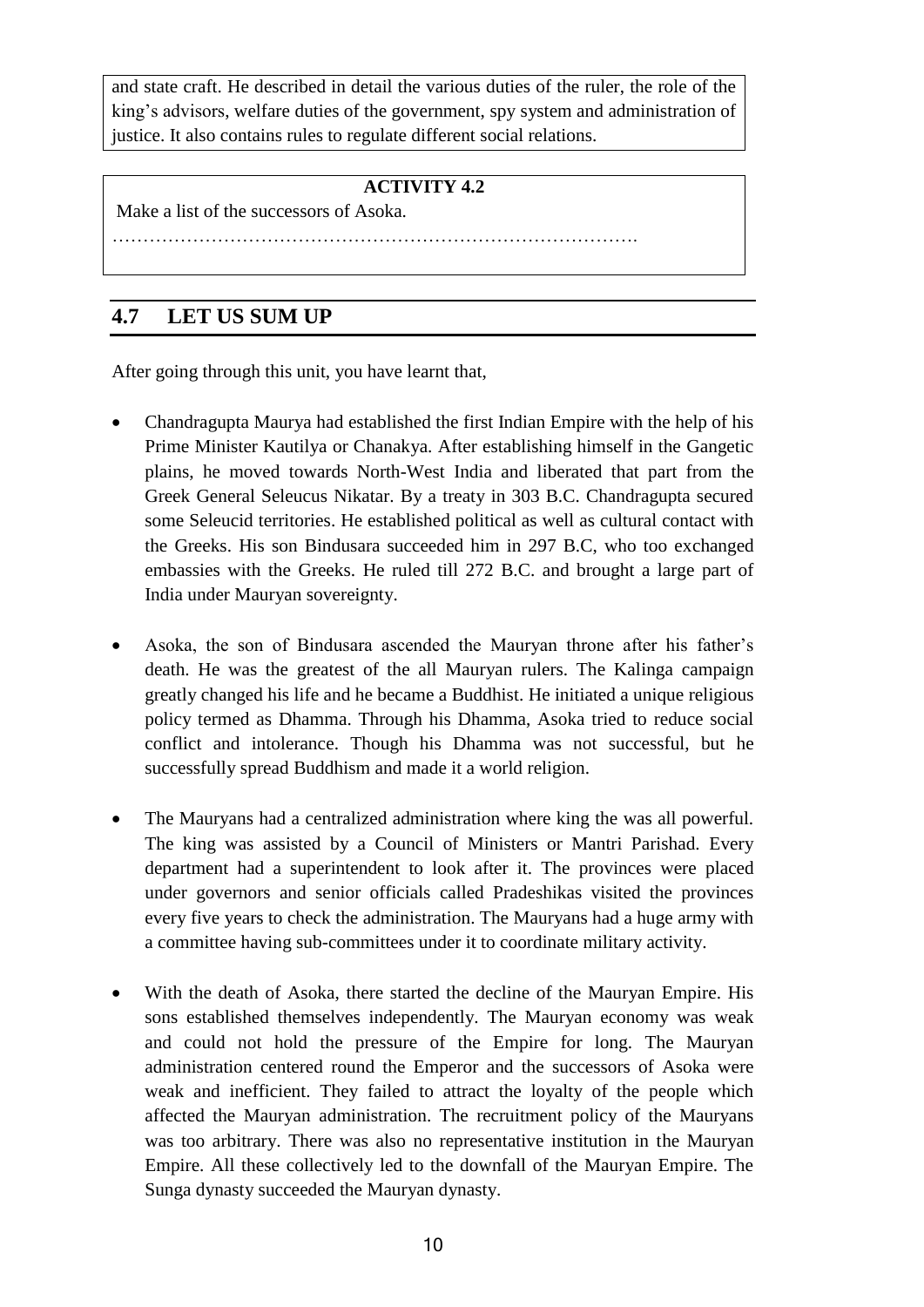Q 6: Write about Samudragupta's policy of conquest towards South India in about 60 words.

```
..........................................................................................................................................
    ..........................................................................................................................................
             ..........................................................................................................................................
    ..........................................................................................................................................
```
# **5.5 CONSOLIDATION**

After the vigorous campaign of Samudragupta, there came a phase of consolidation and stabilization. Samudragupta left for his successor Chandragupta II a legacy of a vast Empire. Justifying his nomination, the fifth ruler of the Gupta line had not only completed the work left undone by his father, but also assimilated large number of tribal tracts, including the territories ruled by the Sakas and the Kushanas in Western India, Samatata or a part of Eastern Bengal.

As we have discussed earlier, Chandragupta II liberated Western India from the age old servitude of the Saka Satraps. Thus, by bringing the land between the Bay of Bengal and Arabian Sea under the shadow of an Imperial identity, Chandragupta II completed the work of the political unification of Northern India.

In consolidating the Gupta power in India the political marriage had always played a vital role. At the stage of their emergence the Lichchavi marriage alliance provided them with political status and acceptability. Similarly, at the stage of consolidation also marriage alliances provided them an opportunity to strengthen their hold further in North Indian politics. Chandragupta II, the great consolidator concluded a number of marriage alliances with different Indian rulers which created a ring of a friendly states around him. Except the campaign against the Western Saka, no major military expedition had been taken by Chandragupta II. The entire period of his reign was a peaceful one. His pacific policy further strengthened the process of consolidation of the Gupta Empire.

As a result of his pacific policy Gupta history entered into a phase of cultural renaissance. It provided him an opportunity to pay more attention to the development of Gupta art and culture. Chandragupta II was known as the patron of legendary Nine Gems or *Nava Ratna*, of whom Kalidasa was the most prominent one. This great poet Kalidasa immortalized the age by his great literary creations.

The Gupta period witnessed the ultimate revival of Brahmanical culture which saw its beginning in the horse sacrifice of Samudragupta. One of the main vehicles of this Brahmanical culture was the Sanskrit language. By patronizing the gems of the Sanskrit literature, Chandragupta II put it at the pin node of its glory. By patronizing the creative spirit of his age, he successfully enhanced not only the military but also the cultural pride of the Empire and consolidated the position of Gupta Empire as a centre of creative activity.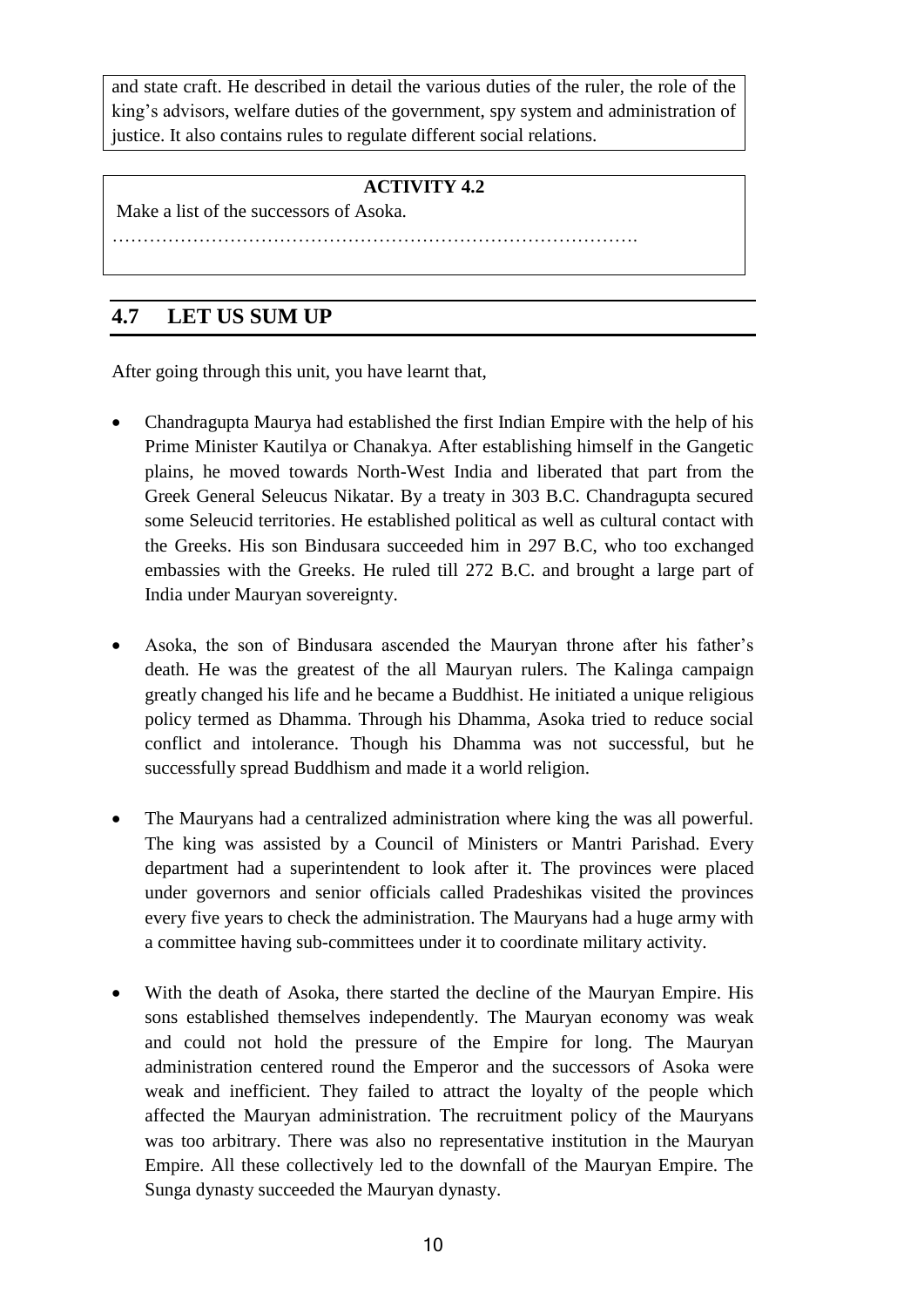#### **LET US KNOW**

The Nine Gems or *Nava Ratna* were Kalidasa, Khatakarpara, Dhanwantari, Varahamihira, Kshapanaka, Shankhu, Amarasimha, Vetalbhatt (or Vetalabhatta) and Vararuchi.

#### **CHECK YOUR PROGRESS**

Q7: Which marriage alliance initially provided the Guptas political status and acceptability? ..................................................................................................................................... Q 8: Who provided patronage to the Nava Ratna? ..................................................................................................................................... Q 9: Who was the most prominent amongst the Nava Ratna? ……………………………………………………………………………………….

# **5.6 POLITY AND ADMINISTRATION**

We have a few important sources for the study of the Gupta polity and administration. Some literary sources like various *Smritis*, *Manava Dharma Sastra*, *Yajnavalka Smritis*, *Narada Smriti* and Kamandaka's Nitisara, etc are important sources. The Damodarpur and the Eran Inscriptions throw light on Gupta administration. Let us analyse the polity and administration of the Guptas.

Monarchy was advocated as an ideal system of government in the Gupta period. There were some tribal republics like those of the *Malavas*, *Yaudheyas*, *Arjunayanas* in Northern India. There was always contradiction between the two systems of government. Kingship being sanctioned by the Brahmanical *Shastras* was powerful and aggressive against the republics.

The king or *Samrata* was at the head of the government. He ruled by hereditary right. The Gupta Emperors adopted the high sounding titles of *Maharajadhiraja*, *Paramabhattaraka*, etc. They brought additional lustre to their position by claiming for themselves divine origin and super human qualities. Hence, they assumed magnificent titles like *Paramesvara*, *Achintyapurusha*, *Lokadhamadeva*, *Paramadaivata*, etc.

Theoretically, there was no limit on the king's power. He ruled over his vast Empire with absolute command over all the branches of the government. He was the supreme commander of the army. Samudragupta and Chandragupta II personally led the army. The governors, important civil and military officers were appointed by the king and they held office at his pleasure. The central bureaucray functioned under his personal supervision. The king was the master of all lands and he could grant them to anybody.

However, the claim of divine origin and the enjoyment of vast theoretical rights did not convert the Gupta Emperors into crude despots without any touch of benevolence among them. Samudragupta and Chandragupta II were aware of their duties to the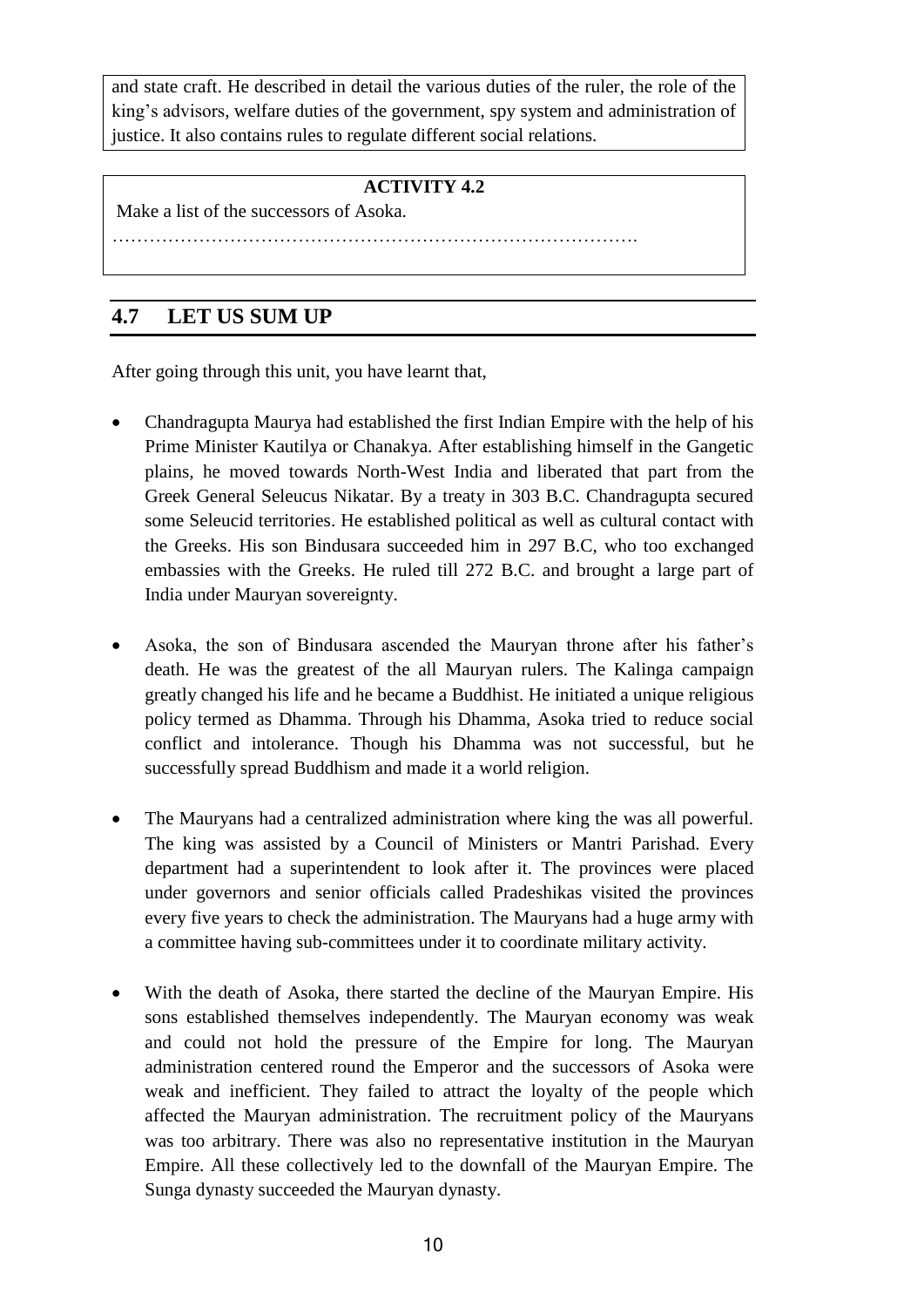people. The government did not interfere in the daily life of the people. It was sympathetic to people's needs. Moreover, there were certain practical checks on the king's authority and power. He had to share power with high officials. It was a custom for the king to abstain from routine duties of ministers. He had to obey the rules laid down by the *Dharmashastras*. The local bodies enjoyed a good deal of autonomy in which he normally did not interfere. Moreover, the system of granting agrahara and *brahmadeya* lands led to increasing decentralization in administration and weakening hold of the central authority. The succession to the throne was hereditary but the Emperor reserved the right of selecting the heir apparent. Samudragupta was nominated by Chandragupta I as his successor from among the sons of the latter. Kumaragupta I probably nominated Skandagupta. But the system of nomination was not free from trouble.

The king was the supreme head of the government. Next in rank to him was the *Yuvaraja* or crown prince. The *Mantrin* or ministers stood at the head of the civil administration and their offices were generally hereditary. Perhaps some other high offices were also hereditary and limited to a number of families only. The *Mahadandanayakas* held offices in hereditary capacity. *Sandhivigrahika* or minister of war and peace was a new office of minister created in the Gupta period. Some of the ministers combined different offices at the same time. We do not know whether there was a *Mantri Parishad* or Council of Ministers of the Mauryan type. Kalidasa refers to a council of ministers whose decision was conveyed to the Emperor by the chamberlain or *Kanchuki*. Generally, ministers acted as individual advisers and assistants of the king.

The vast Empire of the Guptas could only be managed with the help of an organized bureaucracy. The central and provincial officials were differentiated by their designation. Among the high officials in the central administration mention may be made of *Mahabaladhikrita* (commander-in chief), *Mahadandanayaka* (chief general), *Mahapratihara* (chief of the palace guards), *Sandhivigrahika* (minister in charge of war and peace), *Akshapataladhikrita* (keeper of State documents); *Mahakapati* (head of the cavalry force), etc. They were assisted by a host of junior officials. There was no distinction between civil and military officials and sometimes both duties were combined in a single person.

There was another class of officials called *Kumaramatyas* and *Ayuktas*. They worked as the link between the central and provincial administration. High imperial officers and officers of the personal staff of the Emperor were included in the rank of the *Kumaramatyas*. It is said that *Kumaramatyas* means ministers for *Kumara* or crown prince. It is also said that *Kumaramatya* was a cadet or apprentice minister, who was minister from youth. However, *Kumaramatyas* served both the Emperor and crown prince and served in the province and district level. *Ayuktas* were employed by the Emperor specially in districts and metropolitan towns. They also performed the duty of restoring properties of the defeated king who had been reinstated.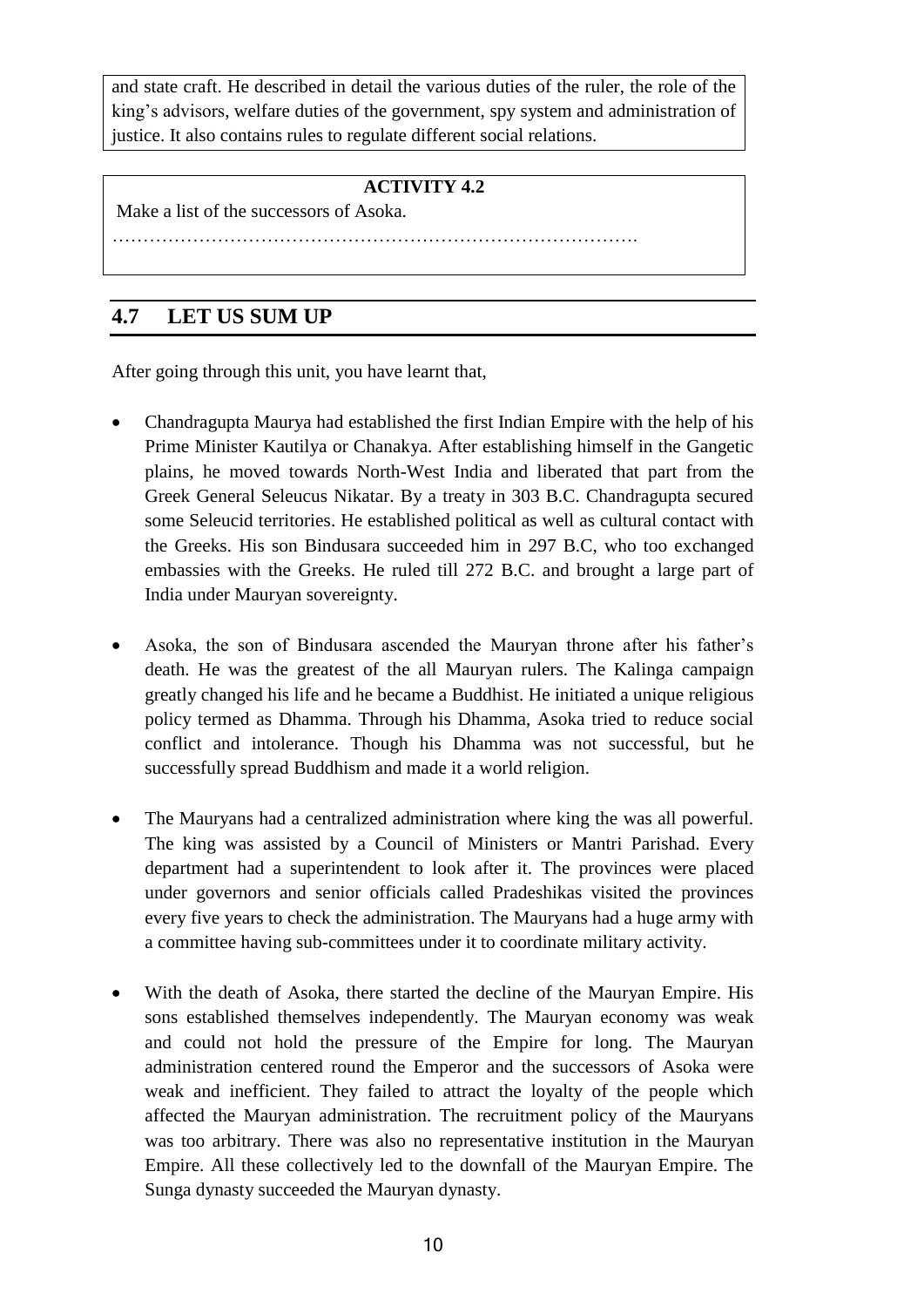#### **5.6.1 Administrative Divisions**

The Empire was divided into a number of provinces. The usual names of the provinces were *Bhuktis*, *Desas* and *Bhogas*. The provinces were sub-divided into districts called *Vishayas*. A part of the *Vishaya* was called *Vithi*. The villages or *Grama* were the lowest administrative units.

The provinces called *Bhuktis* were governed by officers called *Uparikas* or sometimes by princes of royal blood bearing the title *Maharajajouta Devabhattarka*. The provinces called Desas were governed by officers called Goptis or wardens of the marches. The districts or Vishayas were ruled by district officers styled *Vishayapatis*, *Kumaramatyas* and *Ayuktas*. Sometimes districts were governed by feudatories or Samantas. Usually the district officer was appointed by the provincial governor, though sometimes he was directly appointed by the Emperor. The *Ayuktas* served as a link between the central and district administration as discussed earlier. The Vishayapati or district officer generally acted under the *Uparikas* or provincial governors as testified by the Damodarpur Copper Plate. The *Antarvedi Vishaya* or the Doab region was the heartland of the Gupta Empire. The *Vishayas* were pivots of the Gupta provincial administration. In every *Vishaya* perhaps there was an advisory council or *Parishad* comprising local representatives. (village headman), *Bhojakas*, etc. The *Gramikas* ruled the villages with the help of village councils. He was a paid official of the state. The *Talabara*, *Vinayasthitisthapaka* were new dignitaries vested with military and religious and judicial duties respectively.

Some North Bengal inscriptions throw an interesting sidelight on the association of popular representatives in the Gupta administration. In the provincial, district or village level of administration, the officer in charge was assisted by an *Adhikarana* or Council consisting of local representatives. In the cities, the Municipal Boards (Adhikaranas) consisted of guild president, chief merchant or *Nagara Shresthi*, chief artisan or *Prathama Kulika* and chief scribe or *Prathama Kayastha*. In the districts and villages the Boards consisted of village head-men, householders, etc. The Guptas made a bold administrative experiment by associating popular elements in the administration.

#### **LET US KNOW**

Beyond the Empire under direct rule of the Guptas lay the frontier states both monarchical and republican. With politic generosity the Guptas left them in a position of sub-ordinate status of vassals to the Gupta suzerain without disturbing their internal autonomy. Samudragupta's *prasasti* (eulogy) gives a long list of such frontier vassal states brought under his sub-ordinate dependence. Their status varied according to their relative strength in comparison with that of the suzerain power. Among the states in the Eastern frontiers were the monarchies of Samatata, Kamarupa, Davaka, Nepal and Kartripura and on the Western frontier the nine tribal republics of Punjab and Rajputana.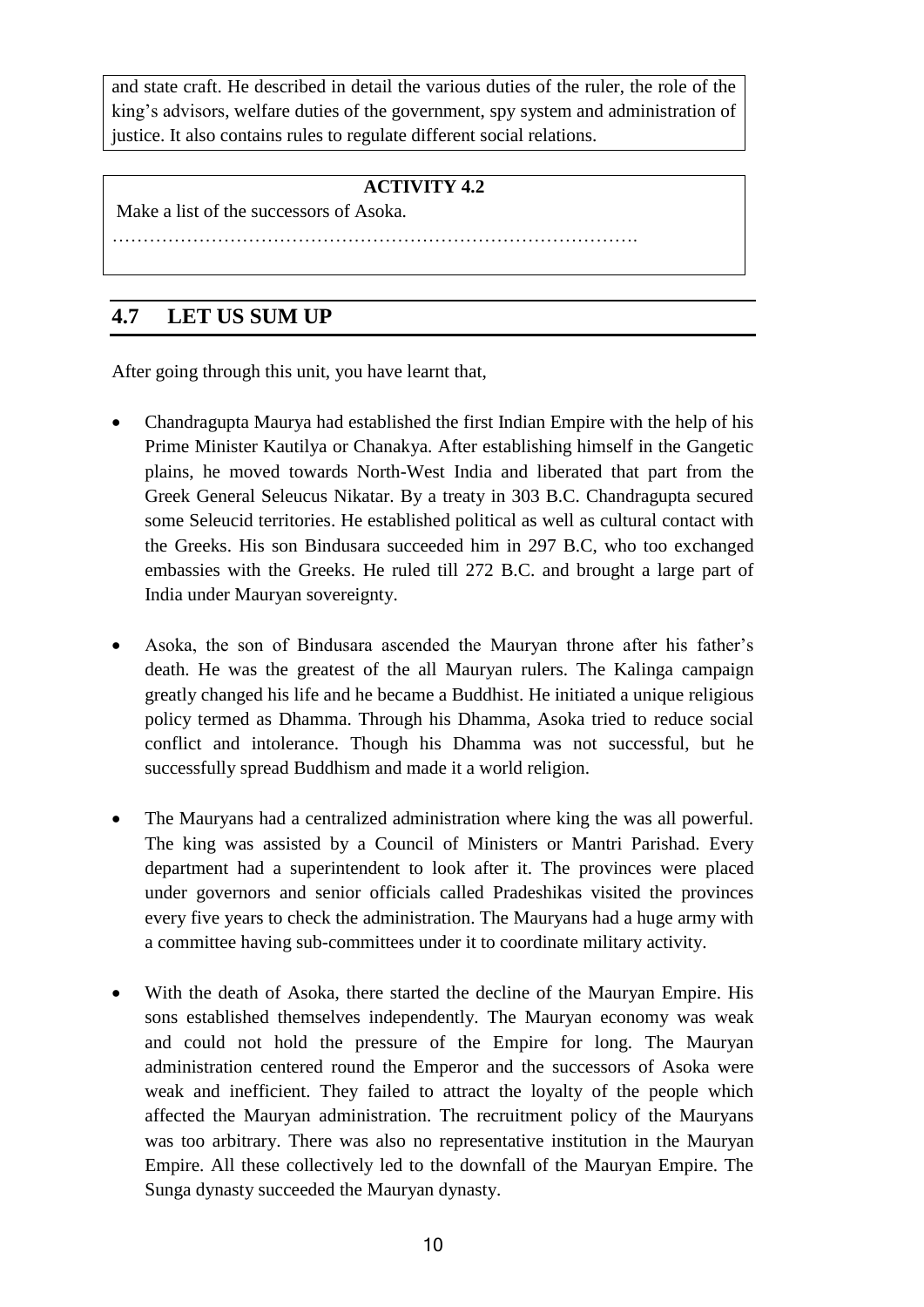### **5.6.2 Judicial Administration**

The inscriptions of the Guptas do not throw any definite light on their judicial system. The *Katyayana Smriti* lays down in the traditional way that the king is the highest judge. He personally attended the court to listen to cases and was assisted by the body of Ministers (*Amatyas*) , Judges (*Pradvivaka*), Brahmins (*Purohita*). In the cities, the city magistrates were assisted by the heads of the Shrenis or guilds, merchants, etc. In the villages, the village panchayats or family gatherings (*Kulas*) disposed of the cases. The criminal law as a whole was lenient as testified to by the Chinese pilgrim *Fa**hien*.

#### **5.6.3 Revenue Administration**

The main sources of royal revenue were various types of land revenues, fines realized for offences, commercial taxes and tax on salt, taxes on mines, etc. Exemptions from taxes were granted to villages on some occasions. The officials were recruited on the basis of merit and ability. No distinction between caste and creed was made. Guilds continued to flourish among the merchants and artisans.

The guilds or *Shrenis* were autonomous, and the guilds were governed by their own laws. Even the Buddhist Churches or *Sanghas* participated in trade and acted as bankers or *Shresthis* and lent money on interest. The state and the village society collectively held the ownership of land and without mutual consent land could not be bought or sold.

As a whole, the Gupta administration had a benevolent character and people lived happily under it. The benevolent ideal of the government even survived after the fall of the Gupta Empire. The Kalachuris, the Chalukyas and the Rashtrakutas were inspired by the models of the Gupta administrative system.

| <b>CHECK YOUR PROGRESS</b>                                                                                           |                              |  |  |
|----------------------------------------------------------------------------------------------------------------------|------------------------------|--|--|
| Q 10: Match the following:                                                                                           |                              |  |  |
| Samrat<br>a)                                                                                                         | 1 Chamberlain                |  |  |
| b) Sandhivigrahika                                                                                                   | 2. Provincial Officer        |  |  |
| Kanchuki<br>$\mathcal{C}$ )                                                                                          | 3. Head of the Cavalry Force |  |  |
| Mahakapati<br>d)                                                                                                     | 4. Record Keepers            |  |  |
| Goptis<br>e)                                                                                                         | 5. King                      |  |  |
| Pusta Palas                                                                                                          | 6. Minister of War and Peace |  |  |
| Q 11: Who was Mahabaladhikrita?<br>Q 12: Write a note on the revenue administration of the Guptas in about 50 words. |                              |  |  |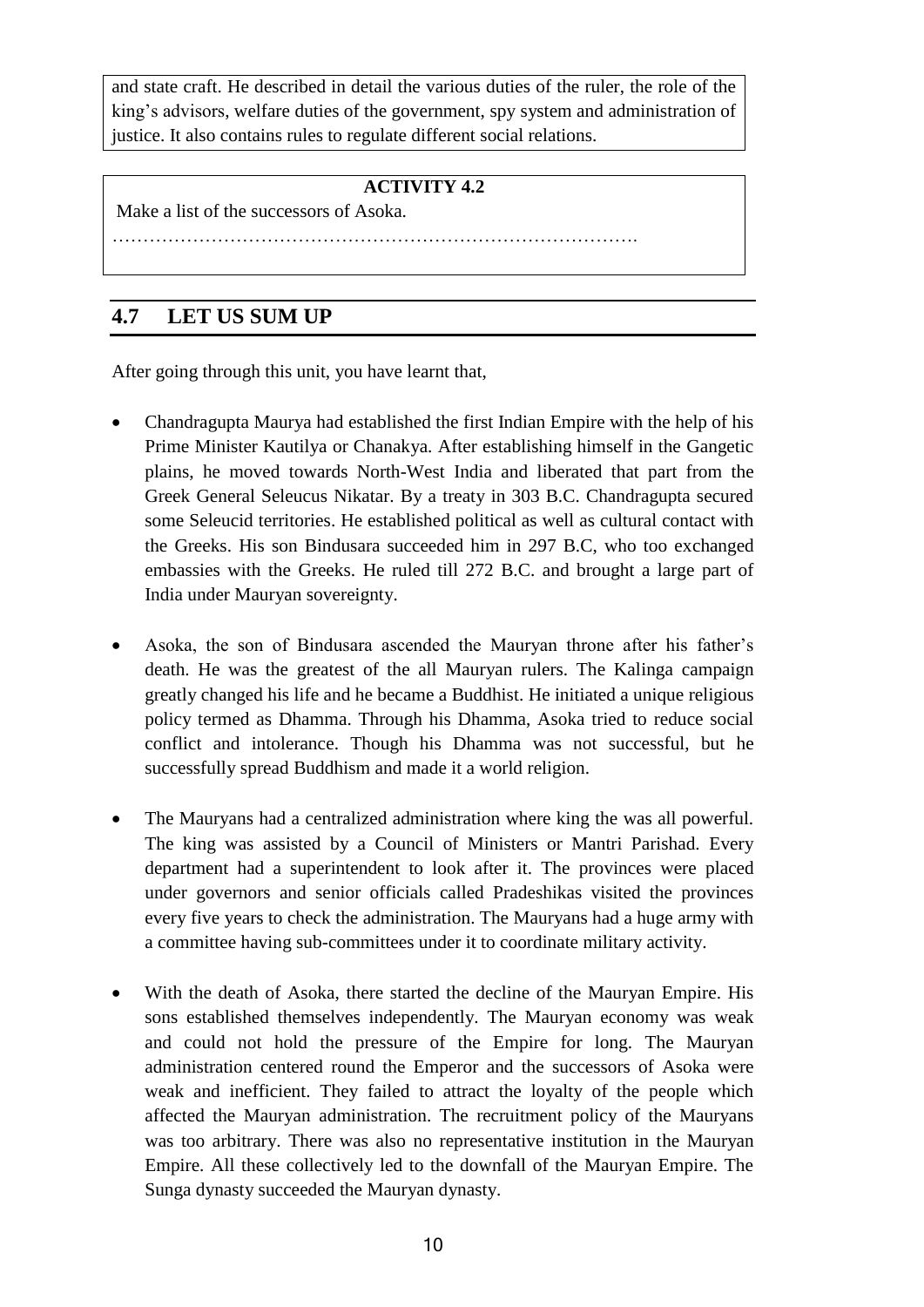### **5.7 DOWNFALL OF THE GUPTAS**

The factors responsible for the decline of Gupta power in India were many. The Huna invasion was one of the prime factors responsible for the decline of the Gupta power in India. A branch of the Hunas from Central Asia had occupied Bactria in the 4th century A.D. and crossed the Hindukush mountains during the time of Kumaragupta I, son and successor of Chandragupta II (415-54 A.D.). But we learn from the *Bhitari Pillar Inscription* and *Junagarh Rock Inscription* that the *Yuvaraja* Skandagupta succeeded in repelling this invasion in the 5th century A.D.

But, after him, repeated waves of the Huna invasions made the Gupta power weak. Even Skandagupta who battled violently and resisted the Hunas for some time from entering into the main heartland of India had to face different internal problems, like the revolt of his feudatories, which made his task a difficult one. The death of Skandagupta in about 467 A.D. was followed by a succession of various kings, who could not keep the Empire intact. The final blow to the Gupta power came towards the end of 5th century A.D., when the Hunas poured into North India and hastened the process of ultimate disintegration of Gupta Empire within the next half a century and thus it paved the road for the creation of a number of small kingdoms.

Apart from the Huna invasions there were number of other factors responsible for the decline of Gupta power in India. As we have stated earlier, the breaking away of the feudatories of Gupta was one such major factor of the decline of Gupta power. One such good example was the invasion of the Vakataka. By means of a matrimonial alliance Chandragupta II had established a friendly relation with the Vakatakas. But the successors of Chandragupta II had no peaceful relation with the Vakatakas. In the reigns of Budhagupta, the Vakataka king Narendrasena invaded some of the Central Indian region like Malwa, Kosala, and Mekala, etc. This invasion considerably weakened the Gupta hegemony in Central Indian region. In subsequent years, another Vakataka king Harisena conquered Gujarat and Malwa from the Imperial Guptas, which on the one hand weakened the Gupta prestige and on the other hand, inspired their feudatories to declare their independence. Similarly, the rulers like Yasodharman also inflicted a death blow to the Gupta Empire. These examples were followed by other feudatories which led to the ultimate disintegration of the Gupta Empire.

At the same time the decentralized form of administration had also contributed substantially to its downfall. The provincial governors of the Gupta Empire enjoyed a good deal of freedom and authority. The Gupta rulers failed to erect any such administrative machinery to keep a check on the highhandedness of the provincial governors. The Gupta rulers also failed to pay cash salary to any of their officials. In lieu of that they granted land by which the official developed a feudal character in them. They identified themselves only to their local interest in defiance of the central authority. Thus, the growth of the feudal elements further accelerated the process of decentralization of Gupta Empire.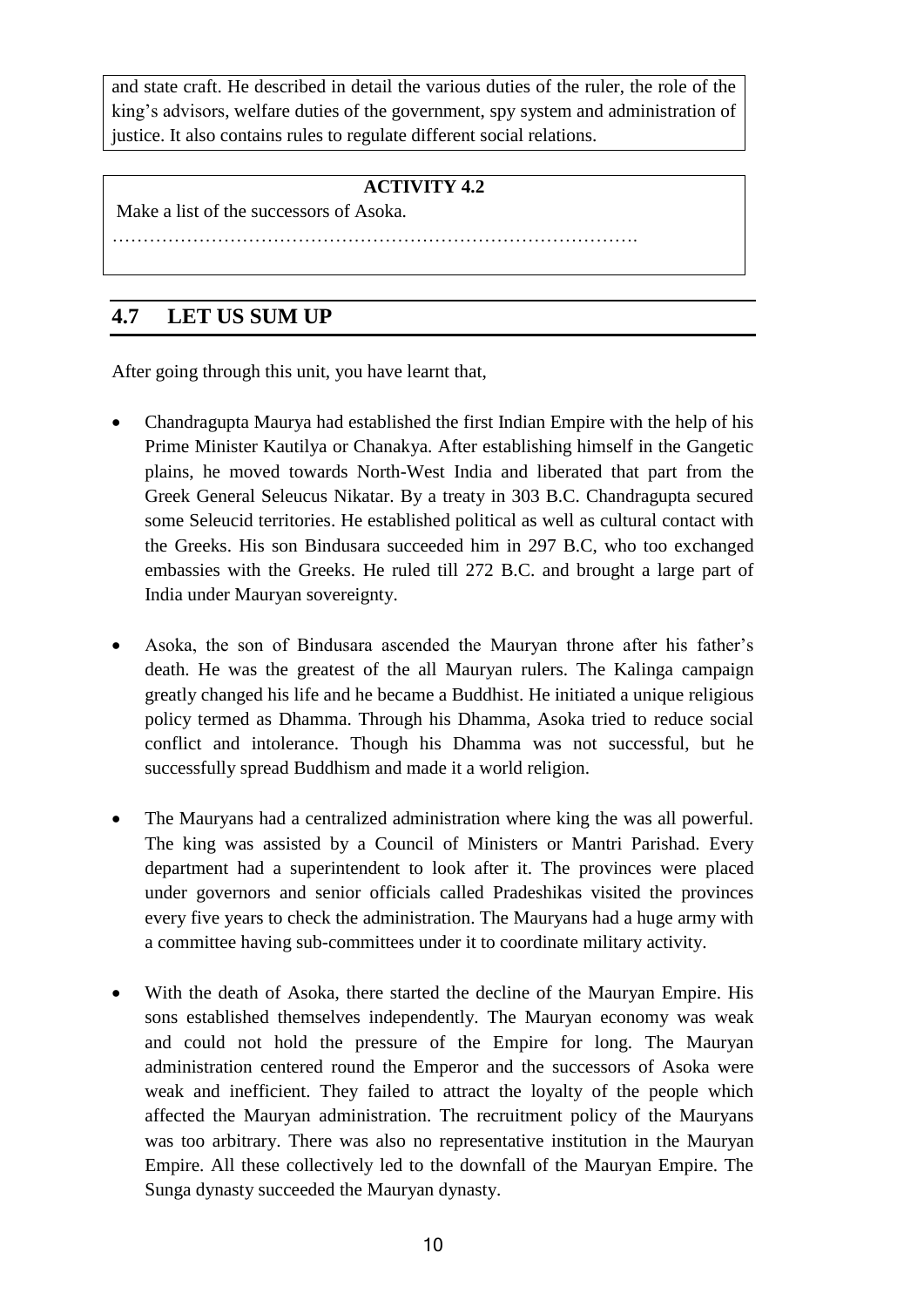#### **CHECK YOUR PROGRESS**

Q 24: During whose reign did the Hunas cross the Hindukush mountains? .......................................................................................................................................... .......................................................................................................................................... Q 25: How Chandragupta II established a friendly relationship with the Vakatakas? .......................................................................................................................................... .......................................................................................................................................... Q 26: How did feudal character develop in the Gupta administration? .......................................................................................................................................... ..........................................................................................................................................

# **5.8 LET US SUM UP**

After going through this unit, we have learnt about–

- The emergence of the Guptas in India marked the beginning of a glorious period in ancient Indian history. But the origin of the Guptas cannot be directly ascertained as it is somewhat obscure in nature. Srigupta laid down the foundation of the Gupta Empire and he was followed by rulers like Ghatotkachagupta, Chandragupta I, Samudragupta, Chandragupta II, Kumaragupta I, Skandagupta and others. The first two rulers of the Gupta dynasty were probably sub ordinate chiefs as they took the tile Maharaja. But the third ruler Chandragupta I not only brought the Gupta dynasty to its glory but also became an independent ruler adopting the title Maharajadhiraja.
- The first three rulers of the Gupta dynasty laid down the basis upon which the superstructure was built by Samudragupta, and Chandragupta II with their expansionist policies. Samudragupta after consolidating his position at home brought Dakshinapath (South India) upto Tamil Nadu under his control defeating as many as twelve rulers as stated in the Allahbad Prasasti. He too defeated the rulers of North India, Central India and Eastern India along with the forest kings, tribal chiefs, etc. and performed the Asvamedha sacerifice showing his imperial authority. His son and successor Chandragupta II too continued his father's policy led his expansion campaign in Western India and gought against the Sakas who dominated Western India at that time. By a policy of matrimonial alliance with the Nagas, Vakatakas and Kadambas, Chandragupta II encircled the Sakas, defeated them and united Western India with the Northern India by occupying Malwa,Gujarat and Kathiwar. He too had other successful military campaigns to his credit.
- Chandragupta II is more remembered as a consolidator than a conqueror. He completed the task of conquest left incomplete by his father Samudragupta and after that stabilized and consolidated the conquest made by the Gupta rulers. By concluding a number of marraige alliances with different Indian rulers, Chandragupta II created a ring of a friendly states around the Gupta Empire. His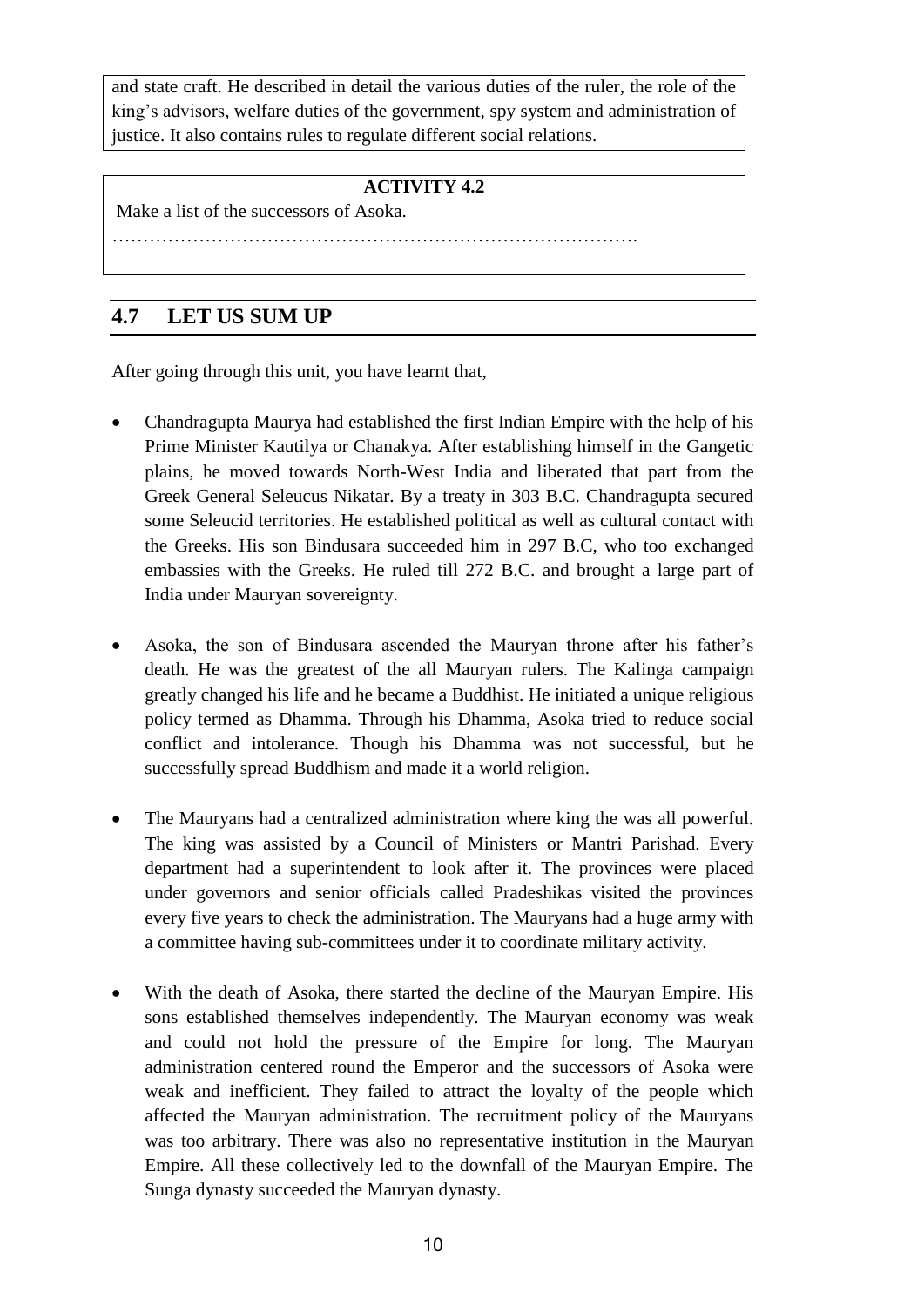pacific policy created such a peaceful atmosphere in the Gupta Empire that there began a cultural renaissance in the Empire. Chandragupta II provided patronage to the Nava Ratna.

- Monarchy was the form of government with the king being the supreme head. The kingship was hereditary. He was assisted by the crown prince, ministers and other officials. The Guptas had an organized bureaucracy with the central and provincial officials being differentiated by their designation. The Empire was divided into provinces called Bhuktis or Desas. The provinces were divided into districts or Vishayas. In Judicial matters, the king was the highest judge who personally attended the court to hear the cases and was assisted by other officials. In cities the city magistrates and in villages the panchayats or family gatherings used to dispose of the cases. Different sources of royal revenue were there in the form of land revenues, fines, commercial taxes, etc. The ownership of land was collectively held by the state and village society. As a whole the Gupta administration was benevolent one and was followed by later dynasties like Chalukyas, Rashtrakutas, etc.
- Several factors brought about the downfall of the Gupta Empire. Foremost among these factors was the invasion of the Hunas who, towards the end of the 5th century A.D, gave a death blow to the Gupta power. The breaking away of the feudatories also weakened the power of the Guptas. With the decentralization in administration, the provincial governors under the Guptas enjoyed much freedom and authority for which they displayed their local interest defying the central authority. Instead of cash salary the provincial governors were given land which developed a feudal character in them further accelerating the process of decentralization of Gupta Empire and leading to its eventual downfall.

### **5.9 FURTHER READING**

- 1) Majumdar, R. C., Raychaudhuri, H.C., Datta, K. (1986). *An Advanced History of India.* New Delhi, Macmillan India Ltd.
- 2) Sharma, L. P. (1981). *Ancient History of India (pre-historic Age to 1200 A.D.).*  New Delhi, Vikas Publication House Pvt. Ltd.
- 3) Thapar, Romila. (2002). *The Penguin History of Early India from The Origins* to A D 1300. New Delhi, The Penguin Group.

#### **5.10 ANSWERS TO CHECK YOUR PROGRESS**

**Ans to Q No 1**: a) Srigupta, Ghatotkachagupta, Chandragupta I, b) Maharajadhiraja, (c) Kumaradevi

**Ans to Q No 2:** Chandragupta I married into the Lichchavi family. This Lichchavi-Gupta matrimonial alliance was an important one from the political angle as it greatly helped in the emergence of Gupta power. Romila Thapar said that this matrimonial alliance provided acceptability to the Guptas who perhaps had no royal origin. V.A Smith expressed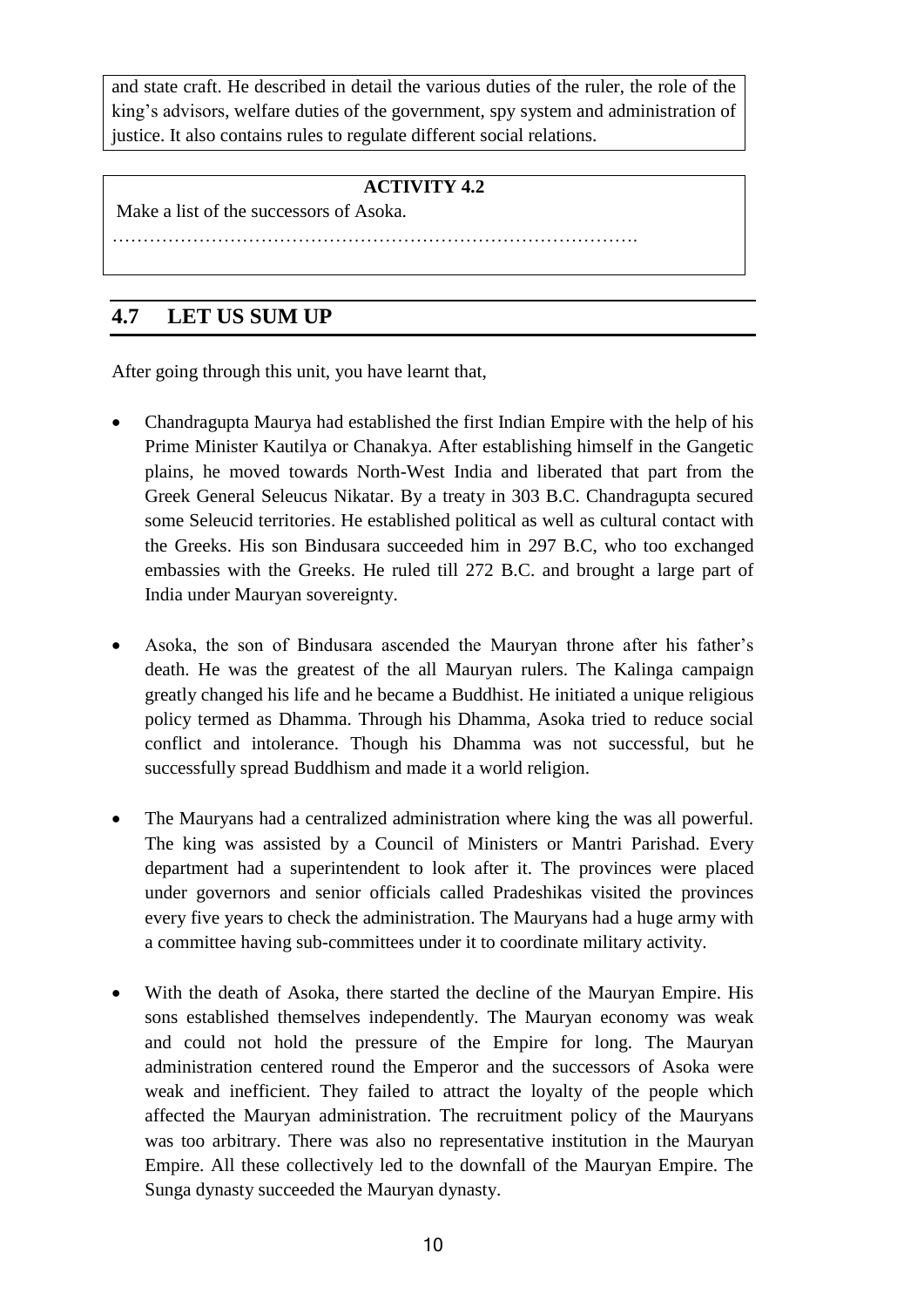the view that the Lichchavi Princess Kumaradevi brought to her husband the needed political influence.

- **Ans to Q No 3:** a) True, b) False, c) False, d) True, e) True, f) True
- **Ans to Q No 4:** Allahbad Pillar Inscription.
- **Ans to Q No 5:** Ramagupta was the eldest son of Samudragupta.
- **Ans to Q No 6:** A great conqueror Samudragupta probably started his campaign towards Dakshinapatha (South India) after consolidating his position at home. His South Indian campaign was one of Dharmavijaya which was marked by three principles namely, grahana, moksha and anugraha. In this campaign,Samudragupta defeated as many as twelve kings of South India, whom he first captured and then liberated and ultimately reinstated in their respective Kingdom.
- **Ans to Q No 7:** Lichchavi.
- **Ans to Q No 8:** Chandragupta II.
- **Ans to Q No 9**: Kalidasa.
- **Ans to Q No 10:** a) 5, b) 6, c) 1, d) 3, e) 2, f) 4
- **Ans to Q No 11**: Mahabaladhikrita was the Commander-in-Chief.
- **Ans to Q No 12:** The royal revenue was collected from different sources like various types of land revenues, fines for offences, commercial taxes, etc. Revenue officials were recruited on the basis of merit and ability without having any distinction on the basis of caste and creed. Exemption from taxation were granted to villages on some occassions.
- **Ans to Q No 13:** a) True, b) True, c) False, d) True, e) False, f) False, g) False
- **Ans to Q No 14:** a) Vedas, b) slave, c) eight, d) Kumaragupta, e) Varamihira, f) China
- **Ans to Q No 15:** Brahmacharya, Garhastha, Banaprastha and Sanyas. Unit 10 Gupta Empire
- **Ans to Q No 16:** Elephant Riding.
- **Ans to Q No 17:** By digging of tanks, wells, cutting of cannals, etc.
- **Ans to Q No 18:** An all round industrial growth was witnessed in the Gupta period.This growth was facilitated by the richness of the country in natural resources, mineral, animal and plant produce.Gold, Copper, Textile and Wood Carving were popular industry of the period.
- **Ans to Q No 19:** a) True, b) False, c) True, d) False, e) True, f) False, g) True
- **Ans to Q No 20:** a) 3, b) 1, c) 2
- **Ans to Q No 21:** a) Chandragupta II, b) Mihirakula, c) Bimola, d) Buddhism, e) Samudragupta, f) Kalidasa, g) Harisena, h) Kavya
- **Ans to Q No 22:** Small flat roofed temples, sometimes surrounded by the pillared halls are characteristic of the early Gupta period.
- **Ans to Q No 23:** Paintings of Ajanta are religious by nature, wheresas Bagh paintings are purely secular.
- **Ans to Q No 24:** Kumaragupta I.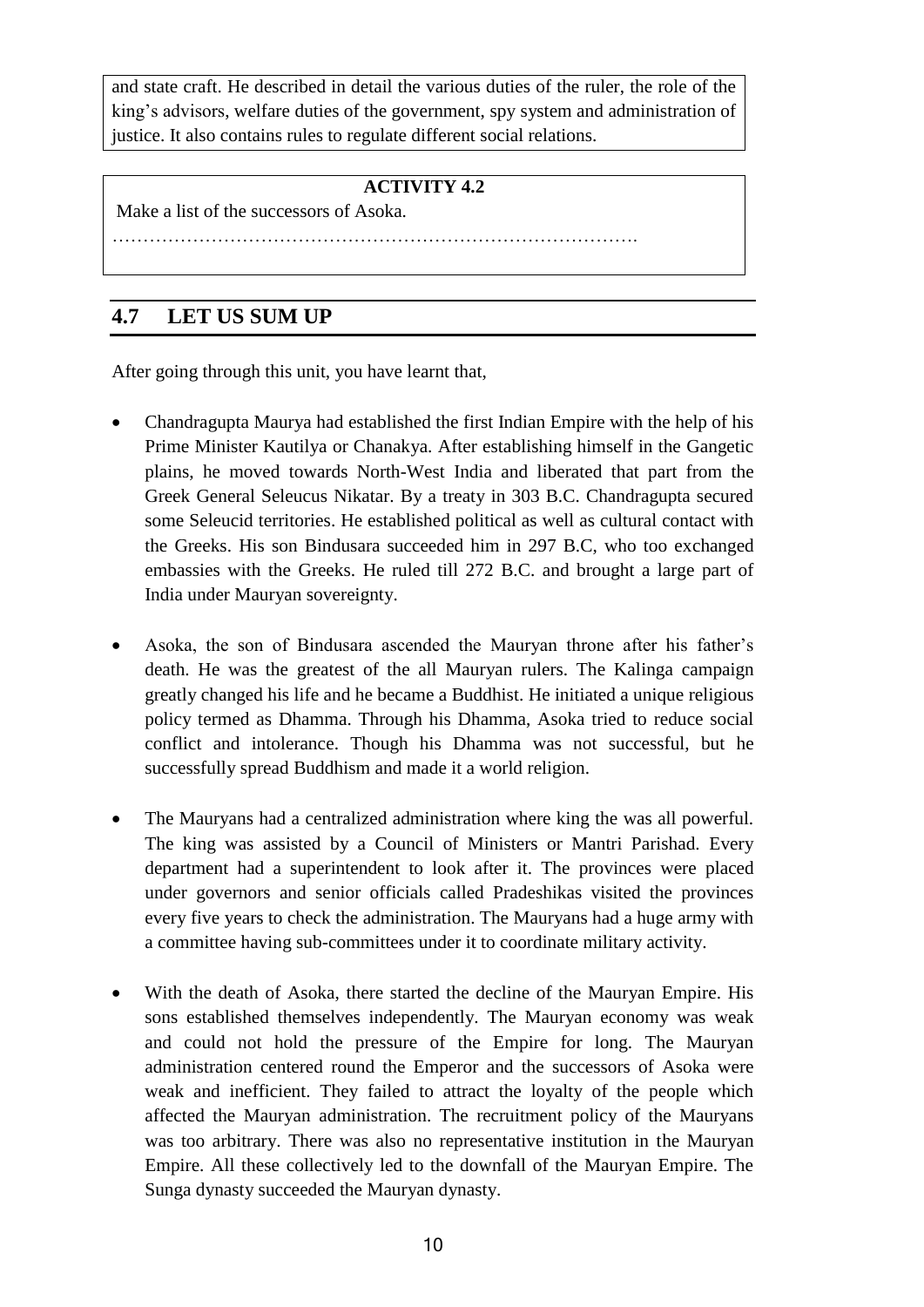- **Ans to Q No 25:** By means of a matrimonial alliance Chandragupta II had established a friendly relationship with the Vakatakas.
- **Ans to Q No 26:** The Guptas did not pay cash salary to their officials. In lieu of that they granted land to the officials which developed a feudal character in the Gupta administration.

## **5.11 MODEL QUESTIONS**

- **A) Very Short Questions** (Answer each Question in about 50 words)
- **Q 1:** Who was Srigupta?
- **Q 2:** Name the mother of Prabhavati Gupta.
- **Q 3:** Who was Vishnudeva?
- **Q 4:** Give one reason of the downfall of the Guptas.
- **B) Short Questions** (Answer each question in about 150 words)
- **Q 1:** What do you know about the emergence of the Gupta dynasty?
- **Q 2:** What light does Allahbad Pillar Inscription throw on Samudragupta's policy of conquest?
- **Q 3:** What was the contribution of Chandragupta II in building up the Gupta Empire?
- **Q 4:** Write a note on the administrative divisions under the Gupta administration.
- **Q 5:** How was the society divided in the Gupta period?
- **Q 6:** What was the position of women in the Gupta period?
- **Q 7:** Write a note on the development of agriculture in the Gupta period.
- **Q 8:** Write a note on the development of Brahmanical Hinduism during the Gupta rule.
- **Q 9:** What do you know about the development of Sanskrit literature in the Gupta period?
- **C) Long Questions** (Answer each question in about 300-500 words)
- **Q 1:** Discuss the extension and consolidation of the Gupta Empire.
- **Q 2:** Explain the administrative system of the Gupta rulers.
- **Q 3:** Describe the socio-economic condition of the Gupta period.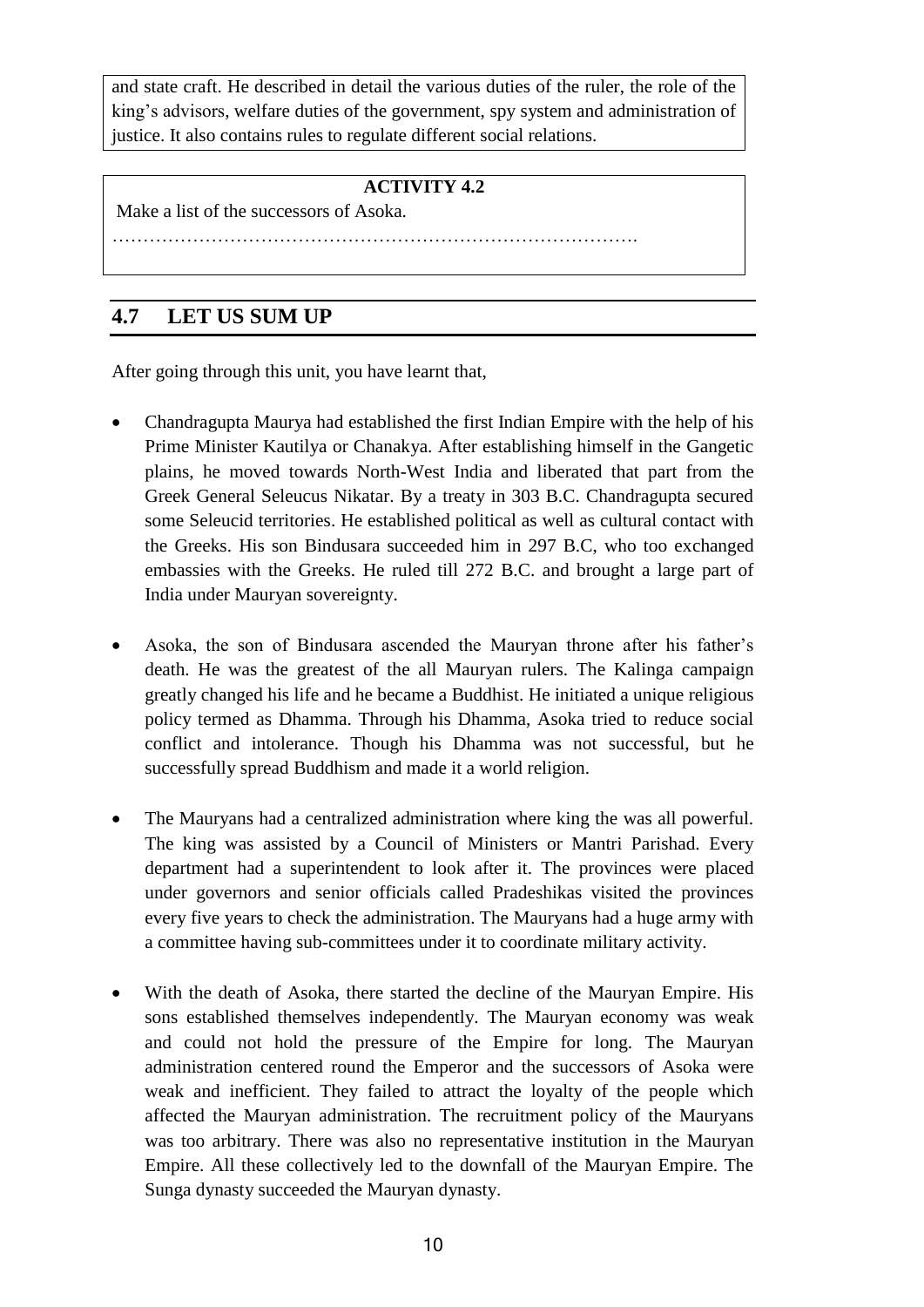# **UNIT 6 : GUPTA POLITY : CONQUESTS AND ADMINISTRATION**

#### **Structure**

- 6.1 Learning Objectives
- 6.2 Introduction
- 6.3 Society and Economy under the Gupta Rule
	- 6.3.1 Society under the Gupta Rule
	- 6.3.2 Economy under the Gupta Rule
- 6.4 Religion and Culture under the Gupta Rule
	- 6.4.1 Religion under the Gupta Rule
	- 6.4.2 Culture under the Gupta Rule
- 6.5 Let Us Sum Up
- 6.6 Further Reading
- 6.7 Answers to check your Progress
- 6.8 Model Questions

## **6.1 LEARNING OBJECTIVES**

After going through this unit, you will be able to -

- understand the society under the Gupta rule,
- discuss the economy under the Gupta rule,
- discuss the religion under the Gupta rule,
- describe the culture under the Gupta rule.

## **6.2 INTRODUCTION**

In the previous unit we have already discussed the Gupta Empire. In this unit, we are going to discuss the society, economy, religion and culture under the Gupta Empire. The Gupta rulers were both able administrators as well as well wishers of their people and therefore in this period all round development of the society was noticed. So the Gupta period was called as 'Golden Period' of Indian history.

# **6.3 SOCIETY AND ECONOMY IN THE GUPTA PERIOD**

The Guptas established a large Empire in India. The Gupta rulers with sound administration provided a stable authority in the kingdom which helped in maintaining the social fabric and facilitated the economic growth. Our study of the Gupta Empire will be incomplete without discussing the condition of the society and economy during the Gupta period. In this unit we will discuss the social and economic condition of the Gupta Empire in the following sections with separate subheadings.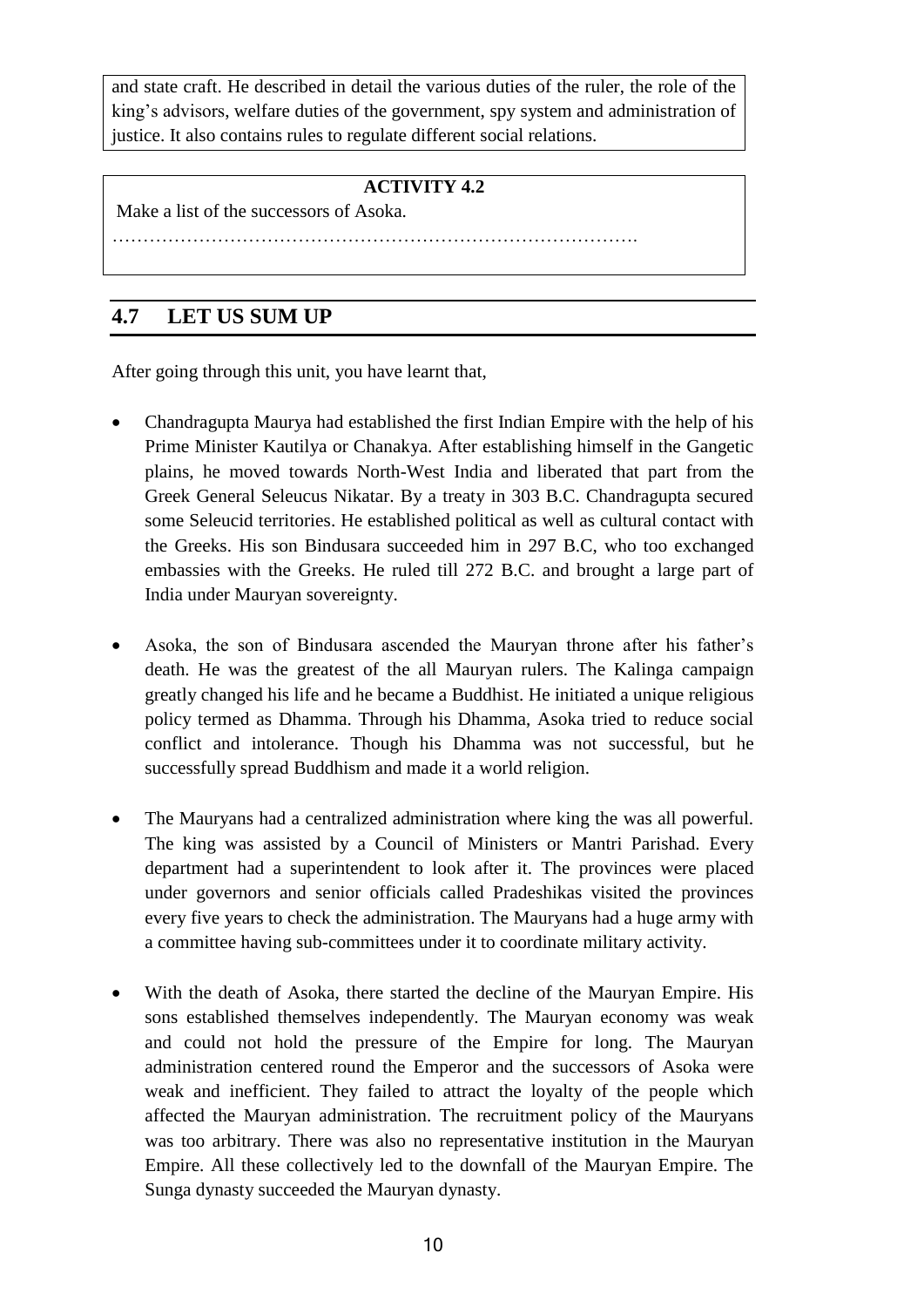#### **6.3.1 Society under the Guptas**

The *Puranas*, *Sastras*, the *Niti Sastras* of Narada, the Dramas of Kalidasa, etc supply us with a good deal of information regarding the social life of the Gupta period. Many interesting features about the social life are also found to be referred to in the contemporary inscriptions. Fa-hien, the famous Chinese pilgrim had also made some observations about the society as it existed in India towards the opening of the 5th century A.D.

 **Division of Society:** During the Gupta period society was divided into four castes –*Brahmana, Kshatriya, Vaishya* and *Shudra*. Each one of these comprised a major caste or varna and had specific duties assigned to them. Fa-hien's account about the plight of *Shudras* proves the prevalence of caste system and caste prejudices in the Indian society during the Gupta period. The reference to the people of various castes in the epigraphs and literary works also point towards the existence of caste system during this period.

The *Brahmanas* were primarily concerned with the study and teachings of Vedas and other scriptures as also the performance of sacrifices and other religious practices. The *Kshatriyas* came next to *Brahmanas* in status and position in the society. Kshatriyas, being the ruling class, enjoyed a very high status in the society. The *Kshatriyas* as well as the *Vaishyas* enjoyed the status of *Dvijati* or twice born as the *Brahmanas*. The *Vaishyas* because of their immense wealth were also shown due regard. *Shudras* formed the lowest rank of the caste system. They were forced to serve the other three classes. Besides the division of the society into four major castes, the contemporary inscriptions and literature bear ample testimony to the existence of sub-castes. However, there were no rigid rules in respect of either intercaste marriage or inter dining among them.

#### **LET US KNOW**

There were four stages in the life of a Hindu. These stages were known as *Ashramas*. The first 25 years of the life called *Brahmacharya Ashrama* were to be spent in studying the scriptures and getting education in different fields according to one's caste. The second stage was the *Grihastha Ashrama* in which one enjoyed the life of a householder for another 25 years. The third stage *Vanaprastha* (going to the forest) began when one attained the age of 50 years and retired to the forest to live in solitude and meditation. This was the *Vanaprastha Ashrama*. The last stage was *Sanyasa*, which began with one crossing the age of 75 years, and continued for the rest of one's life. During this period a *Brahmana* was required to completely isolate himself from all worldly ties. The object of the division of life into four distinct stages seems to have been to discipline the human lives according to a set pattern and to provide against excesses in any form.

 **Slavery:** Although there was no institutionalized slave system in India, sources refer to the prevalence of slaves during the period. There were various categories of slaves during the Gupta age. Prisoners of war were often reduced to the status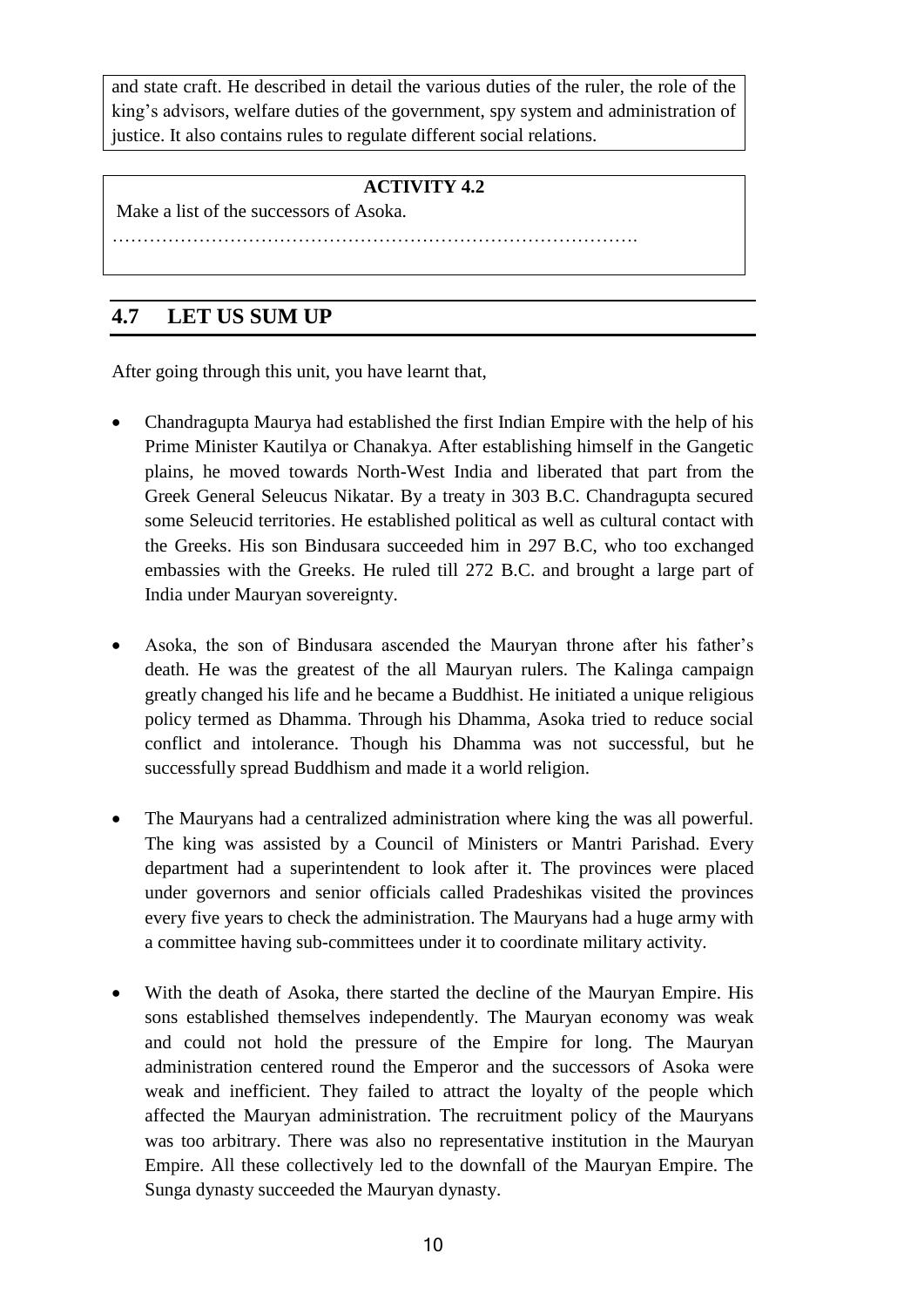of slaves. Drunkards, gamblers, etc, who were unable to pay off their debts to their creditors, were often compelled to sell themselves as slaves. Persons doing manual works in the royal household too were termed as slaves. But the slave system under the Imperial Guptas differed from the slave system in Western countries. In India, any slave could get emancipation after fulfilling certain conditions. The slaves could regain their liberty after the payment of their dues either by themselves or their relatives and friends. It is evident from the contemporary records that even prisoners of war could be free if they could provide a substitute for themselves. A slave who saved the life of his master did not only become free but also become entitled to a equal son's share of his master's property.

 **Position of Women:** The position of women in Hindu society has been different from age to age. In the Vedic age, she enjoyed honour and respect in society. In the Gupta age, the *Puranas* did their best to improve the lot of the women in some respect of life, but not much could be done due to some prejudice against women. According to *Manavadharmasastra* women should be under the protection of their father, husbands or eldest son as the society was distinctly patriarchal. Yet, woman like Prabhavati Gupta, the daughter of Chandragupta II was regent in the Vakataka kingdom, following the death of her husband.

Many writers have stated the usual eight forms of marriage for a woman. There are *Brahma, Daiva, Arsha, Prajapatya, Asura, Gandharva, Rakshasa* and *Paisacha*. The first four forms are approved, as they involve parental consent although in the *Daiva* and *Arsha* forms a bride price is demanded. The last four forms are not approved although the *Asura* (marriage by abduction of the bride, sometimes with her consent) and *Gandharva* (marriage by mutual consent, without the necessity of parental approval) forms were prevalent in the society.

The practice of *Sati* was in vogue during the Gupta rule. Vatsayana and Kalidasa refer to it. Some instances of Sati are found in the time of the Gupta period. From the *Mandasor Stone Inscription* of Kumaragupta I, we come to know that practice of Sati was prevalent during the Gupta age. Polygamy was very popular during the Gupta age. The kings and feudatory lords often had more than one wife. The practice was not confined to kings, but extended also to other people. A woman suffered the misfortune of getting a co-wife if she was stupid, or barren, or if she repeatedly bore daughters. Inscription refer to Kuvera Naga and Dhrubaswamini as the queens of Chandragupta II.

 **Food**: According to the description of Kalidasa, the food of the people of Gupta period, was both delicious and nutritious. Barley, Wheat and Rice were their staple food. Cucumber, onion, garlic, pumpkin, gourd, etc. were used as vegetables.

We have ample references to edible spices, oilcrops and medicinal herbs. Mustard seed, tamarind, cardamoms, cloves, betel nut, ginger, turmeric and saffron were used for different purposes. Moreover the forests and gardens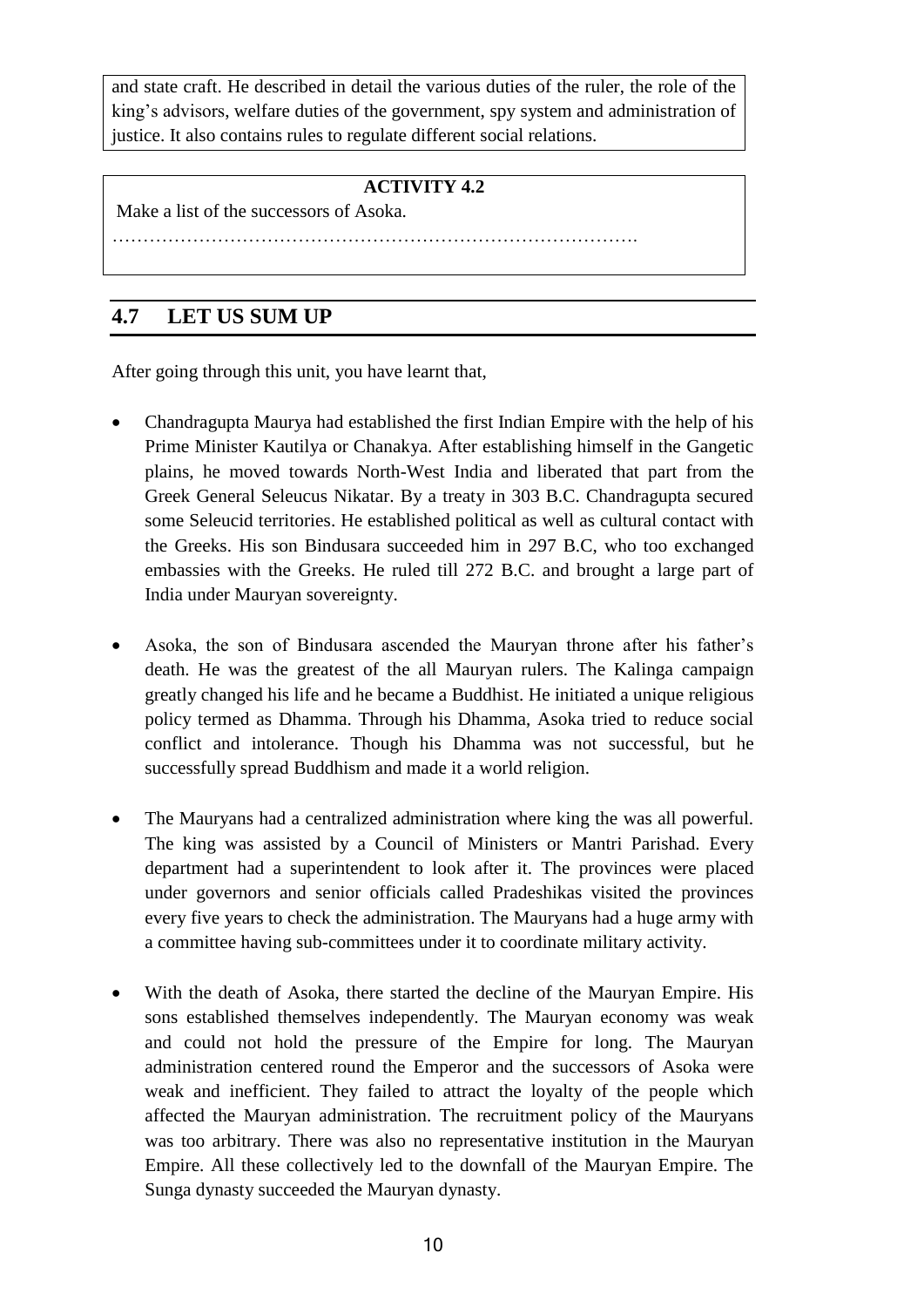yielded a large variety of valuable fruits such as mango, orange, jackfruit, pomegranate, grapes, banana, coconut, etc. Sugar was manufactured from sugarcane. Various kinds of sweet dishes were prepared out of milk and sugar. Honey was another item of food, which was also used in the reception of a guest and at other festive rites.

- **Dress:** Suiting to all occasions and weather, men and women used various kinds of dresses. Kalidasa refers to hunting dress. Man put on *dhoti*, turban and a scarf. They were generally made of cotton, but their wedding dresses were of silk. Women used *sari* and shawl. Clothes were of various colours such as white, red, blue, saffron, multi coloured and black. Both men and women of this period commonly used different kinds of jewellery, such as ornaments for head and hair, ears, neck, arm, waist, feet and fingers. A large variety of jewellery used by men and women are seen from the sculptures and the Ajanta paintings.
- **Amusement and Sports:** Kalidasa has vividly described the high standard of music both in theory and practice. Music, dancing and acting were quite popular in the Gupta society. The spring festival and another popular amusement in some festivity was the sprinkling of coloured water. Dicing was a popular game. Hunting was another pastime. Elephant riding was the favourite outdoor sport of the kings.

#### **6.3.2 Economy under the Guptas**

The establishment of the political unity by the Gupta monarchs coupled with an efficient and benevolent government provided a fruitful soil for the development of trade, industry and agriculture which helped to build the economic conditions of the country on a sound footing.

 **Agriculture:** Agriculture was, as in the past, still the mainstay of the economic life of the majority of the people during the Gupta period. There was an increase in the demand for more and more land for cultivation purpose as is evidenced from the Bengal land grants and other sources. Since the revenue from land was still the main source of the income of the state, the Gupta monarchs took special pains to promote the interests of the cultivators and increase the produce of the soil. Attempts were made to expand agriculture. Wastelands were brought under cultivation through various means such as the digging of tanks, wells, cutting of canals, etc. The establishment of a large number of irrigation works gave a further impetus to the growth of agriculture even in the dry lands. The *Junagarh Rock Inscription* refers to the repairing of the dam of the Sudarsan, an artificial lake, by Skandagupta's governor Parnadatta.

The scientists of the age had laid down guidelines for the development of agriculture along scientific lines. In this respect the *Brihat Samhita* of Varahamihira is especially noteworthy. Rice, Barley and Wheat continued to be the principal crops. Different varieties of vegetables, peas, beans and many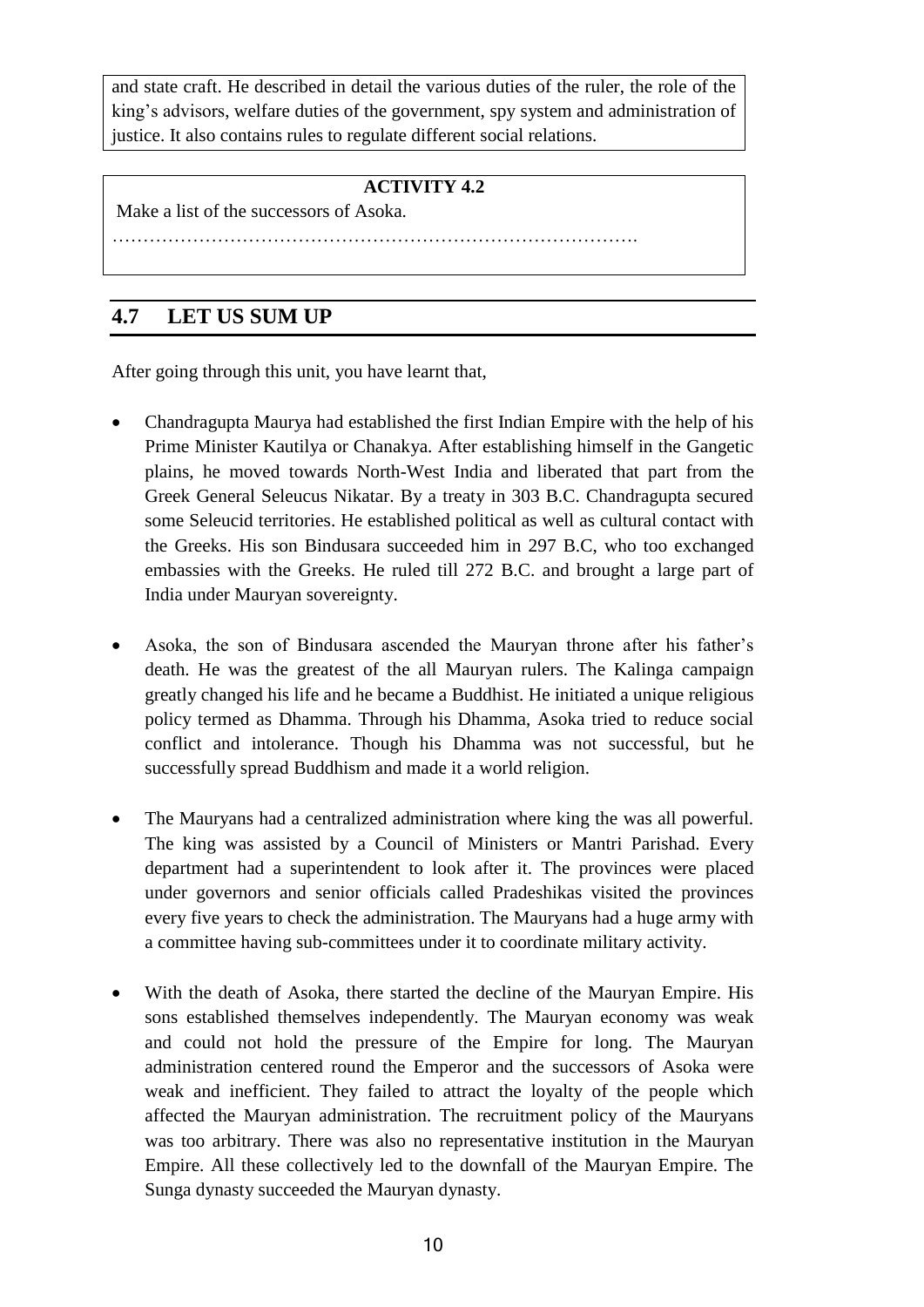more were also grown. Cultivation of oil-seeds was done on an extensive scale. A large number of fruit trees, Indian and foreign, were also grown.

Inscriptions or other records of the Gupta period provide no clue to the existence of anything like the *zamindari* system of modern times. However, this period witnessed the inauguration of a new type of feudal economy with the state gradually granting away different rights over the land to *Brahmanas* and temples.

Keeping in view the importance of agriculture, the state laid down rules and regulations to protect the interests of the agriculturists. Rules were also been prescribed to safeguard the interests of agricultural labourers and land holders.

**Industry:** The economic conditions during the Gupta period were specially marked by an all round development in the field of industry and handicrafts. The richness of the country in natural resources, mineral, animal and plant produce provided enough scope for the development of a large number of handicrafts and professions. Both the law books and epigraphs, have laid stress on the state ownership of the mines and forests and as such these were controlled and maintained by the state for all practical purposes. A special officer was appointed by the government to superintend the forests.

Metals were most useful in everyday life of the people for agricultural implements and domestic articles, including vessels. This industry was one of the most flourishing industries during the Gupta period.The Mehrauli Iron Pillar near the Qutub Minar in old Delhi stands testimony to the art of metallurgy.

The large number of articles made of Gold point towards the flourishing conditions of Gold industry. Gold ornaments generally satisfied the demands of richer sections of the society settled mainly in big towns and cities. *Amarkosa, Brihat Samhita* and the works of Kalidasa refer to diamonds, pearls, corals and precious stones which indicate the existence of small industrial units for these articles. The extensive use of Copper proves the existence of Copper industry. Pottery, making of utensils and articles of clay was one of the most popular industries of the period.

Textile industry was yet another popular industry that prospered during the period of the Imperial Gupta monarchs. Wood Carving was yet another important industry because of the use of wood for building purpose along with bamboo.

The archaeological discoveries, reference in contemporary literary works and a large number of epigraphs have all proved the existence of a flourishing trade and commerce, internal as well as external during the Gupta period. The chief articles of internal trade included all sorts of commodities of everyday use. The economic prosperity of the Gupta period is exhibited in a flourishing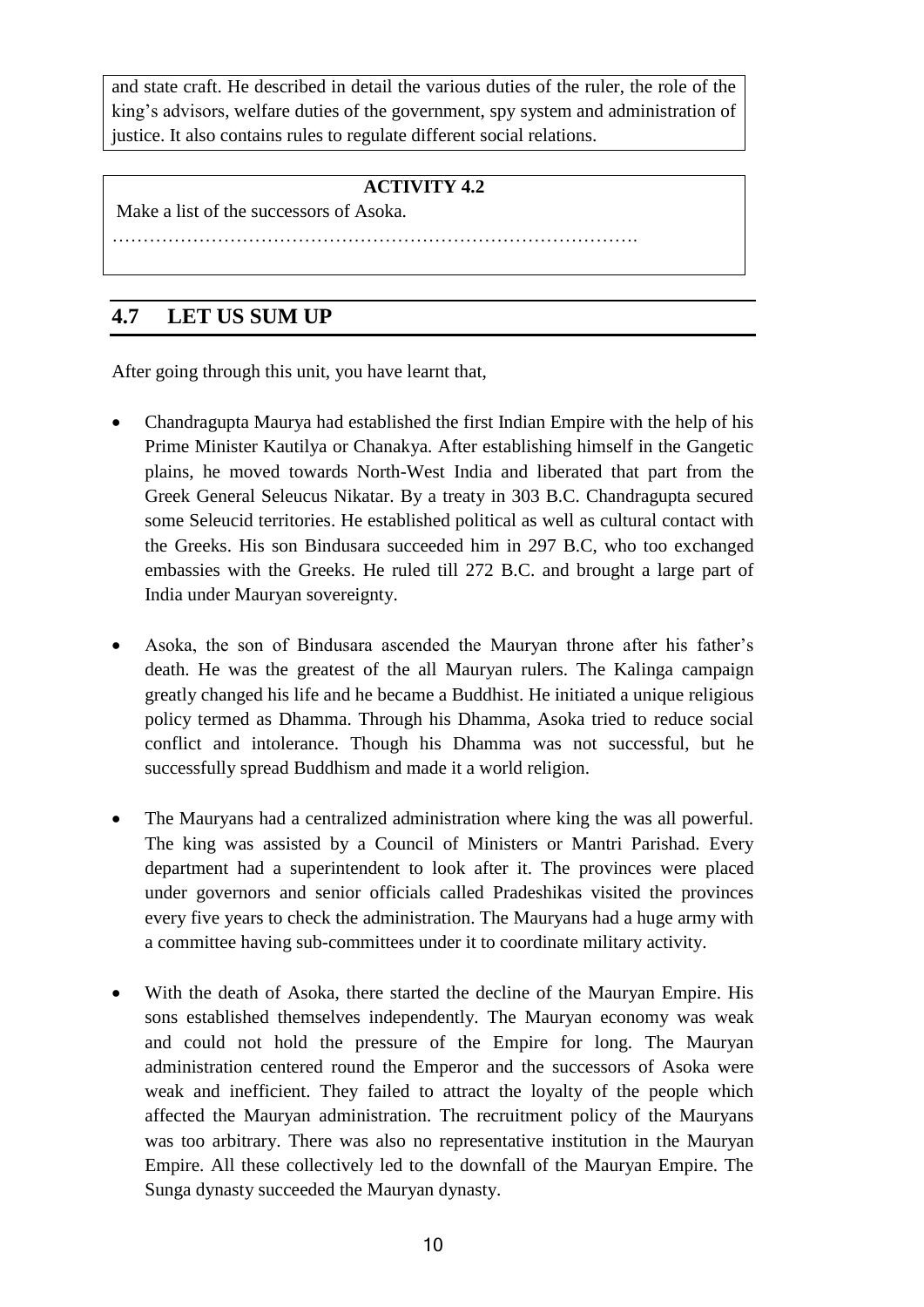external trade by land and water routes. Fine quality silk was imported from China.

The economic prosperity of the country during the Imperial Gupta period is amply borne out by numismatic and literary evidences. The majority of coins issued by the Gupta monarchs were minted out of pure Gold. While Samudragupta issued eight different types of Gold coins, his grandson Kumaragupta I issued as many as nine varieties of Gold coins. Fa-hien, the famous Chinese traveler who visited during the time of Chandragupta II also hinted at the prosperous economic conditions of the country during the period.

Thus the above general survey of the economic conditions during the Gupta period leaves no doubt that in the field of economic prosperity the Gupta period was indeed a Golden Age of Indian history.

#### **CHECK YOUR PROGRESS**

**Q.1:** Write True / False: a) Fa-hien was a famous Chinese Pilgrim. b) There were various categories of slaves during the Gupta age. c) In the Vedic age women were disrespected in the society. d) Parnadatta was the commander-in-chief of Skandagupta. e) Amarkosa was the work of Kalidasa. f) Kumaragupta I issued eight varieties of gold coins. **Q.2.** Fill in the blanks: a) Brahmanas were primarily concerned with the study of  $\overline{\phantom{a}}$ b) There was no institutionalized system in India. c) There was usually .\_\_\_\_\_\_\_\_\_\_\_\_ forms of marraige for a woman. d) Mandasore Stone Inscription belongs to the reign of \_\_\_\_\_\_\_\_\_\_. e) The author of Brihat Samhita was \_\_\_\_\_\_\_\_\_\_. f) Fine quality silk was imported from \_\_\_\_\_\_\_\_\_. **Q.3.** What were the four stages of life? ........................................................................................................................................ **Q.4.** What was the favourite outdoor sports of the Gupta kings? ........................................................................................................................................ **Q.5.** By what means wastelands were brought under cultivation? ........................................................................................................................................ **Q.6.** Write a note within 40 words on the growth of industry in the Gupta period? ........................................................................................................................................ ........................................................................................................................................ ........................................................................................................................................

# **6.4 RELIGION AND CULTURE IN THE GUPTA PERIOD**

The Gupta period witnessed new developments in the field of religion and culture. In this section we will discuss the religious and cultural developments that took place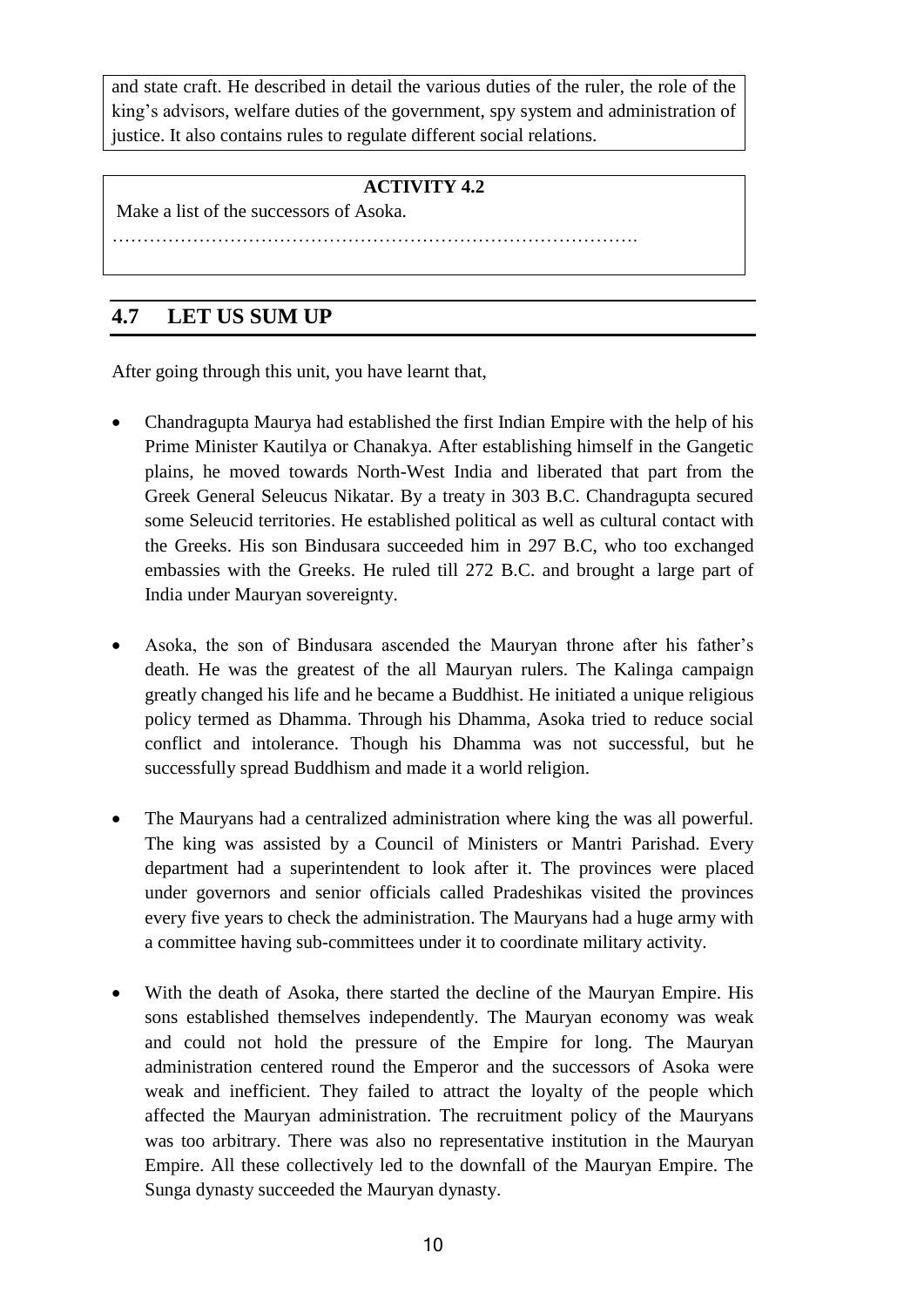during the Gupta period.

#### **6.4.1 Religious Condition under the Guptas**

The age of the Imperial Guptas was an age of great religious activity. It was particularly remarkable for new advancement made in the field of Hindu revival. Much of the progress made during the Gupta period in the sphere of Hindu revivalism was due to the patronage extended by the Gupta monarchs, most of whom were followers of the Brahmanical God Vishnu.

 **Hinduism:** Incarnations of Vishnu also became popular during this period. Samudragupta was a devout worshipper of Vishnu. *Garuda*, the vehicle of Vishnu was the emblem of the family. There were coins, which were struck with *Garuda* standing by him. It is true that the word *Bhagavat*, no doubt, implied Vishnu worshippers in general but to a particular sect of the Vaishnavas. Chandragupta II or Vikramaditya became a more influential advocate of the *Bhagavat* form of Vaishnavism than his father. He styled himself with the title of *Parambhagavat*. In the Mathura and Gadhwa inscriptions he is called by these titles. The *Udayagiri Cave Inscription* dated 401-402 A.D. reveals that Vishnudeva, a sub-ordinate of the king was a *Bhagavat*. His name shows that he was a devotee of Vishnu.

Like Vaishnavism, the followers of Saivism regard Shiva as the highest god. Although the Gupta rulers were devotees of Vishnu, they extended their patronage to other religious sects. Some of the Gupta rulers and their chiefs were the worshippers of Shiva.

Sun God was also worshipped during the Gupta period. The *Mandasor Inscription* dated 436 A.D. of the time of Kumaragupta I records that a guild of silk weavers built a temple for Sun. Mihirakula, the Huna Chief, was a devout worshipper of *Surya*. He built a Sun Temple on the Gopa Mountain to increase his religious merit. There were other temples at Mandasor, Gwalior, Indore and Asramaka, dedicated to the Sun God *Surya* and built during the Gupta rule. The images of *Surya* have been found in various parts of North India, including Assam.

Worship of Shakti was also popular. She is known by various names such as *Uma, Parvati, Durga, Kali, Maheswari,* etc. In the Markandeya Purana the exploits as the destroyer of demons are recorded. With the passage of time, Shakti became associated with Shiva and became his consort. A feudal lord under Chandragupta II dug a cave near Sanchi where an image of *Mahishamardini*, a form of Shakti, was established. Shakti worship in India can be traced to the worship of the Mother Goddess of the Harappan people.

 **Jainism:** In addition to the popularity of various cults and creeds of Hinduism, Jainism had many adherents. Not only Jain philosophy but also Jain religion was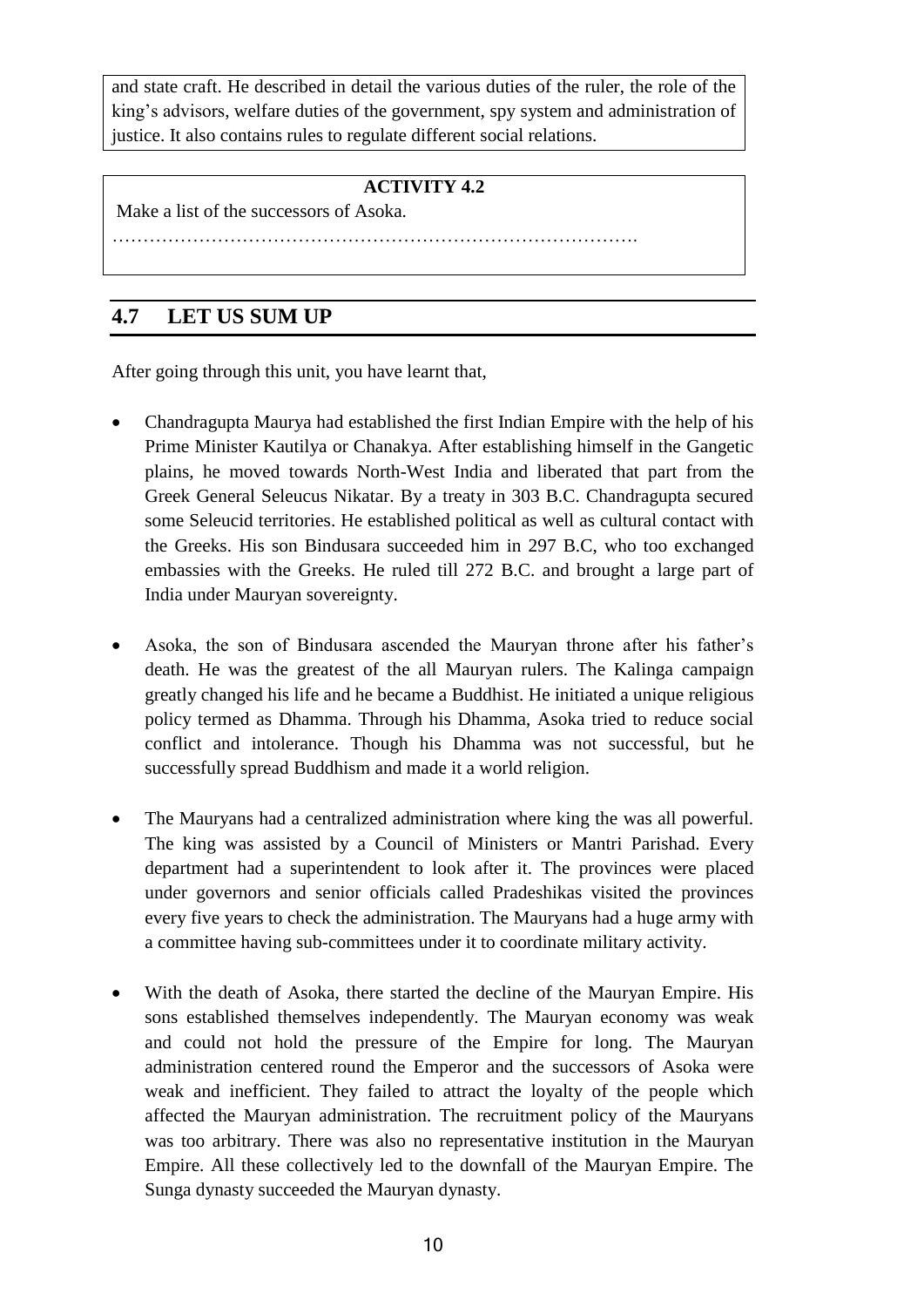enriched. A religious council at Valabhi was called in 453 A.D. Many Jain temples were built during the Gupta period. During the time of Skandagupta idols of 5 *Tirthangkaras* were established a Kahaum in Gorakhpur district. Fahien records that Jain mode of worship in their Jain temples were expensive. The grand procession of images was also a costly affair and a popular form of worship of the Jaina deities.

 **Buddhism:** Buddhism flourished during this age. Paharpur, Ajanta, Nagarjunakonda, Kashmir, Afghanistan and Punjab were the strong holds of Buddhism. Mathura, Kosambi, Kasi and Sarnath were the important centres of Buddhism. The Buddhist *Stupas* and *Viharas* in Andhra, Ajanta and Ellora were very famous. The University of Nalanda, the seat of Buddhist studies attracted students from various foreign countries. Its intellectual and moral standard won the admiration of all. Many Gupta rulers like Narasimhagupta, Buddhagupta were ardent followers of Buddhism according to the testimony of Hiuen-Tsang.

Samudragupta, who was an ardent Vaishnava, had Vasubandhu, a Buddhist of the Mahayana School as one of his advisors. Kumaragupta I was a patron of the Buddhist University at Nalanda. The kings favoured Vaishnavism, Saivism and Buddhism. The Gupta rulers were not intolerant towards other religion.

#### **6.4.2 Cultural activities under the Guptas**

The Guptas were patron of art and architecture. Small flat roofed temples, sometimes surrounded by the pillared halls are characteristic of the early Gupta period. Temple at Sanchi furnishes a good example. But a few shrines, with a sikhara on the roof, started a new style in North India which later came to be adopted all over the country. Two best examples of Gupta temples are brick temple at Bhitargaon and the Dasavatara temple at Deogarh.

The age of Imperial Guptas was also a dynamic age in the field of literary activity. Sanskrit literature, reached its culmination during this period.



Fig. 11.1: Sanchi Temple

 **Sculpture:** In the domain of sculpture, the Gupta period witnessed the highest development. The Gupta sculpture may be regarded as typically Indian in every sense of the term. The figures of Buddha found in large number at Sarnath and other places show a fully evolved form. The fine image of Buddha at Sarnath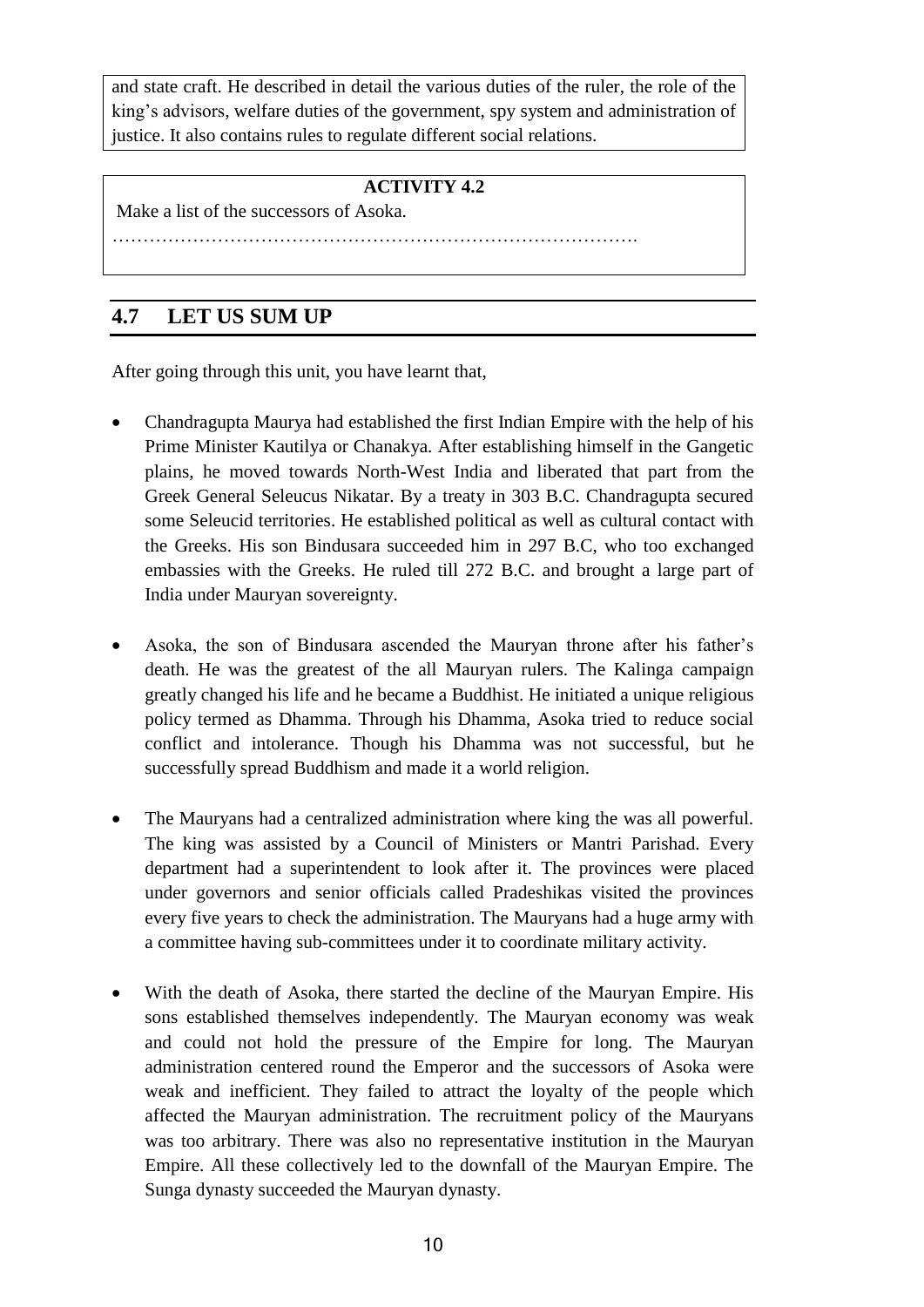exhibits at once the grace and refinement. This high quality generally marks also the figures of *Brahmanical* Gods as illustrated by the images of Shiva, Visnu and others in the sculptured panels of the Deoghar temples.

The Gupta artists and craftsmen were also capable in working metals. A copper image of Buddha, about 80 feet high, was erected at Nalanda in Bihar at the close of the  $6<sup>th</sup>$  century A.D. Another important characteristic of Gupta art is the concept of beauty and simplicity of style.



Fig. 11.2: Buddha image at Sarnath

 **Painting :** No description of Gupta art can be completed without a reference to the highly developed art of paintings. The *Chitra Sutra, Kamasutra*, etc are sources for the study of painting of the Gupta period.

The paintings in Ajanta caves are world famous. The themes of the Ajanta paintings are intensely religious in tone and mostly centre round Buddha, Bodhibattavas, incidents from life of Buddha and Jataka.



Fig. 11.3: Ajanta Paintings

Another example of Gupta painting is the paintings of the Buddhist caves of Bagh. The paintings of Bagh represent only an extension of the Ajanta school and in variety of design vigorous execution and decorative quality seem to have ranked as high as those of Ajanta. Though stylistically the paintings of Ajanta and Bagh belong to the same norms, there is a slight difference between the two. Paintings at Bagh are secular.

**Sanskrit Literature:** The Gupta age was the heyday of Sanskrit, the language of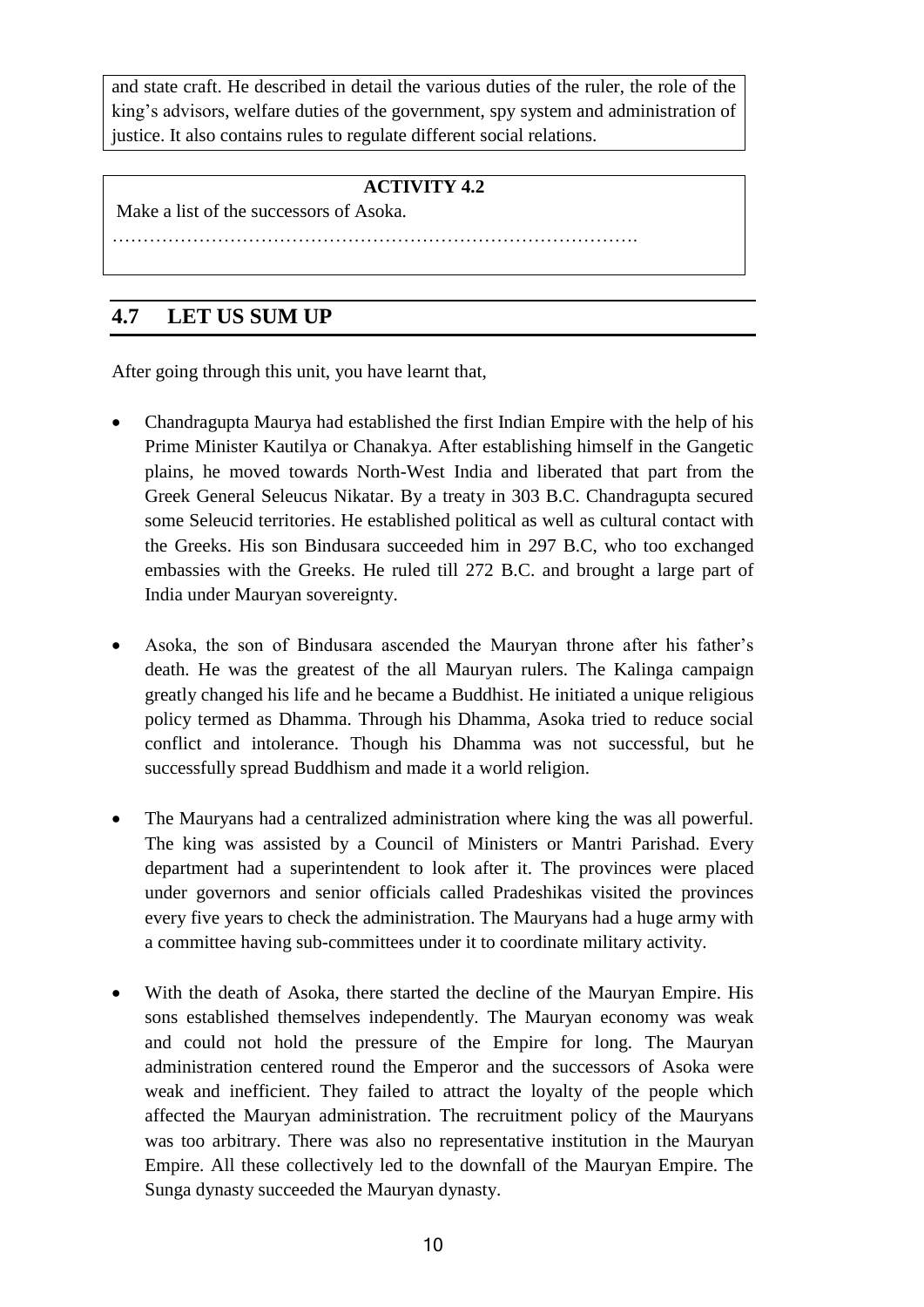the Vedas. The Prakrit languages and Pali were superseded. Sanskrit became the official language of the Gupta Empire and was spoken by the king and the elite. All the religious and secular literature of the playwright, Kalidasa, adorned the Ujjaini court, most probably in the days of Chandragupta II. He was undoubtedly the leading light of the age and one of the greatest poets. His great dramas are *Abhinjanam Shakuntalam*, *Malavikagnimitra* and *Vikramorvasi*. These dealt with love, romance and princely life. *Meghaduta* (cloud messenger) and *Ritu Samhara* (a description of the seasons) are his lyrical poems. *Raghuvamsa* and *Kumarasambhava* are his Kavyas or epics. His works are marked by "vivid portraiture, compact and elegant expression and an ardent love of nature". Other dramatists of the age are Sudraka and Vishakhadatta. The *Mrichchakatika* of Sudraka traces the story of Charudatta's love for Vasantasena, a courtesan of Ujjain. Vishakhadatta was the author of two historical plays *Mudrarakshasa* dealing with the Mauryan revolution and *Devichandraguptam* based on the Gupta conquest of the Sakas.

During the Gupta age, the literary and scientific progress was made possible because of two important factors. In the first place, the Gupta monarchs gave political unity to the country after a long spell of foreign domination and political disintegration. The Imperial Gupta monarchs having integrated the country into a single political unit gave it the best and most benevolent administration. The peace and tranquility established by the Gupta rulers provided a suitable atmosphere for the development of intellect of the people of the country.

Secondly, the era of economic prosperity ushered in by a brisk internal and external trade, made the people of India free from want and provided them with an opportunity to concentrate on the art of peace such as religion, philosophy, art, literature and science. Thirdly, the Gupta monarchs themselves were men of learning and scholarship. Samudragupta is significantly given the title of *Kaviraja* by the court poet Harisena. In one of his Gold coins he is depicted playing the lute. These Gupta monarchs extended staunch patronage to Sanskrit learning. The progress of Sanskrit literature during the Gupta period may conveniently be studied under two heads- Religious literature and Secular literature.

- **Religious Literature :** In the field of religious literature, the age of the Imperial Guptas was the richest in Indian history. The two great Epics, *Ramayana* and *Mahabharata* were given their present shape in the Gupta period and the subject matter in them was rearranged and edited with such a skill as to give them the shape of almost a new literature. The renowned authors of *Niti* and *Dharmasastras* such as Yajnavalkya, Narada, Katyayana, Brihaspati and Kamandaka flourished in this period. The best works of Mahayana Buddhist philosophy were a product of their period, the contributors to which were a galaxy of brilliant thinkers like Sasanga, Vasubandhu and Dignaga.
- **Secular Literature:** The progress in secular literature was more marked during the Gupta period than in any other period of Indian history. Technical literature,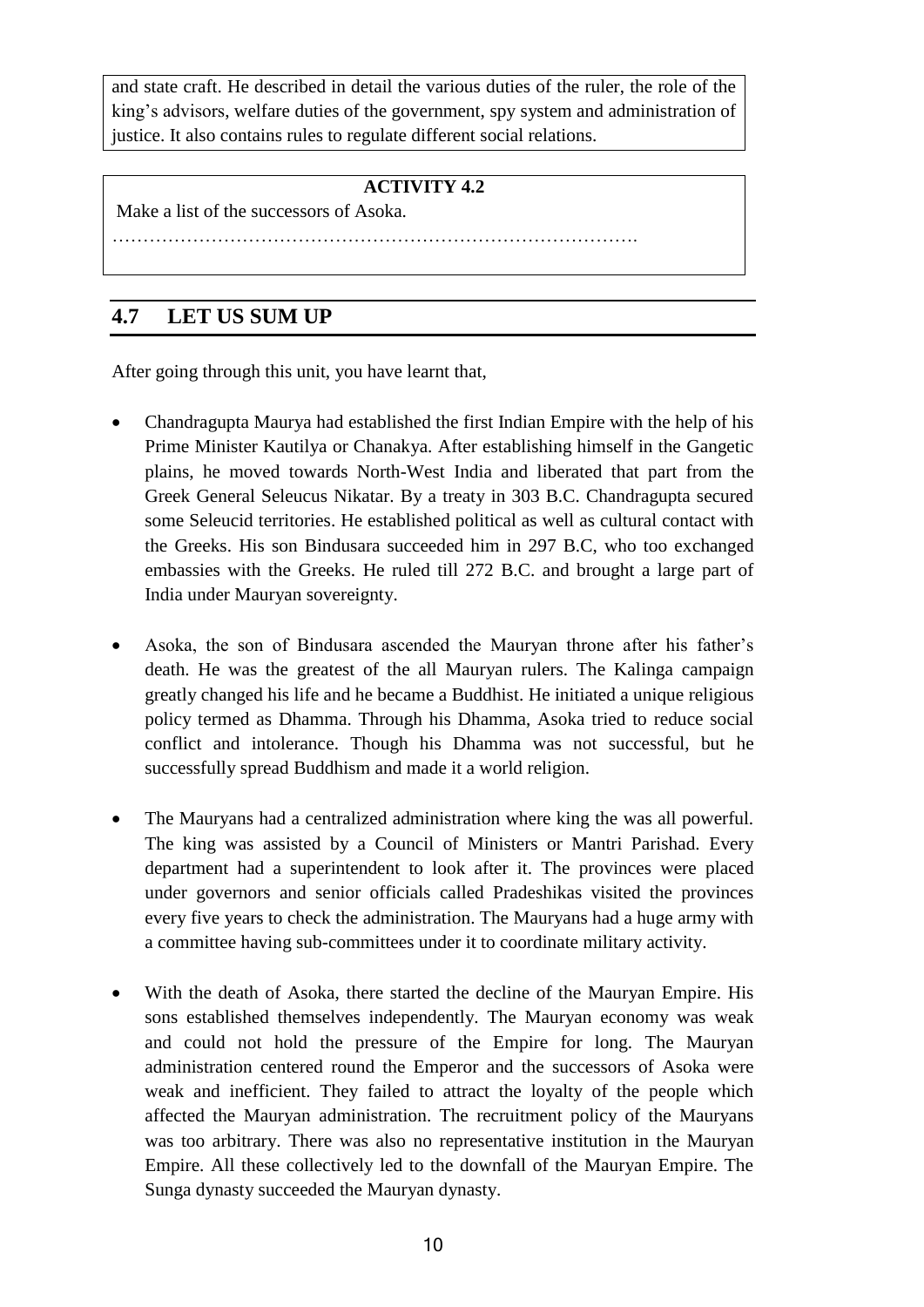*Kavya* literature, the *Puranas* are various branches of Sanskrit literature. Among the technical literature, mention may be made of *Chandravyakarana* by Chandra Gomin, *Amarakosa* by Amarasingha, *Vrihatsamhita* by Varahamihira, etc.

The famous *Kavya* writers of the age were Kalidasa, Vatsabhatti, etc. The style of writing partly in verse was developed for the first time. The style is popularly known as the *Champu Kavya* in the history of the period. Among the *Prasasti* writers of the period, Harisena, the author of Allahabad *Prasasti* and court poet of Samudragupta occupied the foremost rank. Vatsabhatti was another notable writer of the *Prasasti* type of literature.

Among the Buddhist literature, Nagarjuna was the founder of the *Madhyamika* School of philosophy. Arya Deva and Arya Asanga are the two most notable writers of this school.

The Jaina canonical literature at first grew up in Prakrit dialects.But Sanskrit came to be the medium later. Vimala, Devardhi Gani, Siddhasena Divakara are important scholars of the age.

The works of various literary figures that happened to flourish during this period were not only known for their literary qualities, but also provide us with a most reliable index for a study of the culture of the society of the period.

#### **CHECK YOUR PROGRESS**

Q.7. Write True/False:

a) The Gupta rulers were followers of Vaisnavism.

b) Vehicle of Vishnu was a lion.

c) Chandragupta II took the title of Parambhagavat.

d) The Gupta rulers were intolerant towards other religion.

e) The copper image of Buddha at Nalanda was about 80 feet high.

f) The themes of the Ajanta paintings were not religious.

g) Ritu Samhara provide description of the seasons.

Q.8. Match the following:

- a) Meghadutam 1. Sudraka
	-

b) Mrichchakatikam 2. Vishakhadatta

c) Mudrarakshasa 3. Kalidasa

Q.9. Fill in the blanks:

- a) \_\_\_\_\_\_\_\_\_\_ styled himself with the title of Param bhagavat.
- b) \_\_\_\_\_\_\_\_\_\_ was the Huna chief.
- c) \_\_\_\_\_\_\_\_\_\_ was a notable writer of the Madhyamika School of Philosophy.
- d) Buddhagupta was an ardent follower of \_\_\_\_\_\_\_\_\_\_.
- e) Vasubandhu was the advisor of \_\_\_\_\_\_\_\_\_.

f) Abhinjanam Shakuntalam was written by \_\_\_\_\_\_\_\_\_\_.

g) Samudragupta was given the title of Kaviraja by his court poet \_\_\_\_\_\_\_\_\_\_\_\_\_\_\_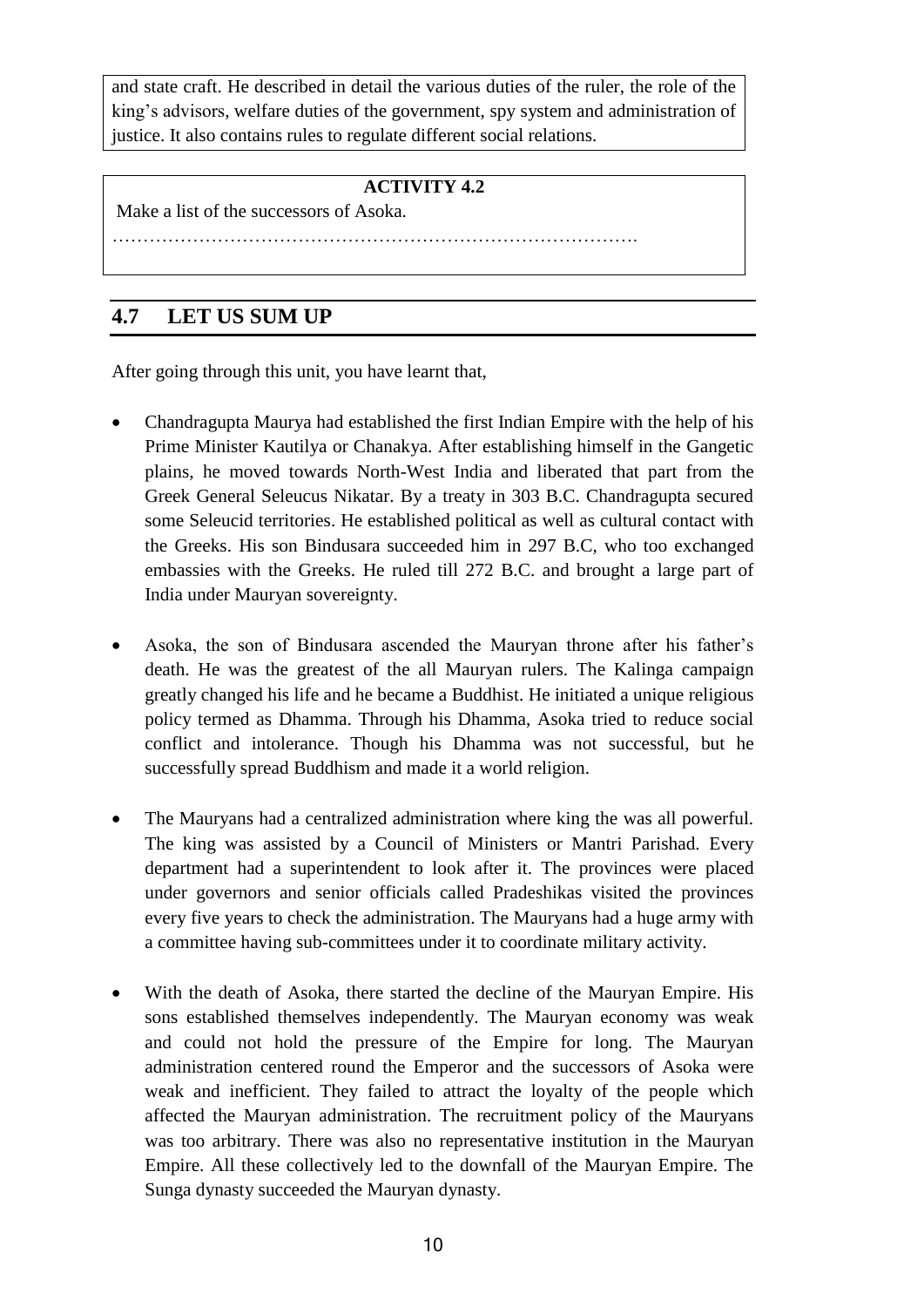h) Vatsabhatti was a famous \_\_\_\_\_\_\_\_\_\_ writer of the Gupta age. **Q.10.** Mention one characteristic of the early Gupta temple. ................................................................................................................................. ................................................................................................................................. **Q.11.** What is the main difference between Ajanta and Bagh painting? ................................................................................................................................. .................................................................................................................................

# **6.5 LET US SUM UP**

After going through this unit, you have learnt that-

- the society was divided into four major castes. There were also different subcastes in the society. Different categories of slaves were there in the society. Women had to live under the protection and domination of male in the patriarchal society.
- Sati and Polygammy were prevalent in the society. The people used to have delicious and nutritious food.
- As per the occassion and weather, men and women wore different kind of dresses. They too used different kinds of jewellery.
- The people were fond of amusement and sports. Agriculture was the main occupation of the people.
- Land revenue being the main source of income of the state, the Gupta rulers looked after the welfare of the cultivators and development of agriculture.
- All round development was also made in the field of industry and handicrafts. Gold, Copper, Textile and Wood Carving were popular industry of the period.
- Trade and commerce, both internal and external too was in a flourishing condition. The Gupta monarchs issued pure Gold coins which show that the Gupta period was economically very prosperous.
- The Gupta period was an age of religious activity. There was the reveival of Hinduism. Incarnations of Vishnu and worship of Shakti was very popular. Some of the Gupta rulers and their chiefs worshipped Shiva. Sun God was also worshipped.
- Jainism was too popular in the Gupta period and had many followers. Many Jaina temples were built during the Gupta period. Buddhism too flourished during the Gupta period. There were different centres of Buddhism. The University of Nalanda was the seat of Buddhist studies and it attracted students from various foreign countries.
- Art and architecture too developed in the Gupta period under the royal patronage. In the field of sculpture, there was the highest development. The art of painting was also highly developed as depicted in the world famous paintings in the Ajanta caves and caves of Bagh.
- Litearture too greatly developed in the Gupta period.Sanskrit literature reached the apex of its development. Sanskrit, the language of the Vedas became the official language of the Gupta Empire and it superseded Pali and Prakrit. Sanskrit literature developed as a religious literature and secular literature.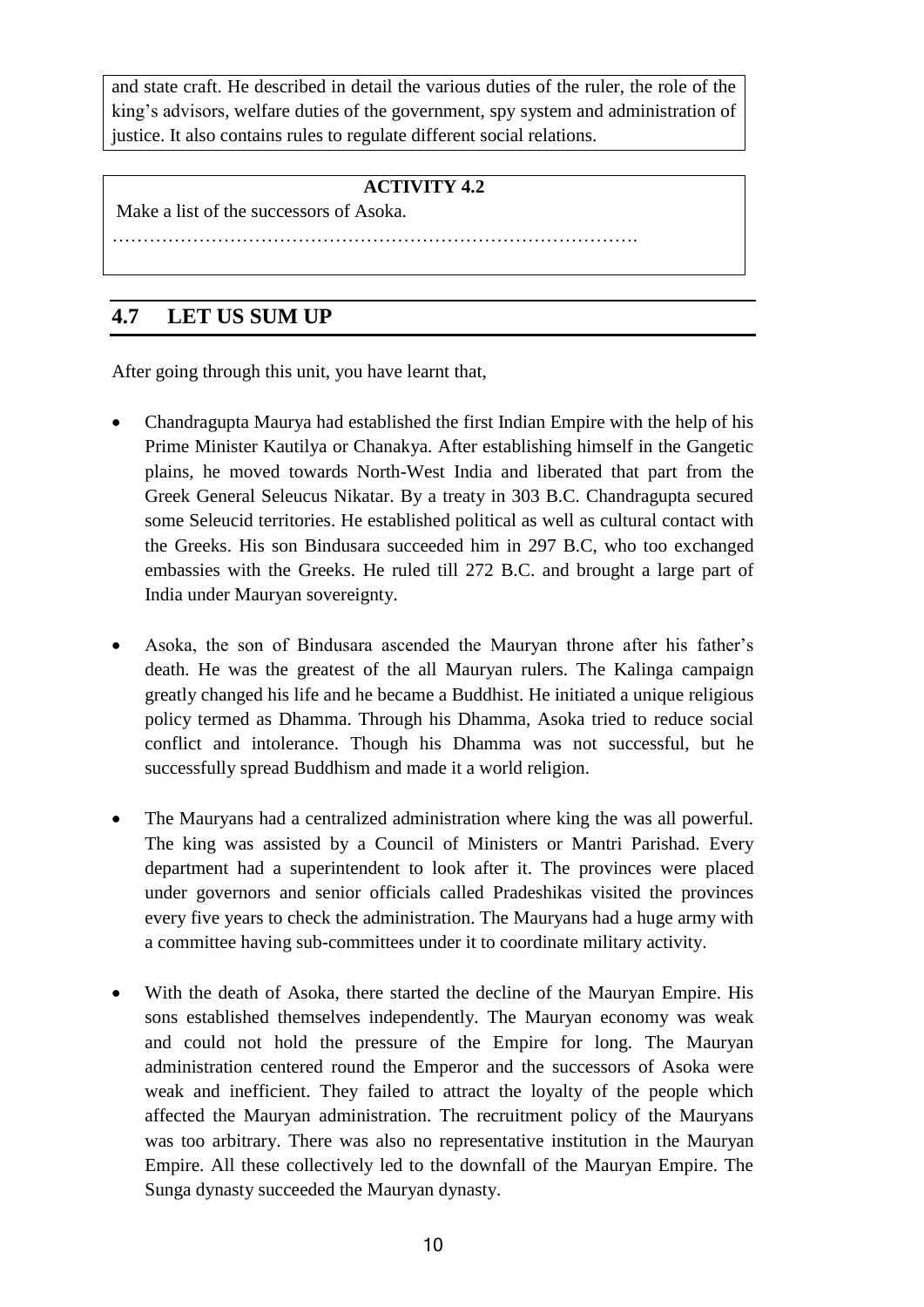# **6.6 FURTHER READING**

- 1) Majumdar, R.C., Raychaudhuri, H.C., Datta, K. (1986). *An Advanced History of India.* New Delhi, Macmillan India Ltd.
- 2) Thapar, Romila. (2002). *The Penguin History of Early India from The Origins to A D 1300*. New Delhi, The Penguin Group.
- 3) Tripathi, Ramashankar. (1999). *History of Ancient India.* Delhi, Motilal Banarsidass Publishers Pvt. Ltd.

# **6.7 ANSWERS TO CHECK YOUR PROGRESS**

| <b>Answer to the Question no 1:</b> | a) True, b) True, c) False, d) True, e) False, f) |
|-------------------------------------|---------------------------------------------------|
|                                     | False, g) False                                   |
| <b>Answer to the Question no 2:</b> | a) Vedas, b) slave, c) eight, d) Kumaragupta, e)  |
|                                     | Varamihira, f) China                              |
| <b>Answer to the Question no 3:</b> | Brahmacharya, Garhastha, Banaprastha and          |
|                                     | Sanyas.                                           |
| <b>Answer to the Question no 4:</b> | <b>Elephant Riding</b>                            |
| <b>Answer to the Question no 5:</b> | By digging of tanks, wells, cutting of cannals,   |
|                                     | etc.                                              |
| <b>Answer to the Question no 6:</b> | An all round industrial growth was witnessed in   |
|                                     | the Gupta period. This growth was facilitated by  |
|                                     | the richness of the country in natural resources, |
|                                     | mineral, animal and plant produce. Gold,          |
|                                     | Copper, Textile and Wood Carving were             |
|                                     | popular industry of the period.                   |
| <b>Answer to the Question no 7:</b> | a) True, b) False, c) True, d) False, e) True, f) |
|                                     | False, g) True                                    |
| <b>Answer to the Question no 8:</b> | a) 3, b) 1, c) 2                                  |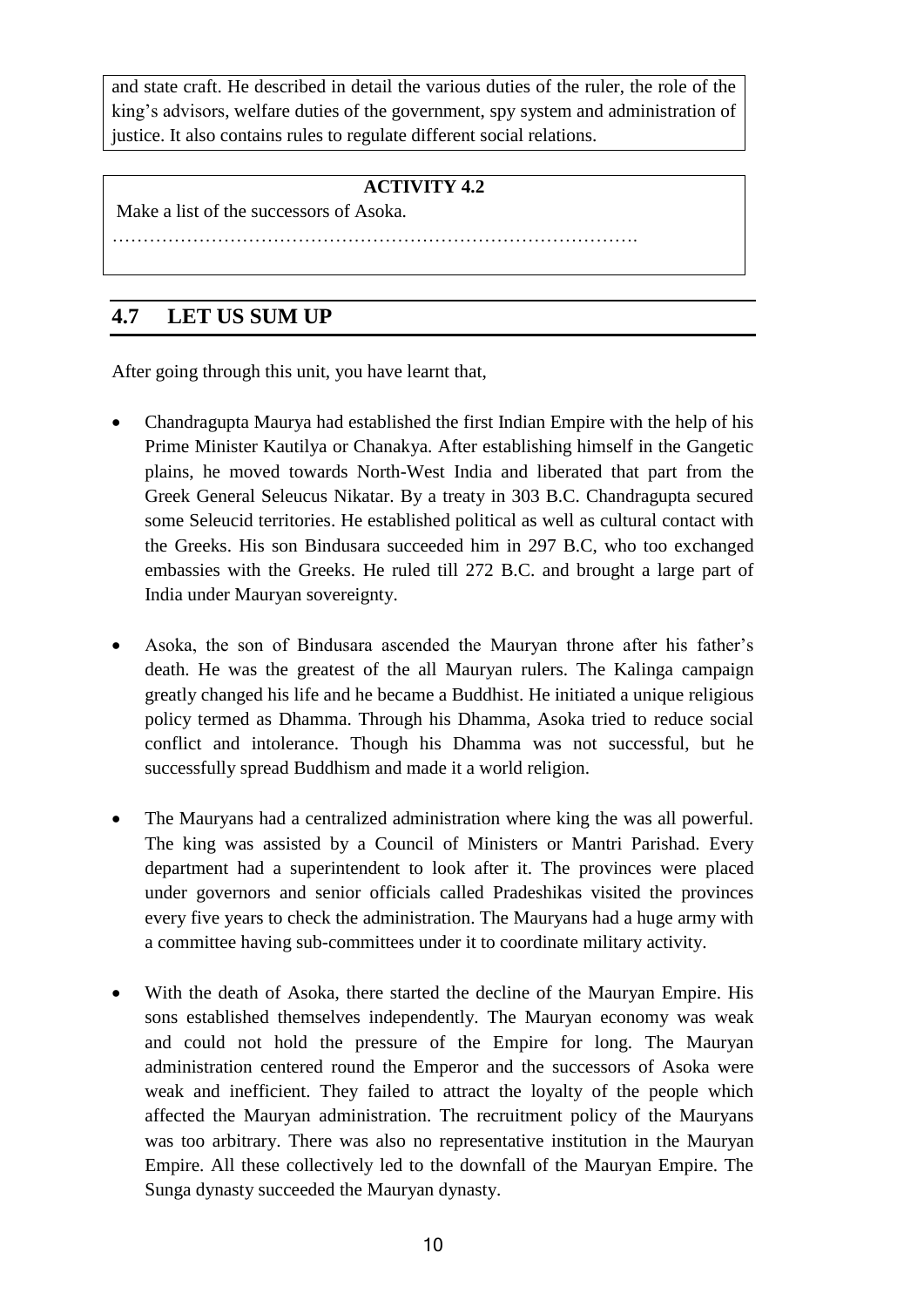# **UNIT 7 : Harshavardan: Achievemnets**

#### **Structure**

- 7.1 Objectives
- 7.2 Introduction
- 7.3 pushyabhutis
- 7.4 Harshavardhana of Thaneswar
- 7.5 Relation of Harshavardhana with Kamarupa Kingdom
- 7.6 Let us Sum up
- 7.7 Further Reading
- 7.8 Answers to Check Your Progress
- 7.9 Model Questions

## **7.1 OBJECTIVES**

After going through this unit, you will be able to-

• Place Harshavardhana in proper perspective.

## **7.2 INTRODUCTION**

In this unit the main focus will be on the famous king Harshavardhana of the Pushyabhutis and his relationship with king Bhaskaravarman of the Varman dynasty who ruled over the kingdom of Kamarupa.

*Regent : an interim sovereign authority*

## **7.3 PUSHYABHUTIS**

One of the ruling dynasties that emerged in Northern India during the early medieval India was the Pushyabhutis. The founder ruler of this dynasty was Pushyabhuti after whom the dynasty was named. The Pushyabhuti rulers initially ruled from Thaneswar (Haryana) and later on from Kannauj (Uttar Pradesh). The early rulers of this dynasty, namely, Pushyabhuti, Naravardhana, Rajyavardhana I and Adityavardhana assumed the title of Maharaja which probably indicates that these rulers were feudatory rulers under the imperial Guptas.

Prabhakaravardhana, son of Adityavardhan was the first important ruler of the Pushyabhuti dynasty as he ruled independently assuming the title of *Maharajadhiraja*. He defeated the Hunas, the ruler of Gurjara, and the king of Malwa. He also established matrimonial relationship with the Maukharis, a powerful ruling dynasty of Kannauj by giving in marriage his daughter Rajyashree in marriage to the Maukhari king Grahavarman. Prabhakaravardhana had two sons Rajyavardhana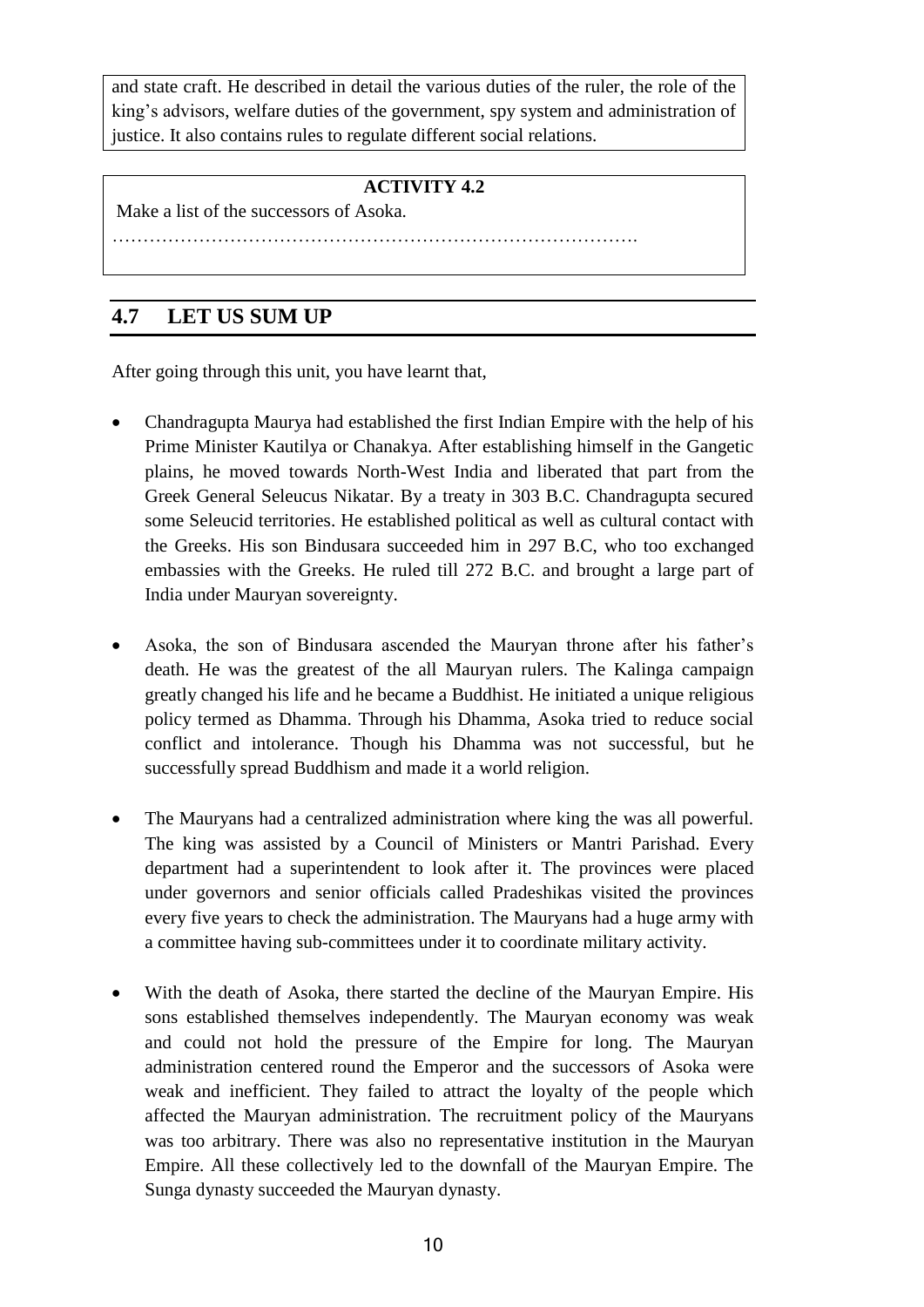and Harshavardhana, both of whom ruled one after another over the Pushyabhuti kingdom.

At the death of Prabhakaravardhana, his eldest son Rajyavardhana ascended the throne of Pushyabhutis in 605 A.D. Almost at the same time king Devagupta of Malwa and king Sasanka of Gauda formed an alliance and attacked Kannauj. The king Devagupta of Malwa successfully led this campaign against Kannauj killing its ruler Grahavarman, captured queen Rajyashree and occupied the kingdom. At this Rajyavardhana decided to take revenge of the killing of his brother-in-law, rescue his sister Rajyashree and recover Kannauj. He immediately marched against king Devagupta of Malwa leaving his brother Harshavardhana at the capital to look after the kingdom. In a fierce battle he killed Devagupta and recovered Kannauj. But king Sasanka of Gauda, the ally of deceased king Devagupta, treacherously murdered Rajyavardhana and once again occupied Kannauj.

The sudden death of Rajyavardhana forced his brother Harshavardhana to sit at the throne of Thaneswar at a very young age of 16 in 606 A.D. The reign and achievements of Harshavardhana who emerged as the greatest king of the Pushyabhuti dynasty will be discussed in the next sub-section.

### **7.4 HARSHAVARDHANA OF THANESWAR**

Harshavardhana had to encounter many problems immediately after his accession. He, at first, released his sister Rajyashree and restored her back the kingdom of Kannauj by driving away Sasanka from there. At the request of his sister, Harshavardhana also had to take the responsibility of administering the kingdom of Kannauj as no rightful heir to the throne was there. As such, Harshavardhana united the kingdom of Thaneswar and kingdom of Kannauj into one which greatly strengthened his position. He even transferred his capital from Thaneswar to Kannauj as it was located in a more central place to administer the entire kingdom.

With his newly acquired power and position, Harshavardhana started his conquests. He brought most of Northern India, namely, Punjab, Malwa, Magadha, Orissa, and Mithila under his control and thereby assumed the title of *Siladitya*. Then he turned his attention towards Western India where he defeated the king of Valabhi, but had to face defeat at the hands of Pulakesin II, the Chalukya ruler of Badami. Being defeated, Harshavardhana had to turn towards eastern India where he founded an ally in king Bhaskaravarman of Kamrup who helped him in his successful campaign against king Sasanka of Gauda. Harshavardhana successfully occupied parts of the Gauda kingdom.

The successful expeditions of Harshavardhana, except the one against Pulakesin II, proved his military prowess and also testify the vastness of his kingdom. To rule such a vast kingdom, Harshavardhana organised a decentralised system of administration with elements of feudalism in it. The king was the centre of administration and was assisted by the crown prince. The majority part of the territory conquered by him was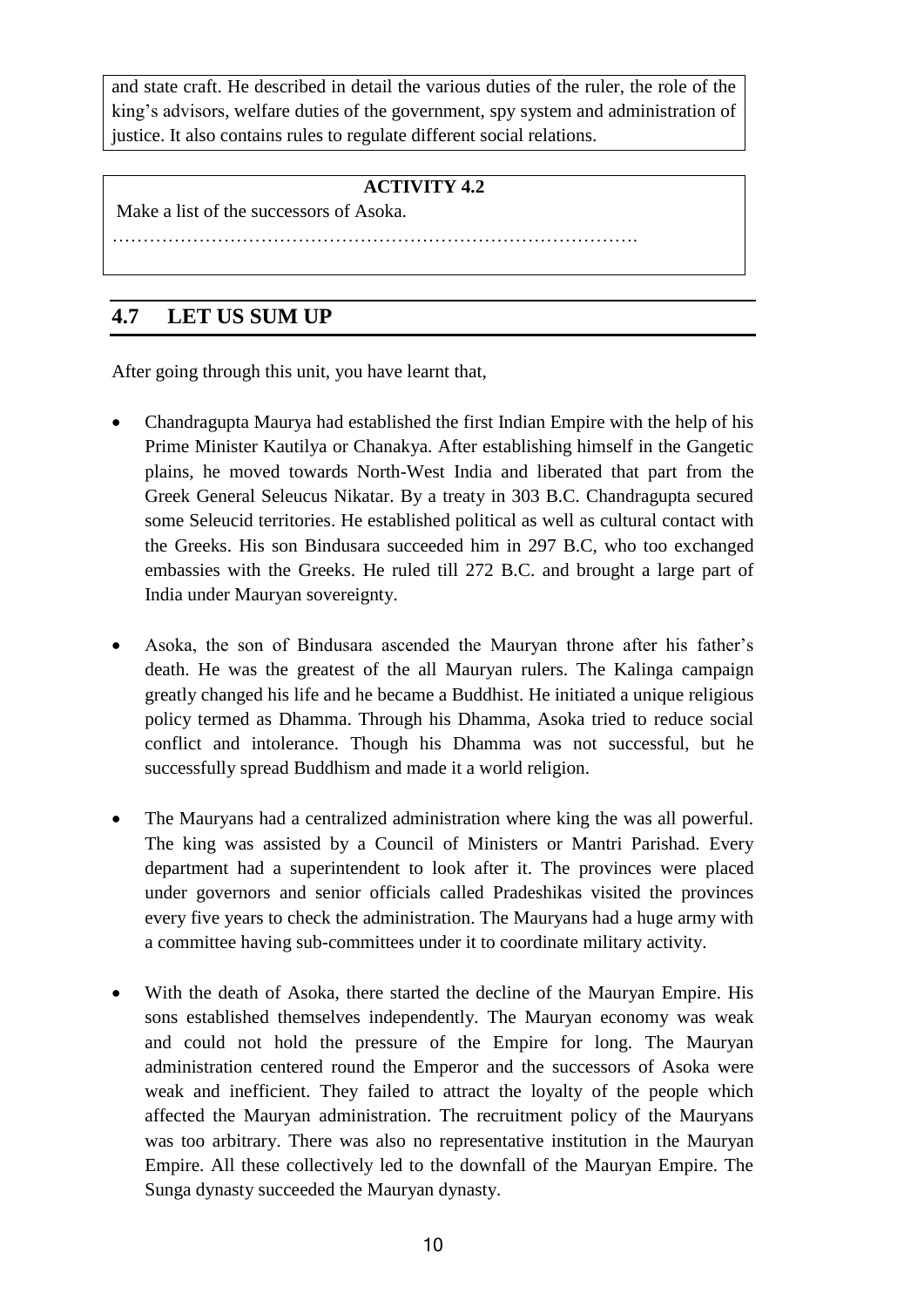ruled by the feudatories. Even princes of royal blood were appointed as Viceroys of provinces. Several ministers and other officials were also there to assist in the administration. In order to supervise the administration, Harshavardhana maintained contact with the public opinion through his officers and by his own tours.

Harshavardhana was also a man of considerable literary interests and talents. Despite of his duties as a ruler, he wrote three plays, *Ratnavali*, *Priyadarshika*, and *Nagananda*. His court was a magnificent one being adorned by great luminaries like Banabhatta, Mayura, Bhartrihari and others. Harshavardhana was even the chief patron of the Nalanda University where during that period 10,000 students from all parts of India and abroad studied. In religious matters, he was liberal and secular. He was a born Hindu and worshipped Lord Shiva. But later on he accepted Buddhism and changed over to its Mahayana form being influenced by the Chinese pilgrim Hiuen Tsang who visited his kingdom. Harshavardhana also exchanged diplomatic missions with China.

# **7.5 RELATION OF HARSHAVARDHANA WITH KAMRUPA KINGDOM**

The relationship of Harshavardhana with the kingdom of Kamrupa was very much cordial. A friendly relationship, rather an alliance, was established between king Bhaskaravarman and king Harshavardhana. This friendship proved to be equally beneficial for both the rulers in strengthening their respective political positions. Further, Bhaskaravarman, on the basis of this relation, could play an important role in the political history of Northern India in the first half of the 7th century A.D.

Bhaskaravarman ascended the throne of Kamarupa in c.600 A.D and ruled till c.650 A.D. for a period of fifty years. He was the most illustrious of all the Varman rulers. At the time of his accession, the glory of the kingdom of Kamarupa was greatly undermined with the loss of Pundravardhana and the defeat at the hands of Mahasenagupta and Sasanka. Bhaskaravarman could not tolerate the rise of Sasanka of Gauda.

It was under such a situation that Bhaskaravarman sought the friendship of king Harshavardhana who too had enmity with king Sasanka of Gauda. Bhaskaravarman sent an embassy to Harshavardhana under Hamsavega with valuable items for seeking the latter's alliance against their common enemy. Harsha too was in need of an ally and he heartily welcomed the offer and thus, was formed an offensive and defensive alliance between the two independent monarchs of Northern and Eastern India.

The combined forces of Harshavardhana and Bhaskaravarman probably launched an attack upon Sasanka. From the West, Bhandi, the cousin and general of Harshavardhana attacked Gauda. While from the East, Bhaskaravarman fell upon him. Unable to face the combined attack, Sasanka fled away to Orissa where he continued to rule till c.619-620 A.D. With this victory, Gauda with its capital city of Karnasuvarna came into the possession of Bhaskaravarman. To commemorate the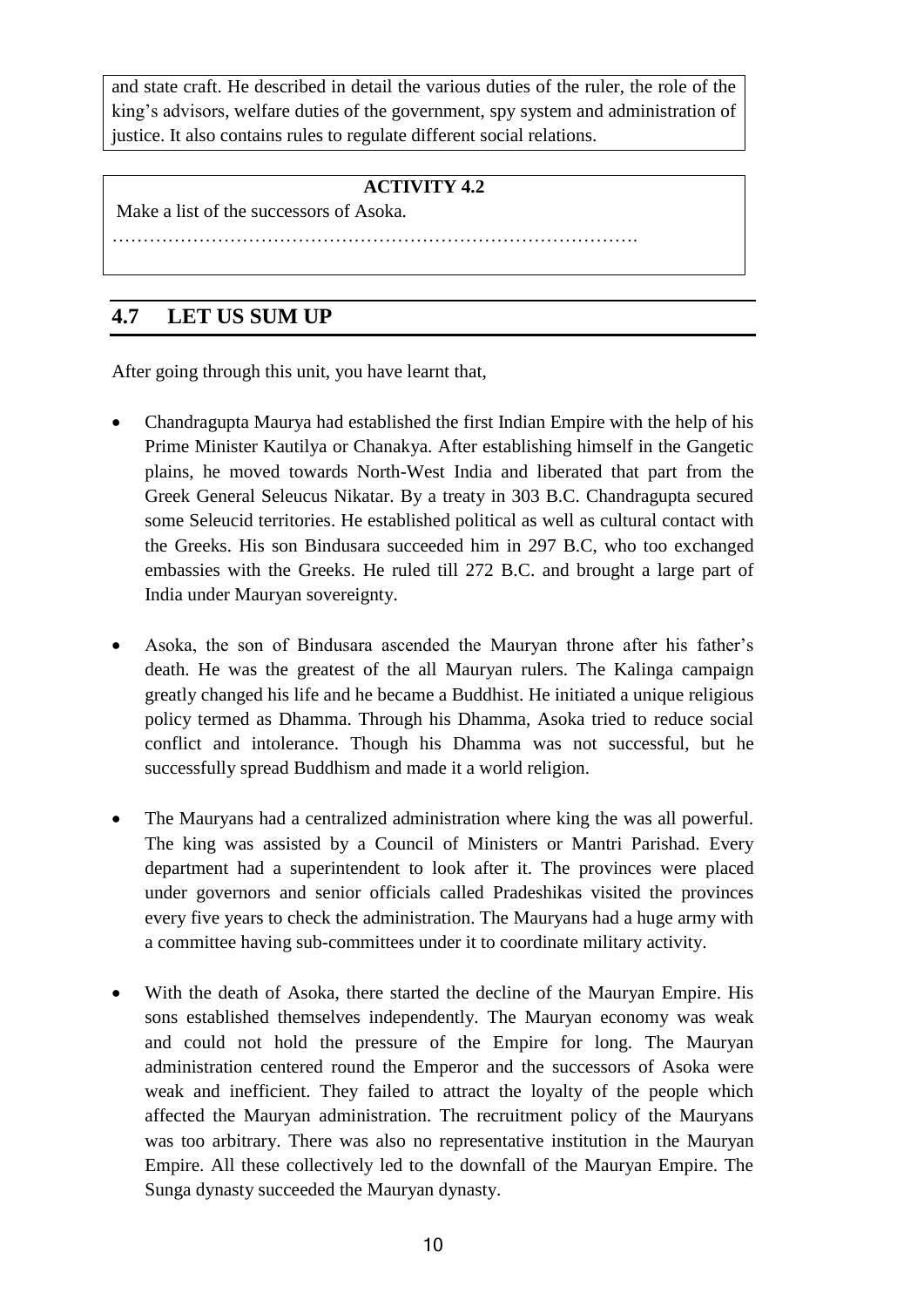occasion, he issued from his victorious camp at Karnasuvarna the famous *Nidhanpur grants* reconfirming the land grants made by Bhutivarman in Pundravardhana.

#### **LET US KNOW**

To make friendship with Harshavardhana, king Bhaskaravarman of Kamarupa sent his ambassador Hamsavega, who met Harshavardhana with rich presents like Abhoga (umbrella of Varuna), crest jewels, pearl necklaces, silken cloth, manuscripts on aloe bark, drinking vessel, etc.

By forming an alliance with Harshavardhana, Bhaskaravarman not only recovered the lost glory and possession of the kingdom of Kamarupa, but also carried the political glory of Kamarupa to a point not reached ever before. Later, Bhaskaravarman too participated in the religious assembly at Kannauj and religious convocation at Prayaga arranged by Harshavardhana. The Chinese pilgrim Hiuen-Tsang visited the kingdom of Kamarupa and stayed at the court of king Bhaskaravarman. The Chinese pilgrim was very much pleased with the hospitality of Bhaskaravarman and with the peace and prosperity prevailing in the kingdom of Kamarupa.

| <b>CHECK YOUR PROGRESS</b>                                                |
|---------------------------------------------------------------------------|
| Answer the following questions:                                           |
| <b>Q7:</b> Who was the founder ruler of the Pushyabhuti dynasty?          |
|                                                                           |
| <b>Q8:</b> At what age did Harshavardhana ascend the throne of Thaneswar? |
|                                                                           |
| <b>Q9:</b> Who united the kingdom of Thaneswar and kingdom of Kannauj?    |
|                                                                           |
| <b>Q10:</b> Who was Pulakesin II?                                         |
|                                                                           |
| <b>Q11:</b> Who was the chief patron of the Nalanda University?           |
|                                                                           |
| Q12: When did Bhaskaravarman ascended the throne of Kamarupa?             |
| <b>Q13:</b> Who was Bhandi?                                               |
|                                                                           |
| <b>Q14:</b> Name the capital city of the kingdom of Gauda.                |
|                                                                           |
|                                                                           |

# **7.6 LET US SUM UP**

After going through this unit, you have learnt

The Pushyabhuti dynasty emerged in Northern India during the early medieval India. The founder ruler of this dynasty was Pushyabhuti after whom the dynasty was named. The Pushyabhuti rulers initially ruled from Thaneswar (Haryana) and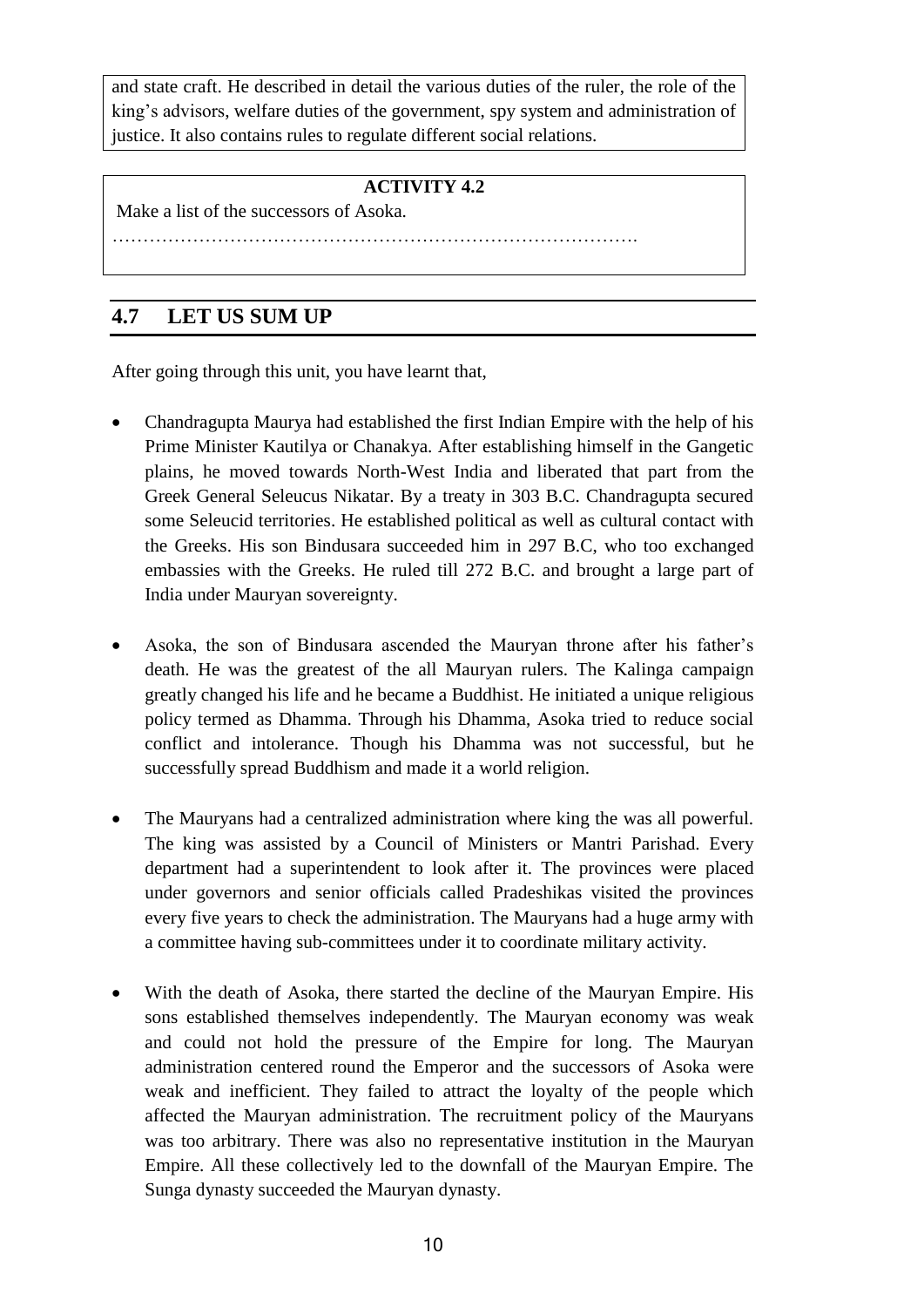later on from Kannauj (Uttar Pradesh). Prabhakaravardhana was the first important ruler of the Pushyabhuti dynasty. The most illustrious ruler of this dynasty was Harshavardhana, the youngest son of Prabhakaravardhana.

Harshavardhana ascended the throne of Thaneswar at a very young age of 16 in 606 A.D. and had to face various problems, which he successfully encountered. He was a good warrior and administrator also had interest in literature and wrote three plays.

Harshavardhana established friendly relationship with king Bhaskaravarman of Kamrupa. Both were in need of an ally and as such they entered into an offensive and defensive alliance. The combined forces of Harshavardhana and Bhaskaravarman probably defeated king Sasanka of Gauda, their common enemy. By forming an alliance with Harshavardhana, Bhaskaravarman carried the political glory of Kamarupa to a point not reached ever before.

## **7.7 FURTHER READING**

- 1. Chandra, Sathish(2007) *A History of Medieval India*, Orient BlackSwan, New Delhi
- 2. Chattopadhyaya, B.D.( 1994) *The Making of Early Medieval India*, OUP
- 3. Maiti, Provatansu (2000): *Studies In Ancient India (Pre-Historic Age 1206 A.D.)*, Sreedhar Publishers, Calcutta.

#### **7.8 ANSWERS TO CHECK YOUR PROGRESS**

**Answer to the question no 7:** Pushyabhuti.

**Answer to the question no 8:** 16.

- **Answer to the question no 9:** Harshavardhana united the kingdom of Thaneswar and kingdom of Kannauj.
- **Answer to the question no 10:** The Chalukya ruler of Badami who defeated Harshavardhana.

**Answer to the question no 11:** King Harshavardhana.

**Answer to the question no 12:** Bhaskaravarman ascended the throne of Kamarupa in c.600 A.D.

**Answer to the question no 13:** The cousin and general of Harshavardhana.

**Answer to the question no 14:** Karnasuvarna.

## **7.9 MODEL QUESTIONS**

#### **A) VERY SHORT QUESTIONS**

- Q.4: Who was the first important ruler of the Pushyabhuti dynasty?
- Q5: What title was assumed by king Harshavardhana?
- Q6: Name the Chinese pilgrim who visited the kingdom of Kamarupa.